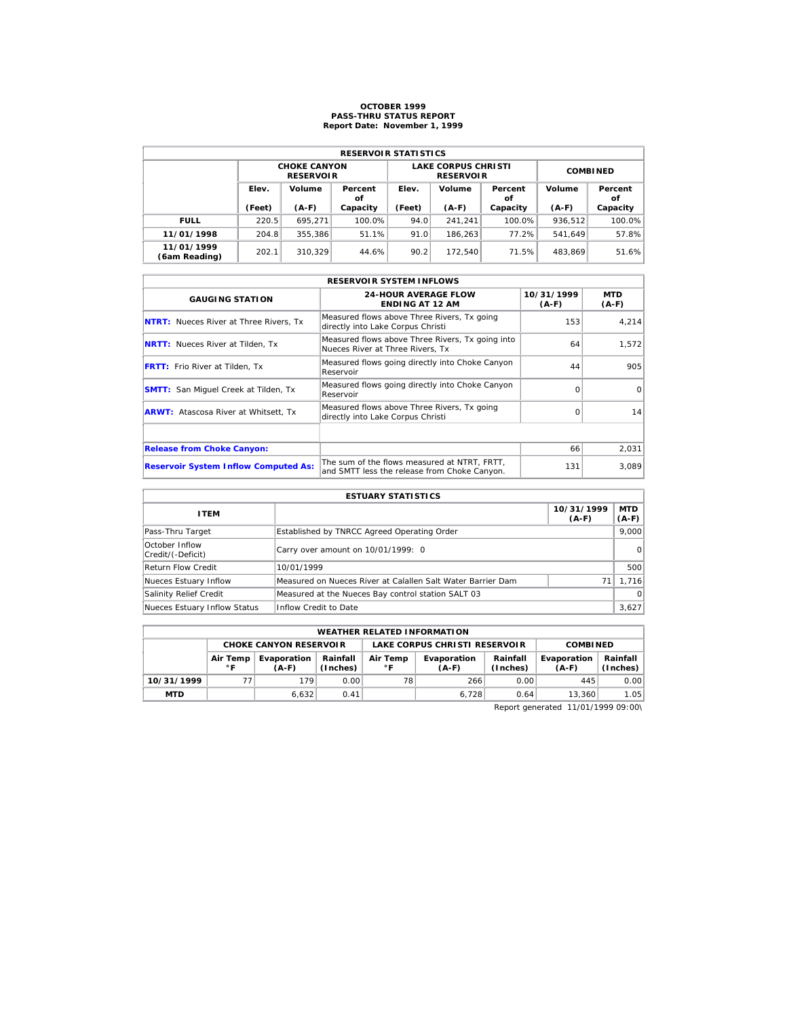## **OCTOBER 1999 PASS-THRU STATUS REPORT Report Date: November 1, 1999**

| <b>RESERVOIR STATISTICS</b> |        |                                         |          |                 |                                                |                 |         |          |  |  |  |
|-----------------------------|--------|-----------------------------------------|----------|-----------------|------------------------------------------------|-----------------|---------|----------|--|--|--|
|                             |        | <b>CHOKE CANYON</b><br><b>RESERVOIR</b> |          |                 | <b>LAKE CORPUS CHRISTI</b><br><b>RESERVOIR</b> | <b>COMBINED</b> |         |          |  |  |  |
|                             | Elev.  | Volume<br>Percent<br>οf                 |          | Elev.<br>Volume |                                                | Percent<br>οf   | Volume  |          |  |  |  |
|                             | (Feet) | $(A-F)$                                 | Capacity | (Feet)          | $(A-F)$                                        | Capacity        | $(A-F)$ | Capacity |  |  |  |
| <b>FULL</b>                 | 220.5  | 695.271                                 | 100.0%   | 94.0            | 241.241                                        | 100.0%          | 936.512 | 100.0%   |  |  |  |
| 11/01/1998                  | 204.8  | 355,386                                 | 51.1%    | 91.0            | 186.263                                        | 77.2%           | 541.649 | 57.8%    |  |  |  |
| 11/01/1999<br>(6am Reading) | 202.1  | 310.329                                 | 44.6%    | 90.2            | 172.540                                        | 71.5%           | 483.869 | 51.6%    |  |  |  |

|                                               | <b>RESERVOIR SYSTEM INFLOWS</b>                                                              |                       |                       |
|-----------------------------------------------|----------------------------------------------------------------------------------------------|-----------------------|-----------------------|
| <b>GAUGING STATION</b>                        | <b>24-HOUR AVERAGE FLOW</b><br><b>ENDING AT 12 AM</b>                                        | 10/31/1999<br>$(A-F)$ | <b>MTD</b><br>$(A-F)$ |
| <b>NTRT:</b> Nueces River at Three Rivers, Tx | Measured flows above Three Rivers, Tx going<br>directly into Lake Corpus Christi             | 153                   | 4,214                 |
| <b>NRTT:</b> Nueces River at Tilden, Tx       | Measured flows above Three Rivers, Tx going into<br>Nueces River at Three Rivers. Tx         | 64                    | 1,572                 |
| <b>FRTT:</b> Frio River at Tilden, Tx         | Measured flows going directly into Choke Canyon<br>Reservoir                                 | 44                    | 905                   |
| <b>SMTT:</b> San Miquel Creek at Tilden, Tx   | Measured flows going directly into Choke Canyon<br>Reservoir                                 | $\Omega$              | $\Omega$              |
| <b>ARWT:</b> Atascosa River at Whitsett, Tx   | Measured flows above Three Rivers, Tx going<br>directly into Lake Corpus Christi             | $\Omega$              | 14                    |
|                                               |                                                                                              |                       |                       |
| <b>Release from Choke Canyon:</b>             |                                                                                              | 66                    | 2,031                 |
| <b>Reservoir System Inflow Computed As:</b>   | The sum of the flows measured at NTRT. FRTT.<br>and SMTT less the release from Choke Canyon. | 131                   | 3,089                 |

| <b>ESTUARY STATISTICS</b>           |                                                             |                       |                  |  |  |  |  |
|-------------------------------------|-------------------------------------------------------------|-----------------------|------------------|--|--|--|--|
| <b>ITEM</b>                         |                                                             | 10/31/1999<br>$(A-F)$ | MTD  <br>$(A-F)$ |  |  |  |  |
| Pass-Thru Target                    | Established by TNRCC Agreed Operating Order                 |                       | 9.000            |  |  |  |  |
| October Inflow<br>Credit/(-Deficit) | Carry over amount on 10/01/1999: 0                          |                       | 0                |  |  |  |  |
| <b>Return Flow Credit</b>           | 10/01/1999                                                  |                       | 500              |  |  |  |  |
| Nueces Estuary Inflow               | Measured on Nueces River at Calallen Salt Water Barrier Dam |                       | 1.716            |  |  |  |  |
| Salinity Relief Credit              | Measured at the Nueces Bay control station SALT 03          |                       | $\Omega$         |  |  |  |  |
| Nueces Estuary Inflow Status        | Inflow Credit to Date                                       |                       | 3,627            |  |  |  |  |

|            | <b>WEATHER RELATED INFORMATION</b>                                         |                               |      |                                                                  |               |      |                        |                      |  |  |  |
|------------|----------------------------------------------------------------------------|-------------------------------|------|------------------------------------------------------------------|---------------|------|------------------------|----------------------|--|--|--|
|            |                                                                            | <b>CHOKE CANYON RESERVOLR</b> |      | LAKE CORPUS CHRISTI RESERVOIR<br><b>COMBINED</b>                 |               |      |                        |                      |  |  |  |
|            | Rainfall<br>Air Temp<br>Evaporation<br>(Inches)<br>$^{\circ}$ F<br>$(A-F)$ |                               |      | Rainfall<br>Air Temp<br>Evaporation<br>(Inches)<br>∘г<br>$(A-F)$ |               |      | Evaporation<br>$(A-F)$ | Rainfall<br>(Inches) |  |  |  |
| 10/31/1999 | 77                                                                         | 179                           | 0.00 | 78                                                               | 266           | 0.00 | 445                    | 0.00                 |  |  |  |
| <b>MTD</b> |                                                                            | 6.632                         | 0.41 |                                                                  | 6.728<br>0.64 |      |                        | 1.05<br>13.360       |  |  |  |

Report generated 11/01/1999 09:00\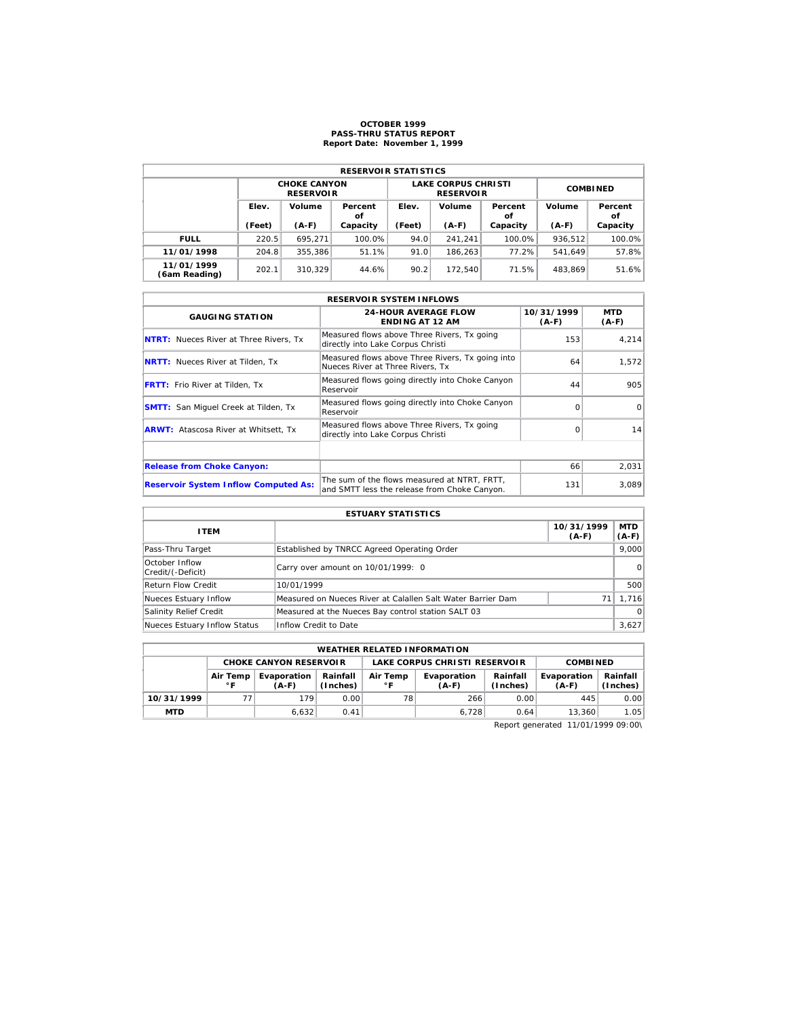#### **OCTOBER 1999 PASS-THRU STATUS REPORT Report Date: November 1, 1999**

| <b>RESERVOIR STATISTICS</b> |                 |                                         |               |                 |                                                |                         |         |               |  |  |  |
|-----------------------------|-----------------|-----------------------------------------|---------------|-----------------|------------------------------------------------|-------------------------|---------|---------------|--|--|--|
|                             |                 | <b>CHOKE CANYON</b><br><b>RESERVOIR</b> |               |                 | <b>LAKE CORPUS CHRISTI</b><br><b>RESERVOIR</b> | <b>COMBINED</b>         |         |               |  |  |  |
|                             | Elev.<br>Volume |                                         | Percent<br>οf | Volume<br>Elev. |                                                | Volume<br>Percent<br>οf |         | Percent<br>οf |  |  |  |
|                             | (Feet)          | $(A-F)$                                 | Capacity      | (Feet)          | $(A-F)$                                        | Capacity                | $(A-F)$ | Capacity      |  |  |  |
| <b>FULL</b>                 | 220.5           | 695.271                                 | 100.0%        | 94.0            | 241.241                                        | 100.0%                  | 936.512 | 100.0%        |  |  |  |
| 11/01/1998                  | 204.8           | 355,386                                 | 51.1%         | 91.0            | 186.263                                        | 77.2%                   | 541.649 | 57.8%         |  |  |  |
| 11/01/1999<br>(6am Reading) | 202.1           | 310.329                                 | 44.6%         | 90.2            | 172.540                                        | 71.5%                   | 483.869 | 51.6%         |  |  |  |

|                                               | <b>RESERVOIR SYSTEM INFLOWS</b>                                                              |                       |                |
|-----------------------------------------------|----------------------------------------------------------------------------------------------|-----------------------|----------------|
| <b>GAUGING STATION</b>                        | <b>24-HOUR AVERAGE FLOW</b><br><b>ENDING AT 12 AM</b>                                        | 10/31/1999<br>$(A-F)$ | MTD<br>$(A-F)$ |
| <b>NTRT:</b> Nueces River at Three Rivers, Tx | Measured flows above Three Rivers, Tx going<br>directly into Lake Corpus Christi             | 153                   | 4.214          |
| <b>NRTT:</b> Nueces River at Tilden, Tx       | Measured flows above Three Rivers, Tx going into<br>Nueces River at Three Rivers. Tx         | 64                    | 1,572          |
| <b>FRTT:</b> Frio River at Tilden, Tx         | Measured flows going directly into Choke Canyon<br>Reservoir                                 | 44                    | 905            |
| <b>SMTT:</b> San Miquel Creek at Tilden, Tx   | Measured flows going directly into Choke Canyon<br>Reservoir                                 | $\Omega$              | $\Omega$       |
| <b>ARWT:</b> Atascosa River at Whitsett, Tx   | Measured flows above Three Rivers, Tx going<br>directly into Lake Corpus Christi             | $\Omega$              | 14             |
|                                               |                                                                                              |                       |                |
| <b>Release from Choke Canyon:</b>             |                                                                                              | 66                    | 2.031          |
| <b>Reservoir System Inflow Computed As:</b>   | The sum of the flows measured at NTRT, FRTT,<br>and SMTT less the release from Choke Canyon. | 131                   | 3.089          |

| <b>ESTUARY STATISTICS</b>           |                                                             |                       |                  |  |  |  |  |
|-------------------------------------|-------------------------------------------------------------|-----------------------|------------------|--|--|--|--|
| <b>ITEM</b>                         |                                                             | 10/31/1999<br>$(A-F)$ | MTD  <br>$(A-F)$ |  |  |  |  |
| Pass-Thru Target                    | Established by TNRCC Agreed Operating Order                 |                       | 9.000            |  |  |  |  |
| October Inflow<br>Credit/(-Deficit) | Carry over amount on 10/01/1999: 0                          |                       | $\Omega$         |  |  |  |  |
| <b>Return Flow Credit</b>           | 10/01/1999                                                  |                       | 500              |  |  |  |  |
| Nueces Estuary Inflow               | Measured on Nueces River at Calallen Salt Water Barrier Dam | 71                    | 1,716            |  |  |  |  |
| Salinity Relief Credit              | Measured at the Nueces Bay control station SALT 03          |                       | $\Omega$         |  |  |  |  |
| Nueces Estuary Inflow Status        | Inflow Credit to Date                                       |                       | 3,627            |  |  |  |  |

|            | <b>WEATHER RELATED INFORMATION</b> |                                                                            |      |                               |                      |                        |                      |      |  |  |  |
|------------|------------------------------------|----------------------------------------------------------------------------|------|-------------------------------|----------------------|------------------------|----------------------|------|--|--|--|
|            |                                    | <b>CHOKE CANYON RESERVOLR</b>                                              |      | LAKE CORPUS CHRISTI RESERVOIR |                      |                        | <b>COMBINED</b>      |      |  |  |  |
|            | Air Temp<br>∘г                     | Air Temp<br>Rainfall<br>Evaporation<br>$^{\circ}$ F<br>(Inches)<br>$(A-F)$ |      | Evaporation<br>$(A-F)$        | Rainfall<br>(Inches) | Evaporation<br>$(A-F)$ | Rainfall<br>(Inches) |      |  |  |  |
| 10/31/1999 | 77                                 | 179                                                                        | 0.00 | 78                            | 266                  | 0.00                   | 445                  | 0.00 |  |  |  |
| <b>MTD</b> |                                    | 6,632                                                                      | 0.41 |                               | 6.728                | 0.64                   | 13.360               | 1.05 |  |  |  |

Report generated 11/01/1999 09:00\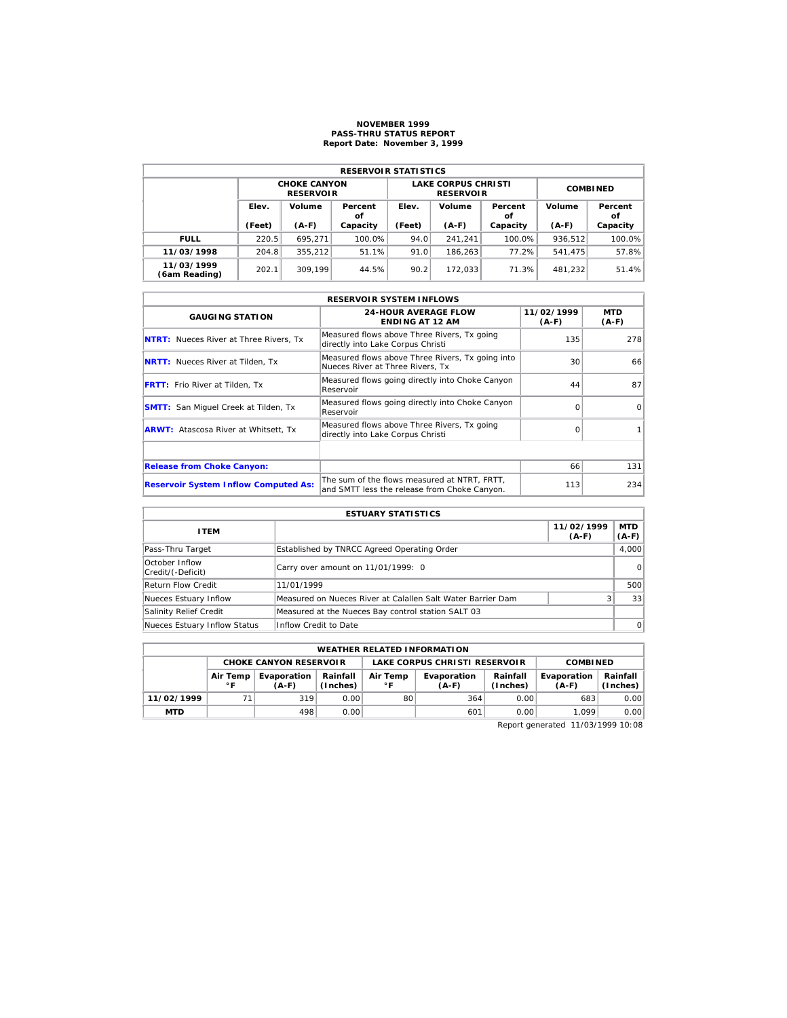## **NOVEMBER 1999 PASS-THRU STATUS REPORT Report Date: November 3, 1999**

| <b>RESERVOIR STATISTICS</b> |                 |                                         |               |                 |                                                |                 |                         |          |  |  |
|-----------------------------|-----------------|-----------------------------------------|---------------|-----------------|------------------------------------------------|-----------------|-------------------------|----------|--|--|
|                             |                 | <b>CHOKE CANYON</b><br><b>RESERVOIR</b> |               |                 | <b>LAKE CORPUS CHRISTI</b><br><b>RESERVOIR</b> | <b>COMBINED</b> |                         |          |  |  |
|                             | Elev.<br>Volume |                                         | Percent<br>οf | Volume<br>Elev. |                                                | Percent<br>οf   | Volume<br>Percent<br>οf |          |  |  |
|                             | (Feet)          | $(A-F)$                                 | Capacity      | (Feet)          | $(A-F)$                                        | Capacity        | $(A-F)$                 | Capacity |  |  |
| <b>FULL</b>                 | 220.5           | 695.271                                 | 100.0%        | 94.0            | 241.241                                        | 100.0%          | 936.512                 | 100.0%   |  |  |
| 11/03/1998                  | 204.8           | 355,212                                 | 51.1%         | 91.0            | 186.263                                        | 77.2%           | 541.475                 | 57.8%    |  |  |
| 11/03/1999<br>(6am Reading) | 202.1           | 309.199                                 | 44.5%         | 90.2            | 172.033                                        | 71.3%           | 481.232                 | 51.4%    |  |  |

|                                               | <b>RESERVOIR SYSTEM INFLOWS</b>                                                              |                       |                |
|-----------------------------------------------|----------------------------------------------------------------------------------------------|-----------------------|----------------|
| <b>GAUGING STATION</b>                        | <b>24-HOUR AVERAGE FLOW</b><br><b>ENDING AT 12 AM</b>                                        | 11/02/1999<br>$(A-F)$ | MTD<br>$(A-F)$ |
| <b>NTRT:</b> Nueces River at Three Rivers, Tx | Measured flows above Three Rivers, Tx going<br>directly into Lake Corpus Christi             | 135                   | 278            |
| <b>NRTT:</b> Nueces River at Tilden, Tx       | Measured flows above Three Rivers, Tx going into<br>Nueces River at Three Rivers. Tx         | 30                    | 66             |
| <b>FRTT:</b> Frio River at Tilden, Tx         | Measured flows going directly into Choke Canyon<br>Reservoir                                 | 44                    | 87             |
| <b>SMTT:</b> San Miquel Creek at Tilden, Tx   | Measured flows going directly into Choke Canyon<br>Reservoir                                 | ∩                     | $\Omega$       |
| <b>ARWT:</b> Atascosa River at Whitsett, Tx   | Measured flows above Three Rivers, Tx going<br>directly into Lake Corpus Christi             | $\Omega$              |                |
|                                               |                                                                                              |                       |                |
| <b>Release from Choke Canyon:</b>             |                                                                                              | 66                    | 131            |
| <b>Reservoir System Inflow Computed As:</b>   | The sum of the flows measured at NTRT, FRTT,<br>and SMTT less the release from Choke Canyon. | 113                   | 234            |

| <b>ESTUARY STATISTICS</b>           |                                                             |  |          |  |  |  |  |
|-------------------------------------|-------------------------------------------------------------|--|----------|--|--|--|--|
| <b>ITEM</b>                         | 11/02/1999<br>$(A-F)$<br>$(A-F)$                            |  |          |  |  |  |  |
| Pass-Thru Target                    | Established by TNRCC Agreed Operating Order                 |  | 4.000    |  |  |  |  |
| October Inflow<br>Credit/(-Deficit) | Carry over amount on 11/01/1999: 0                          |  | $\Omega$ |  |  |  |  |
| <b>Return Flow Credit</b>           | 11/01/1999                                                  |  | 500      |  |  |  |  |
| Nueces Estuary Inflow               | Measured on Nueces River at Calallen Salt Water Barrier Dam |  | 33       |  |  |  |  |
| Salinity Relief Credit              | Measured at the Nueces Bay control station SALT 03          |  |          |  |  |  |  |
| Nueces Estuary Inflow Status        | Inflow Credit to Date                                       |  | $\Omega$ |  |  |  |  |

| <b>WEATHER RELATED INFORMATION</b> |                          |                               |                      |                               |                        |                      |                        |                      |  |
|------------------------------------|--------------------------|-------------------------------|----------------------|-------------------------------|------------------------|----------------------|------------------------|----------------------|--|
|                                    |                          | <b>CHOKE CANYON RESERVOIR</b> |                      | LAKE CORPUS CHRISTI RESERVOIR |                        |                      | <b>COMBINED</b>        |                      |  |
|                                    | Air Temp<br>$^{\circ}$ F | Evaporation<br>$(A-F)$        | Rainfall<br>(Inches) | Air Temp<br>$^{\circ}$ F      | Evaporation<br>$(A-F)$ | Rainfall<br>(Inches) | Evaporation<br>$(A-F)$ | Rainfall<br>(Inches) |  |
| 11/02/1999                         |                          | 319                           | 0.00                 | 80                            | 364                    | 0.00                 | 683                    | 0.00                 |  |
| <b>MTD</b>                         |                          | 498                           | 0.00                 |                               | 601                    | 0.00                 | 1.099                  | 0.00                 |  |

Report generated 11/03/1999 10:08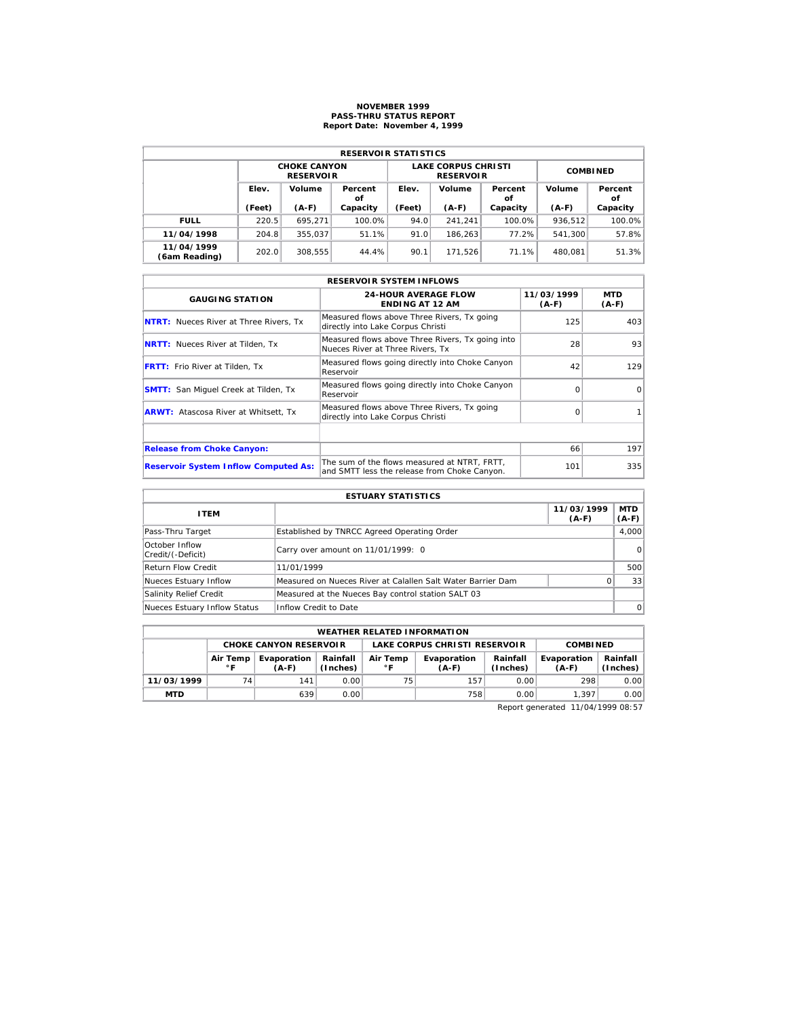# **NOVEMBER 1999 PASS-THRU STATUS REPORT Report Date: November 4, 1999**

| <b>RESERVOIR STATISTICS</b> |        |                                         |               |        |                                                |                 |         |               |  |  |
|-----------------------------|--------|-----------------------------------------|---------------|--------|------------------------------------------------|-----------------|---------|---------------|--|--|
|                             |        | <b>CHOKE CANYON</b><br><b>RESERVOIR</b> |               |        | <b>LAKE CORPUS CHRISTI</b><br><b>RESERVOIR</b> | <b>COMBINED</b> |         |               |  |  |
|                             | Elev.  | Volume                                  | Percent<br>οf | Elev.  | Volume                                         | Percent<br>οf   | Volume  | Percent<br>οf |  |  |
|                             | (Feet) | $(A-F)$                                 | Capacity      | (Feet) | $(A-F)$                                        | Capacity        | $(A-F)$ | Capacity      |  |  |
| <b>FULL</b>                 | 220.5  | 695.271                                 | 100.0%        | 94.0   | 241.241                                        | 100.0%          | 936.512 | 100.0%        |  |  |
| 11/04/1998                  | 204.8  | 355.037                                 | 51.1%         | 91.0   | 186.263                                        | 77.2%           | 541.300 | 57.8%         |  |  |
| 11/04/1999                  | 202.0  | 308.555                                 | 44.4%         | 90.1   | 171.526                                        | 71.1%           | 480.081 | 51.3%         |  |  |

| <b>RESERVOIR SYSTEM INFLOWS</b>               |                                                                                              |                       |                |  |  |  |  |  |  |
|-----------------------------------------------|----------------------------------------------------------------------------------------------|-----------------------|----------------|--|--|--|--|--|--|
| <b>GAUGING STATION</b>                        | <b>24-HOUR AVERAGE FLOW</b><br><b>ENDING AT 12 AM</b>                                        | 11/03/1999<br>$(A-F)$ | MTD<br>$(A-F)$ |  |  |  |  |  |  |
| <b>NTRT:</b> Nueces River at Three Rivers, Tx | Measured flows above Three Rivers, Tx going<br>directly into Lake Corpus Christi             | 125                   | 403            |  |  |  |  |  |  |
| <b>NRTT:</b> Nueces River at Tilden, Tx       | Measured flows above Three Rivers, Tx going into<br>Nueces River at Three Rivers. Tx         | 28                    | 93             |  |  |  |  |  |  |
| <b>FRTT:</b> Frio River at Tilden, Tx         | Measured flows going directly into Choke Canyon<br>Reservoir                                 | 42                    | 129            |  |  |  |  |  |  |
| <b>SMTT:</b> San Miquel Creek at Tilden, Tx   | Measured flows going directly into Choke Canyon<br>Reservoir                                 | $\Omega$              | $\Omega$       |  |  |  |  |  |  |
| <b>ARWT:</b> Atascosa River at Whitsett, Tx   | Measured flows above Three Rivers, Tx going<br>directly into Lake Corpus Christi             | $\Omega$              |                |  |  |  |  |  |  |
|                                               |                                                                                              |                       |                |  |  |  |  |  |  |
| <b>Release from Choke Canyon:</b>             |                                                                                              | 66                    | 197            |  |  |  |  |  |  |
| <b>Reservoir System Inflow Computed As:</b>   | The sum of the flows measured at NTRT. FRTT.<br>and SMTT less the release from Choke Canyon. | 101                   | 335            |  |  |  |  |  |  |

| <b>ESTUARY STATISTICS</b>           |                                                             |                       |                  |  |  |  |  |
|-------------------------------------|-------------------------------------------------------------|-----------------------|------------------|--|--|--|--|
| <b>ITEM</b>                         |                                                             | 11/03/1999<br>$(A-F)$ | MTD  <br>$(A-F)$ |  |  |  |  |
| Pass-Thru Target                    | Established by TNRCC Agreed Operating Order                 |                       | 4,000            |  |  |  |  |
| October Inflow<br>Credit/(-Deficit) | Carry over amount on 11/01/1999: 0                          |                       | 0                |  |  |  |  |
| Return Flow Credit                  | 11/01/1999                                                  |                       | 500              |  |  |  |  |
| Nueces Estuary Inflow               | Measured on Nueces River at Calallen Salt Water Barrier Dam | <sup>o</sup>          | 33               |  |  |  |  |
| Salinity Relief Credit              | Measured at the Nueces Bay control station SALT 03          |                       |                  |  |  |  |  |
| Nueces Estuary Inflow Status        | Inflow Credit to Date                                       |                       | $\Omega$         |  |  |  |  |

|                                                                                                         | <b>WEATHER RELATED INFORMATION</b>                                                |     |      |    |             |                      |                        |                      |  |  |  |
|---------------------------------------------------------------------------------------------------------|-----------------------------------------------------------------------------------|-----|------|----|-------------|----------------------|------------------------|----------------------|--|--|--|
|                                                                                                         | LAKE CORPUS CHRISTI RESERVOIR<br><b>CHOKE CANYON RESERVOLR</b><br><b>COMBINED</b> |     |      |    |             |                      |                        |                      |  |  |  |
| Rainfall<br>Air Temp<br>Air Temp<br>Evaporation<br>(Inches)<br>∘г<br>$^{\circ}$ F<br>$(A-F)$<br>$(A-F)$ |                                                                                   |     |      |    | Evaporation | Rainfall<br>(Inches) | Evaporation<br>$(A-F)$ | Rainfall<br>(Inches) |  |  |  |
| 11/03/1999                                                                                              | 74                                                                                | 141 | 0.00 | 75 | 157.        | 0.00                 | 298                    | 0.00                 |  |  |  |
| <b>MTD</b>                                                                                              |                                                                                   | 639 | 0.00 |    | 758         | 0.00                 | 1.397                  | 0.00                 |  |  |  |

Report generated 11/04/1999 08:57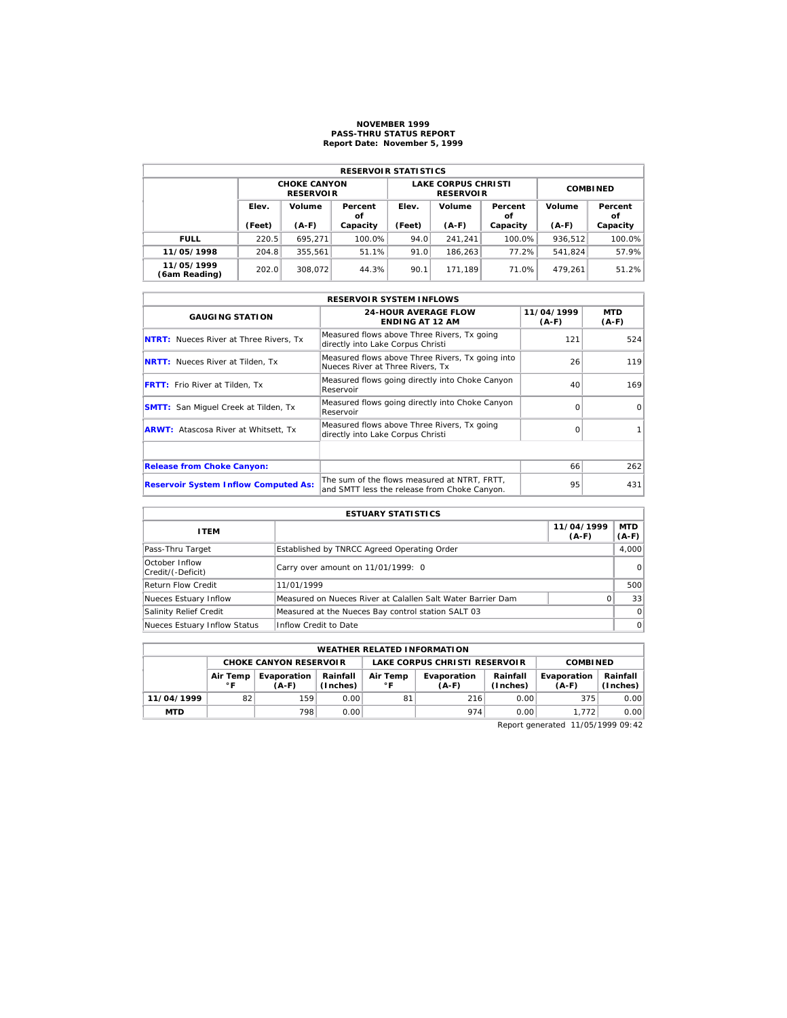## **NOVEMBER 1999 PASS-THRU STATUS REPORT Report Date: November 5, 1999**

| <b>RESERVOIR STATISTICS</b> |                 |                                         |               |        |                                                |                 |         |               |  |  |
|-----------------------------|-----------------|-----------------------------------------|---------------|--------|------------------------------------------------|-----------------|---------|---------------|--|--|
|                             |                 | <b>CHOKE CANYON</b><br><b>RESERVOIR</b> |               |        | <b>LAKE CORPUS CHRISTI</b><br><b>RESERVOIR</b> | <b>COMBINED</b> |         |               |  |  |
|                             | Elev.<br>Volume |                                         | Percent<br>οf | Elev.  | Volume                                         | Percent<br>οf   | Volume  | Percent<br>οf |  |  |
|                             | (Feet)          | $(A-F)$                                 | Capacity      | (Feet) | $(A-F)$                                        | Capacity        | $(A-F)$ | Capacity      |  |  |
| <b>FULL</b>                 | 220.5           | 695.271                                 | 100.0%        | 94.0   | 241.241                                        | 100.0%          | 936.512 | 100.0%        |  |  |
| 11/05/1998                  | 204.8           | 355.561                                 | 51.1%         | 91.0   | 186.263                                        | 77.2%           | 541.824 | 57.9%         |  |  |
| 11/05/1999<br>(6am Reading) | 202.0           | 308.072                                 | 44.3%         | 90.1   | 171.189                                        | 71.0%           | 479.261 | 51.2%         |  |  |

|                                               | <b>RESERVOIR SYSTEM INFLOWS</b>                                                              |                       |                       |  |  |  |  |  |  |  |
|-----------------------------------------------|----------------------------------------------------------------------------------------------|-----------------------|-----------------------|--|--|--|--|--|--|--|
| <b>GAUGING STATION</b>                        | <b>24-HOUR AVERAGE FLOW</b><br><b>ENDING AT 12 AM</b>                                        | 11/04/1999<br>$(A-F)$ | <b>MTD</b><br>$(A-F)$ |  |  |  |  |  |  |  |
| <b>NTRT:</b> Nueces River at Three Rivers, Tx | Measured flows above Three Rivers, Tx going<br>directly into Lake Corpus Christi             | 121                   | 524                   |  |  |  |  |  |  |  |
| <b>NRTT:</b> Nueces River at Tilden, Tx       | Measured flows above Three Rivers, Tx going into<br>Nueces River at Three Rivers. Tx         | 26                    | 119                   |  |  |  |  |  |  |  |
| <b>FRTT:</b> Frio River at Tilden, Tx         | Measured flows going directly into Choke Canyon<br>Reservoir                                 | 40                    | 169                   |  |  |  |  |  |  |  |
| <b>SMTT:</b> San Miquel Creek at Tilden, Tx   | Measured flows going directly into Choke Canyon<br>Reservoir                                 | $\Omega$              | $\Omega$              |  |  |  |  |  |  |  |
| <b>ARWT:</b> Atascosa River at Whitsett, Tx   | Measured flows above Three Rivers, Tx going<br>directly into Lake Corpus Christi             | $\Omega$              |                       |  |  |  |  |  |  |  |
|                                               |                                                                                              |                       |                       |  |  |  |  |  |  |  |
| <b>Release from Choke Canyon:</b>             |                                                                                              | 66                    | 262                   |  |  |  |  |  |  |  |
| <b>Reservoir System Inflow Computed As:</b>   | The sum of the flows measured at NTRT, FRTT,<br>and SMTT less the release from Choke Canyon. | 95                    | 431                   |  |  |  |  |  |  |  |

| <b>ESTUARY STATISTICS</b>           |                                                             |                       |                  |  |  |  |  |
|-------------------------------------|-------------------------------------------------------------|-----------------------|------------------|--|--|--|--|
| <b>ITEM</b>                         |                                                             | 11/04/1999<br>$(A-F)$ | MTD  <br>$(A-F)$ |  |  |  |  |
| Pass-Thru Target                    | Established by TNRCC Agreed Operating Order                 |                       | 4.000            |  |  |  |  |
| October Inflow<br>Credit/(-Deficit) | Carry over amount on 11/01/1999: 0                          |                       | $\Omega$         |  |  |  |  |
| <b>Return Flow Credit</b>           | 11/01/1999                                                  |                       | 500              |  |  |  |  |
| Nueces Estuary Inflow               | Measured on Nueces River at Calallen Salt Water Barrier Dam | 0                     | 33               |  |  |  |  |
| Salinity Relief Credit              | Measured at the Nueces Bay control station SALT 03          |                       | $\Omega$         |  |  |  |  |
| Nueces Estuary Inflow Status        | Inflow Credit to Date                                       |                       | $\Omega$         |  |  |  |  |

| <b>WEATHER RELATED INFORMATION</b>                                                |                                                                                                                                                |     |      |    |     |                        |                      |      |  |
|-----------------------------------------------------------------------------------|------------------------------------------------------------------------------------------------------------------------------------------------|-----|------|----|-----|------------------------|----------------------|------|--|
| LAKE CORPUS CHRISTI RESERVOIR<br><b>CHOKE CANYON RESERVOLR</b><br><b>COMBINED</b> |                                                                                                                                                |     |      |    |     |                        |                      |      |  |
|                                                                                   | Air Temp<br>Rainfall<br>Evaporation<br>Rainfall<br>Air Temp<br>Evaporation<br>$^{\circ}$ F<br>∘г<br>(Inches)<br>(Inches)<br>$(A-F)$<br>$(A-F)$ |     |      |    |     | Evaporation<br>$(A-F)$ | Rainfall<br>(Inches) |      |  |
| 11/04/1999                                                                        | 82                                                                                                                                             | 159 | 0.00 | 81 | 216 | 0.00                   | 375                  | 0.00 |  |
| <b>MTD</b>                                                                        |                                                                                                                                                | 798 | 0.00 |    | 974 | 0.00                   | 1.772                | 0.00 |  |

Report generated 11/05/1999 09:42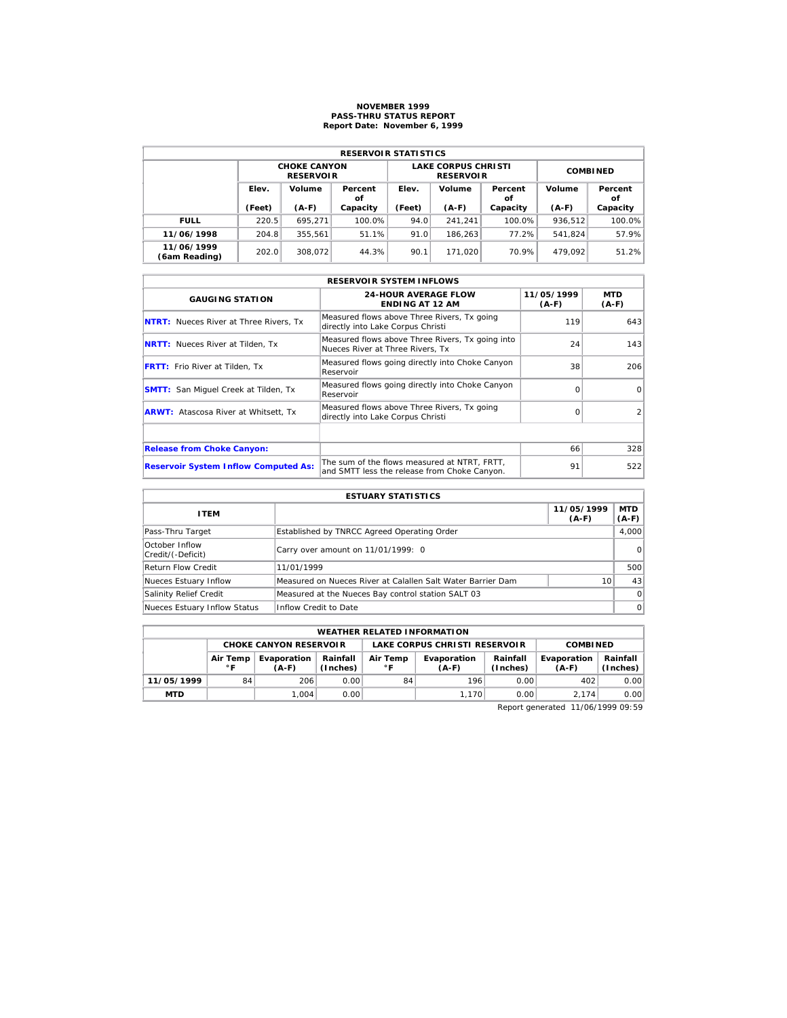# **NOVEMBER 1999 PASS-THRU STATUS REPORT Report Date: November 6, 1999**

| <b>RESERVOIR STATISTICS</b> |        |                                         |               |        |                                                |                 |         |               |  |  |
|-----------------------------|--------|-----------------------------------------|---------------|--------|------------------------------------------------|-----------------|---------|---------------|--|--|
|                             |        | <b>CHOKE CANYON</b><br><b>RESERVOIR</b> |               |        | <b>LAKE CORPUS CHRISTI</b><br><b>RESERVOIR</b> | <b>COMBINED</b> |         |               |  |  |
| Elev.                       |        | Volume                                  | Percent<br>οf | Elev.  | Volume                                         | Percent<br>οf   | Volume  | Percent<br>οf |  |  |
|                             | (Feet) | $(A-F)$                                 | Capacity      | (Feet) | $(A-F)$                                        | Capacity        | $(A-F)$ | Capacity      |  |  |
| <b>FULL</b>                 | 220.5  | 695.271                                 | 100.0%        | 94.0   | 241.241                                        | 100.0%          | 936.512 | 100.0%        |  |  |
| 11/06/1998                  | 204.8  | 355.561                                 | 51.1%         | 91.0   | 186.263                                        | 77.2%           | 541.824 | 57.9%         |  |  |
| 11/06/1999<br>(6am Reading) | 202.0  | 308.072                                 | 44.3%         | 90.1   | 171.020                                        | 70.9%           | 479.092 | 51.2%         |  |  |

| <b>RESERVOIR SYSTEM INFLOWS</b>               |                                                                                              |                       |                |  |  |  |  |  |  |
|-----------------------------------------------|----------------------------------------------------------------------------------------------|-----------------------|----------------|--|--|--|--|--|--|
| <b>GAUGING STATION</b>                        | <b>24-HOUR AVERAGE FLOW</b><br><b>ENDING AT 12 AM</b>                                        | 11/05/1999<br>$(A-F)$ | MTD<br>$(A-F)$ |  |  |  |  |  |  |
| <b>NTRT:</b> Nueces River at Three Rivers, Tx | Measured flows above Three Rivers, Tx going<br>directly into Lake Corpus Christi             | 119                   | 643            |  |  |  |  |  |  |
| <b>NRTT:</b> Nueces River at Tilden, Tx       | Measured flows above Three Rivers, Tx going into<br>Nueces River at Three Rivers. Tx         | 24                    | 143            |  |  |  |  |  |  |
| <b>FRTT:</b> Frio River at Tilden, Tx         | Measured flows going directly into Choke Canyon<br>Reservoir                                 | 38                    | 206            |  |  |  |  |  |  |
| <b>SMTT:</b> San Miquel Creek at Tilden, Tx   | Measured flows going directly into Choke Canyon<br>Reservoir                                 | $\Omega$              | $\Omega$       |  |  |  |  |  |  |
| <b>ARWT:</b> Atascosa River at Whitsett, Tx   | Measured flows above Three Rivers, Tx going<br>directly into Lake Corpus Christi             | $\Omega$              | 2              |  |  |  |  |  |  |
|                                               |                                                                                              |                       |                |  |  |  |  |  |  |
| <b>Release from Choke Canyon:</b>             |                                                                                              | 66                    | 328            |  |  |  |  |  |  |
| <b>Reservoir System Inflow Computed As:</b>   | The sum of the flows measured at NTRT. FRTT.<br>and SMTT less the release from Choke Canyon. | 91                    | 522            |  |  |  |  |  |  |

| <b>ESTUARY STATISTICS</b>           |                                                             |                       |                  |  |  |  |
|-------------------------------------|-------------------------------------------------------------|-----------------------|------------------|--|--|--|
| <b>ITEM</b>                         |                                                             | 11/05/1999<br>$(A-F)$ | MTD  <br>$(A-F)$ |  |  |  |
| Pass-Thru Target                    | Established by TNRCC Agreed Operating Order                 |                       | 4.000            |  |  |  |
| October Inflow<br>Credit/(-Deficit) | Carry over amount on 11/01/1999: 0                          |                       | 0                |  |  |  |
| <b>Return Flow Credit</b>           | 11/01/1999                                                  |                       | 500              |  |  |  |
| Nueces Estuary Inflow               | Measured on Nueces River at Calallen Salt Water Barrier Dam | 10 <sup>1</sup>       | 43               |  |  |  |
| Salinity Relief Credit              | Measured at the Nueces Bay control station SALT 03          |                       | $\Omega$         |  |  |  |
| Nueces Estuary Inflow Status        | Inflow Credit to Date                                       |                       | $\Omega$         |  |  |  |

|            | <b>WEATHER RELATED INFORMATION</b>                                                                                                   |       |       |    |       |                        |                      |      |  |  |  |
|------------|--------------------------------------------------------------------------------------------------------------------------------------|-------|-------|----|-------|------------------------|----------------------|------|--|--|--|
|            | LAKE CORPUS CHRISTI RESERVOIR<br><b>CHOKE CANYON RESERVOIR</b><br><b>COMBINED</b>                                                    |       |       |    |       |                        |                      |      |  |  |  |
|            | Rainfall<br>Rainfall<br>Evaporation<br>Air Temp<br>Evaporation<br>Air Temp<br>(Inches)<br>(Inches)<br>∘г<br>∘г<br>$(A-F)$<br>$(A-F)$ |       |       |    |       | Evaporation<br>$(A-F)$ | Rainfall<br>(Inches) |      |  |  |  |
| 11/05/1999 | 84                                                                                                                                   | 206   | 0.00  | 84 | 196   | 0.00                   | 402                  | 0.00 |  |  |  |
| <b>MTD</b> |                                                                                                                                      | 1.004 | 0.001 |    | 1.170 | 0.00                   | 2.174                | 0.00 |  |  |  |

Report generated 11/06/1999 09:59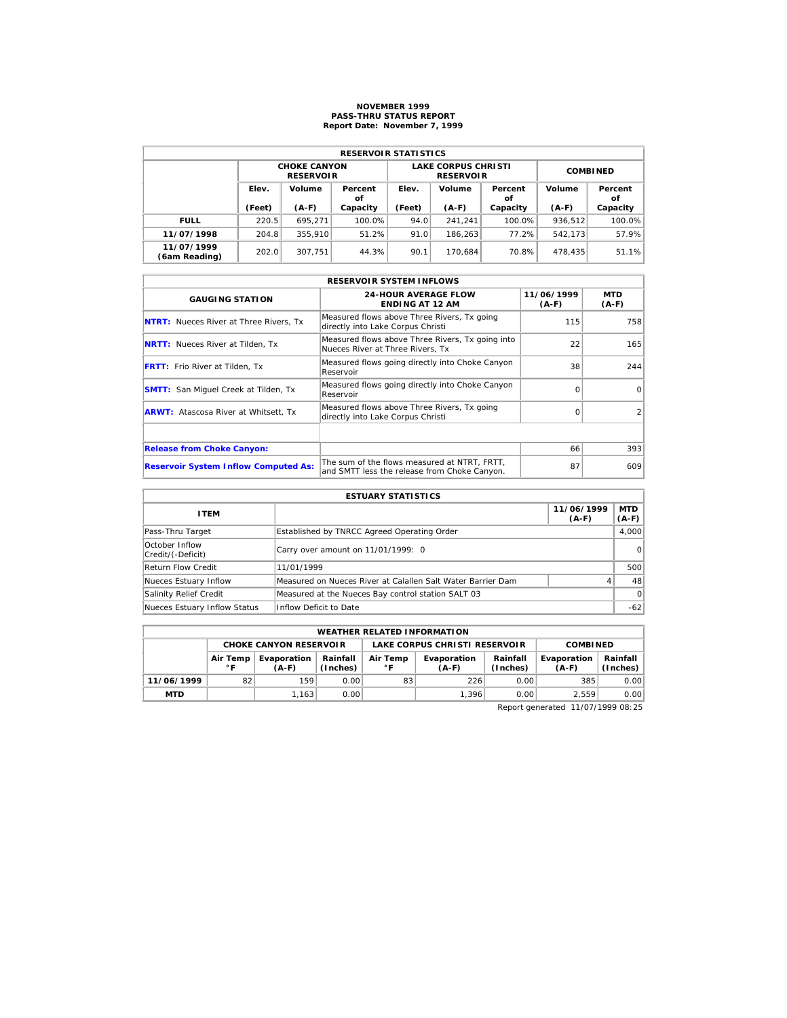# **NOVEMBER 1999 PASS-THRU STATUS REPORT Report Date: November 7, 1999**

| <b>RESERVOIR STATISTICS</b> |        |                                         |               |        |                                                |                 |         |               |  |  |  |
|-----------------------------|--------|-----------------------------------------|---------------|--------|------------------------------------------------|-----------------|---------|---------------|--|--|--|
|                             |        | <b>CHOKE CANYON</b><br><b>RESERVOIR</b> |               |        | <b>LAKE CORPUS CHRISTI</b><br><b>RESERVOIR</b> | <b>COMBINED</b> |         |               |  |  |  |
|                             | Elev.  | Volume                                  | Percent<br>οf | Elev.  | Volume                                         | Percent<br>οf   | Volume  | Percent<br>οf |  |  |  |
|                             | (Feet) | $(A-F)$                                 | Capacity      | (Feet) | $(A-F)$                                        | Capacity        | $(A-F)$ | Capacity      |  |  |  |
| <b>FULL</b>                 | 220.5  | 695.271                                 | 100.0%        | 94.0   | 241.241                                        | 100.0%          | 936.512 | 100.0%        |  |  |  |
| 11/07/1998                  | 204.8  | 355,910                                 | 51.2%         | 91.0   | 186.263                                        | 77.2%           | 542.173 | 57.9%         |  |  |  |
| 11/07/1999<br>(6am Reading) | 202.0  | 307.751                                 | 44.3%         | 90.1   | 170.684                                        | 70.8%           | 478.435 | 51.1%         |  |  |  |

|                                               | <b>RESERVOIR SYSTEM INFLOWS</b>                                                              |                       |                       |  |  |  |  |  |  |  |
|-----------------------------------------------|----------------------------------------------------------------------------------------------|-----------------------|-----------------------|--|--|--|--|--|--|--|
| <b>GAUGING STATION</b>                        | <b>24-HOUR AVERAGE FLOW</b><br><b>ENDING AT 12 AM</b>                                        | 11/06/1999<br>$(A-F)$ | <b>MTD</b><br>$(A-F)$ |  |  |  |  |  |  |  |
| <b>NTRT:</b> Nueces River at Three Rivers, Tx | Measured flows above Three Rivers, Tx going<br>directly into Lake Corpus Christi             | 115                   | 758                   |  |  |  |  |  |  |  |
| <b>NRTT:</b> Nueces River at Tilden, Tx       | Measured flows above Three Rivers, Tx going into<br>Nueces River at Three Rivers. Tx         | 22                    | 165                   |  |  |  |  |  |  |  |
| <b>FRTT:</b> Frio River at Tilden, Tx         | Measured flows going directly into Choke Canyon<br>Reservoir                                 | 38                    | 244                   |  |  |  |  |  |  |  |
| <b>SMTT:</b> San Miquel Creek at Tilden, Tx   | Measured flows going directly into Choke Canyon<br>Reservoir                                 | $\Omega$              | $\Omega$              |  |  |  |  |  |  |  |
| <b>ARWT:</b> Atascosa River at Whitsett, Tx   | Measured flows above Three Rivers, Tx going<br>directly into Lake Corpus Christi             | $\Omega$              | 2                     |  |  |  |  |  |  |  |
|                                               |                                                                                              |                       |                       |  |  |  |  |  |  |  |
| <b>Release from Choke Canyon:</b>             |                                                                                              | 66                    | 393                   |  |  |  |  |  |  |  |
| <b>Reservoir System Inflow Computed As:</b>   | The sum of the flows measured at NTRT. FRTT.<br>and SMTT less the release from Choke Canyon. | 87                    | 609                   |  |  |  |  |  |  |  |

| <b>ESTUARY STATISTICS</b>           |                                                             |                       |                  |  |  |  |
|-------------------------------------|-------------------------------------------------------------|-----------------------|------------------|--|--|--|
| <b>ITEM</b>                         |                                                             | 11/06/1999<br>$(A-F)$ | MTD  <br>$(A-F)$ |  |  |  |
| Pass-Thru Target                    | Established by TNRCC Agreed Operating Order                 |                       | 4.000            |  |  |  |
| October Inflow<br>Credit/(-Deficit) | Carry over amount on 11/01/1999: 0                          |                       | 0                |  |  |  |
| <b>Return Flow Credit</b>           | 11/01/1999                                                  |                       | 500              |  |  |  |
| Nueces Estuary Inflow               | Measured on Nueces River at Calallen Salt Water Barrier Dam | 4                     | 48               |  |  |  |
| Salinity Relief Credit              | Measured at the Nueces Bay control station SALT 03          |                       | $\Omega$         |  |  |  |
| Nueces Estuary Inflow Status        | Inflow Deficit to Date                                      |                       | $-62$            |  |  |  |

|                               | <b>WEATHER RELATED INFORMATION</b> |                                                                  |      |    |                               |                      |                        |                      |  |  |  |
|-------------------------------|------------------------------------|------------------------------------------------------------------|------|----|-------------------------------|----------------------|------------------------|----------------------|--|--|--|
| <b>CHOKE CANYON RESERVOIR</b> |                                    |                                                                  |      |    | LAKE CORPUS CHRISTI RESERVOIR | <b>COMBINED</b>      |                        |                      |  |  |  |
|                               | Air Temp<br>$^{\circ}$ F           | Rainfall<br>Air Temp<br>Evaporation<br>(Inches)<br>∘г<br>$(A-F)$ |      |    | Evaporation<br>$(A-F)$        | Rainfall<br>(Inches) | Evaporation<br>$(A-F)$ | Rainfall<br>(Inches) |  |  |  |
| 11/06/1999                    | 82                                 | 159                                                              | 0.00 | 83 | 226                           | 0.00                 | 385                    | 0.00                 |  |  |  |
| <b>MTD</b>                    |                                    | 1.163                                                            | 0.00 |    | 1.396                         | 0.00                 | 2.559                  | 0.00                 |  |  |  |

Report generated 11/07/1999 08:25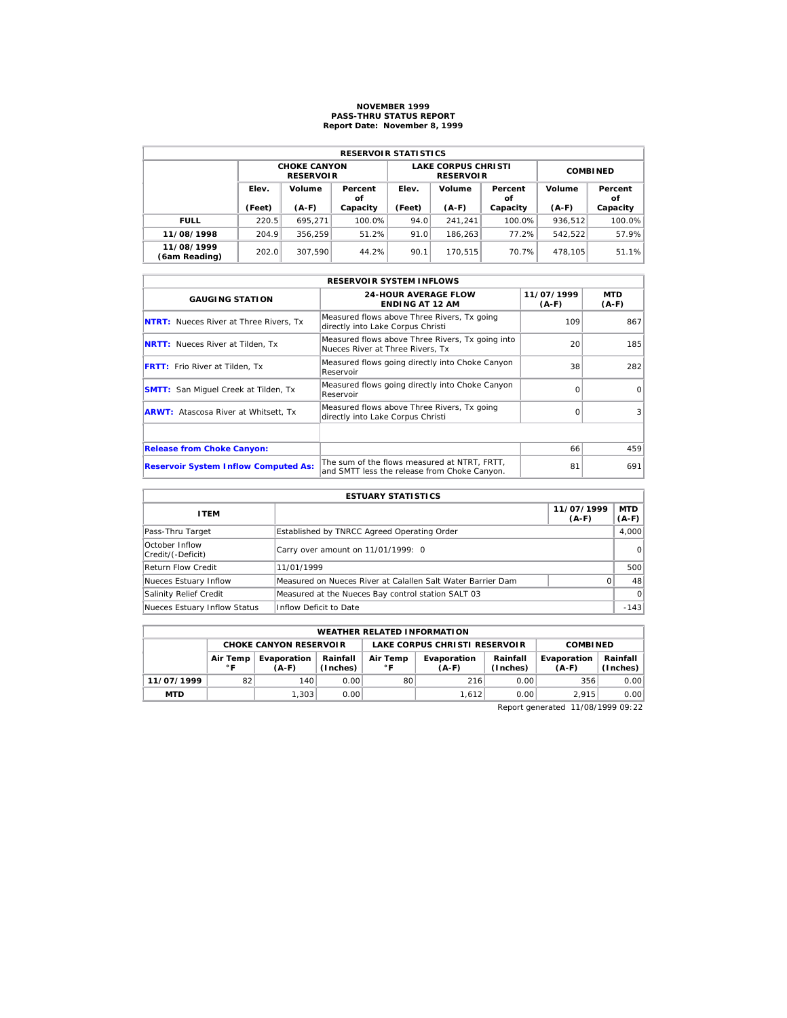# **NOVEMBER 1999 PASS-THRU STATUS REPORT Report Date: November 8, 1999**

| <b>RESERVOIR STATISTICS</b> |        |                                         |               |        |                                                |                 |         |               |  |  |  |
|-----------------------------|--------|-----------------------------------------|---------------|--------|------------------------------------------------|-----------------|---------|---------------|--|--|--|
|                             |        | <b>CHOKE CANYON</b><br><b>RESERVOIR</b> |               |        | <b>LAKE CORPUS CHRISTI</b><br><b>RESERVOIR</b> | <b>COMBINED</b> |         |               |  |  |  |
|                             | Elev.  | Volume                                  | Percent<br>οf | Elev.  | Volume                                         | Percent<br>οf   | Volume  | Percent<br>οf |  |  |  |
|                             | (Feet) | $(A-F)$                                 | Capacity      | (Feet) | $(A-F)$                                        | Capacity        | $(A-F)$ | Capacity      |  |  |  |
| <b>FULL</b>                 | 220.5  | 695.271                                 | 100.0%        | 94.0   | 241.241                                        | 100.0%          | 936.512 | 100.0%        |  |  |  |
| 11/08/1998                  | 204.9  | 356.259                                 | 51.2%         | 91.0   | 186.263                                        | 77.2%           | 542.522 | 57.9%         |  |  |  |
| 11/08/1999                  | 202.0  | 307.590                                 | 44.2%         | 90.1   | 170.515                                        | 70.7%           | 478.105 | 51.1%         |  |  |  |

|                                               | <b>RESERVOIR SYSTEM INFLOWS</b>                                                              |                       |                |  |  |  |  |  |  |  |
|-----------------------------------------------|----------------------------------------------------------------------------------------------|-----------------------|----------------|--|--|--|--|--|--|--|
| <b>GAUGING STATION</b>                        | <b>24-HOUR AVERAGE FLOW</b><br><b>ENDING AT 12 AM</b>                                        | 11/07/1999<br>$(A-F)$ | MTD<br>$(A-F)$ |  |  |  |  |  |  |  |
| <b>NTRT:</b> Nueces River at Three Rivers, Tx | Measured flows above Three Rivers, Tx going<br>directly into Lake Corpus Christi             | 109                   | 867            |  |  |  |  |  |  |  |
| <b>NRTT:</b> Nueces River at Tilden, Tx       | Measured flows above Three Rivers, Tx going into<br>Nueces River at Three Rivers. Tx         | 20                    | 185            |  |  |  |  |  |  |  |
| <b>FRTT:</b> Frio River at Tilden, Tx         | Measured flows going directly into Choke Canyon<br>Reservoir                                 | 38                    | 282            |  |  |  |  |  |  |  |
| <b>SMTT:</b> San Miquel Creek at Tilden, Tx   | Measured flows going directly into Choke Canyon<br>Reservoir                                 | $\Omega$              | $\Omega$       |  |  |  |  |  |  |  |
| <b>ARWT:</b> Atascosa River at Whitsett, Tx   | Measured flows above Three Rivers, Tx going<br>directly into Lake Corpus Christi             | $\Omega$              | 3              |  |  |  |  |  |  |  |
|                                               |                                                                                              |                       |                |  |  |  |  |  |  |  |
| <b>Release from Choke Canyon:</b>             |                                                                                              | 66                    | 459            |  |  |  |  |  |  |  |
| <b>Reservoir System Inflow Computed As:</b>   | The sum of the flows measured at NTRT. FRTT.<br>and SMTT less the release from Choke Canyon. | 81                    | 691            |  |  |  |  |  |  |  |

| <b>ESTUARY STATISTICS</b>           |                                                             |                       |                  |  |  |  |  |
|-------------------------------------|-------------------------------------------------------------|-----------------------|------------------|--|--|--|--|
| <b>ITEM</b>                         |                                                             | 11/07/1999<br>$(A-F)$ | MTD  <br>$(A-F)$ |  |  |  |  |
| Pass-Thru Target                    | Established by TNRCC Agreed Operating Order                 |                       | 4,000            |  |  |  |  |
| October Inflow<br>Credit/(-Deficit) | Carry over amount on 11/01/1999: 0                          |                       | 0                |  |  |  |  |
| <b>Return Flow Credit</b>           | 11/01/1999                                                  |                       | 500              |  |  |  |  |
| Nueces Estuary Inflow               | Measured on Nueces River at Calallen Salt Water Barrier Dam | O.                    | 48               |  |  |  |  |
| Salinity Relief Credit              | Measured at the Nueces Bay control station SALT 03          |                       | $\Omega$         |  |  |  |  |
| Nueces Estuary Inflow Status        | Inflow Deficit to Date                                      |                       | $-143$           |  |  |  |  |

|            | <b>WEATHER RELATED INFORMATION</b> |                        |                      |                |                               |                      |                        |                      |  |  |  |
|------------|------------------------------------|------------------------|----------------------|----------------|-------------------------------|----------------------|------------------------|----------------------|--|--|--|
|            | <b>CHOKE CANYON RESERVOIR</b>      |                        |                      |                | LAKE CORPUS CHRISTI RESERVOIR | <b>COMBINED</b>      |                        |                      |  |  |  |
|            | Air Temp<br>∘г                     | Evaporation<br>$(A-F)$ | Rainfall<br>(Inches) | Air Temp<br>∘г | Evaporation<br>$(A-F)$        | Rainfall<br>(Inches) | Evaporation<br>$(A-F)$ | Rainfall<br>(Inches) |  |  |  |
| 11/07/1999 | 82                                 | 140                    | 0.00                 | 80             | 216                           | 0.00                 | 356                    | 0.00                 |  |  |  |
| <b>MTD</b> |                                    | 1.303                  | 0.001                |                | 1.612                         | 0.00                 | 2.915                  | 0.00                 |  |  |  |

Report generated 11/08/1999 09:22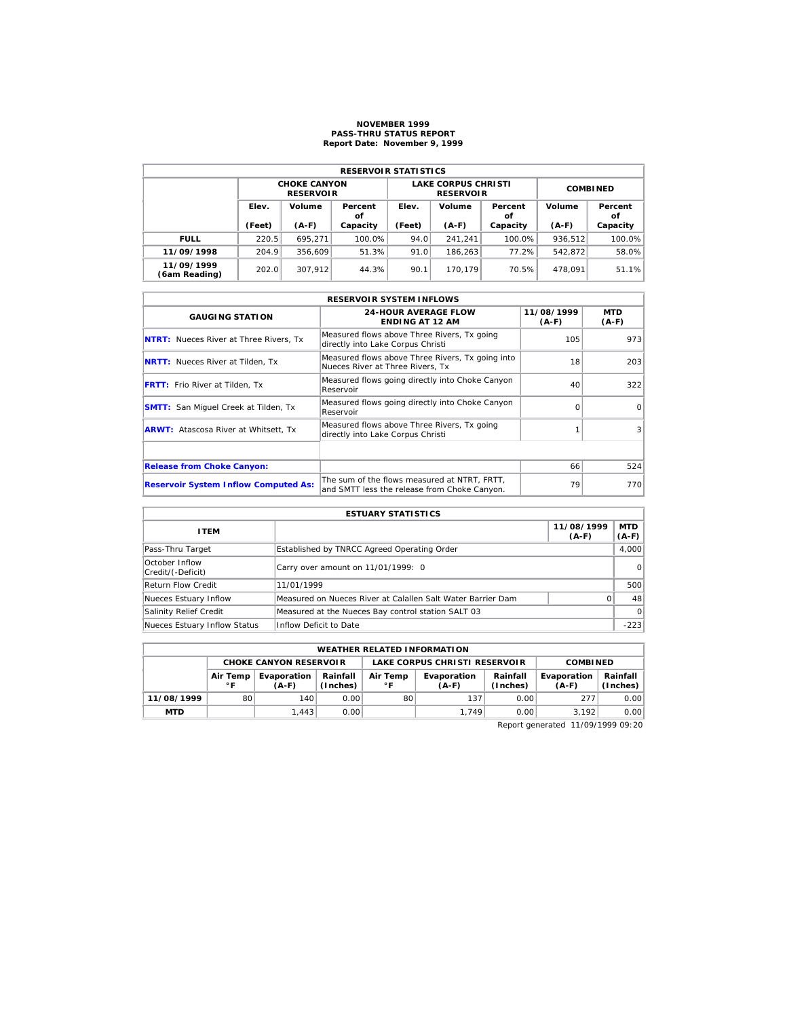## **NOVEMBER 1999 PASS-THRU STATUS REPORT Report Date: November 9, 1999**

| <b>RESERVOIR STATISTICS</b> |        |                                         |               |        |                                                |                 |         |               |  |  |  |
|-----------------------------|--------|-----------------------------------------|---------------|--------|------------------------------------------------|-----------------|---------|---------------|--|--|--|
|                             |        |                                         |               |        |                                                |                 |         |               |  |  |  |
|                             |        | <b>CHOKE CANYON</b><br><b>RESERVOIR</b> |               |        | <b>LAKE CORPUS CHRISTI</b><br><b>RESERVOIR</b> | <b>COMBINED</b> |         |               |  |  |  |
|                             | Elev.  | Volume                                  | Percent<br>οf | Elev.  | Volume                                         | Percent<br>οf   | Volume  | Percent<br>οf |  |  |  |
|                             | (Feet) | $(A-F)$                                 | Capacity      | (Feet) | $(A-F)$                                        | Capacity        | $(A-F)$ | Capacity      |  |  |  |
| <b>FULL</b>                 | 220.5  | 695.271                                 | 100.0%        | 94.0   | 241.241                                        | 100.0%          | 936.512 | 100.0%        |  |  |  |
| 11/09/1998                  | 204.9  | 356.609                                 | 51.3%         | 91.0   | 186.263                                        | 77.2%           | 542.872 | 58.0%         |  |  |  |
| 11/09/1999<br>(6am Reading) | 202.0  | 307.912                                 | 44.3%         | 90.1   | 170.179                                        | 70.5%           | 478.091 | 51.1%         |  |  |  |

|                                               | <b>RESERVOIR SYSTEM INFLOWS</b>                                                              |                       |                       |
|-----------------------------------------------|----------------------------------------------------------------------------------------------|-----------------------|-----------------------|
| <b>GAUGING STATION</b>                        | <b>24-HOUR AVERAGE FLOW</b><br><b>ENDING AT 12 AM</b>                                        | 11/08/1999<br>$(A-F)$ | <b>MTD</b><br>$(A-F)$ |
| <b>NTRT:</b> Nueces River at Three Rivers, Tx | Measured flows above Three Rivers, Tx going<br>directly into Lake Corpus Christi             | 105                   | 973                   |
| <b>NRTT:</b> Nueces River at Tilden, Tx       | Measured flows above Three Rivers, Tx going into<br>Nueces River at Three Rivers. Tx         | 18                    | 203                   |
| <b>FRTT:</b> Frio River at Tilden, Tx         | Measured flows going directly into Choke Canyon<br>Reservoir                                 | 40                    | 322                   |
| <b>SMTT:</b> San Miquel Creek at Tilden, Tx   | Measured flows going directly into Choke Canyon<br>Reservoir                                 | ∩                     | $\Omega$              |
| <b>ARWT:</b> Atascosa River at Whitsett, Tx   | Measured flows above Three Rivers, Tx going<br>directly into Lake Corpus Christi             |                       | 3                     |
|                                               |                                                                                              |                       |                       |
| <b>Release from Choke Canyon:</b>             |                                                                                              | 66                    | 524                   |
| <b>Reservoir System Inflow Computed As:</b>   | The sum of the flows measured at NTRT, FRTT,<br>and SMTT less the release from Choke Canyon. | 79                    | 770                   |

| <b>ESTUARY STATISTICS</b>           |                                                             |                       |                  |  |  |  |  |
|-------------------------------------|-------------------------------------------------------------|-----------------------|------------------|--|--|--|--|
| <b>ITEM</b>                         |                                                             | 11/08/1999<br>$(A-F)$ | MTD  <br>$(A-F)$ |  |  |  |  |
| Pass-Thru Target                    | Established by TNRCC Agreed Operating Order                 |                       | 4.000            |  |  |  |  |
| October Inflow<br>Credit/(-Deficit) | Carry over amount on 11/01/1999: 0                          |                       | $\Omega$         |  |  |  |  |
| <b>Return Flow Credit</b>           | 11/01/1999                                                  |                       | 500              |  |  |  |  |
| Nueces Estuary Inflow               | Measured on Nueces River at Calallen Salt Water Barrier Dam |                       | 48               |  |  |  |  |
| Salinity Relief Credit              | Measured at the Nueces Bay control station SALT 03          |                       | $\Omega$         |  |  |  |  |
| Nueces Estuary Inflow Status        | Inflow Deficit to Date                                      |                       | $-223$           |  |  |  |  |

| <b>WEATHER RELATED INFORMATION</b> |                |                        |                      |                               |                        |                      |                        |                      |  |  |
|------------------------------------|----------------|------------------------|----------------------|-------------------------------|------------------------|----------------------|------------------------|----------------------|--|--|
| <b>CHOKE CANYON RESERVOLR</b>      |                |                        |                      | LAKE CORPUS CHRISTI RESERVOIR |                        |                      | <b>COMBINED</b>        |                      |  |  |
|                                    | Air Temp<br>∘г | Evaporation<br>$(A-F)$ | Rainfall<br>(Inches) | Air Temp<br>$^{\circ}$ F      | Evaporation<br>$(A-F)$ | Rainfall<br>(Inches) | Evaporation<br>$(A-F)$ | Rainfall<br>(Inches) |  |  |
| 11/08/1999                         | 80             | 140                    | 0.00                 | 80                            | 137                    | 0.00                 | 277                    | 0.00                 |  |  |
| <b>MTD</b>                         |                | 1.443                  | 0.00                 |                               | 1.749                  | 0.00                 | 3.192                  | 0.00                 |  |  |

Report generated 11/09/1999 09:20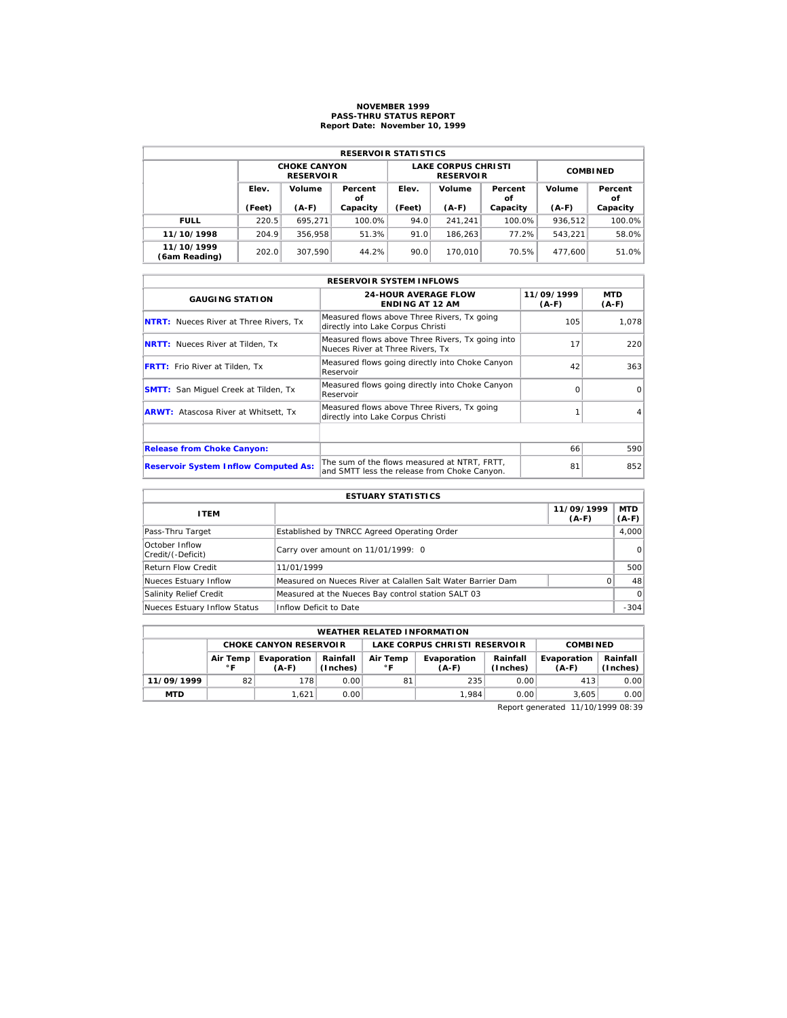# **NOVEMBER 1999 PASS-THRU STATUS REPORT Report Date: November 10, 1999**

| <b>RESERVOIR STATISTICS</b> |        |                                         |               |        |                                                |                 |         |               |  |  |  |
|-----------------------------|--------|-----------------------------------------|---------------|--------|------------------------------------------------|-----------------|---------|---------------|--|--|--|
|                             |        | <b>CHOKE CANYON</b><br><b>RESERVOIR</b> |               |        | <b>LAKE CORPUS CHRISTI</b><br><b>RESERVOIR</b> | <b>COMBINED</b> |         |               |  |  |  |
|                             | Elev.  | Volume                                  | Percent<br>οf | Elev.  | Volume                                         | Percent<br>οf   | Volume  | Percent<br>οf |  |  |  |
|                             | (Feet) | $(A-F)$                                 | Capacity      | (Feet) | $(A-F)$                                        | Capacity        | $(A-F)$ | Capacity      |  |  |  |
| <b>FULL</b>                 | 220.5  | 695.271                                 | 100.0%        | 94.0   | 241.241                                        | 100.0%          | 936.512 | 100.0%        |  |  |  |
| 11/10/1998                  | 204.9  | 356.958                                 | 51.3%         | 91.0   | 186.263                                        | 77.2%           | 543.221 | 58.0%         |  |  |  |
| 11/10/1999                  | 202.0  | 307.590                                 | 44.2%         | 90.0   | 170.010                                        | 70.5%           | 477.600 | 51.0%         |  |  |  |

|                                               | <b>RESERVOIR SYSTEM INFLOWS</b>                                                              |                       |                |
|-----------------------------------------------|----------------------------------------------------------------------------------------------|-----------------------|----------------|
| <b>GAUGING STATION</b>                        | <b>24-HOUR AVERAGE FLOW</b><br><b>ENDING AT 12 AM</b>                                        | 11/09/1999<br>$(A-F)$ | MTD<br>$(A-F)$ |
| <b>NTRT:</b> Nueces River at Three Rivers, Tx | Measured flows above Three Rivers, Tx going<br>directly into Lake Corpus Christi             | 105                   | 1,078          |
| <b>NRTT:</b> Nueces River at Tilden, Tx       | Measured flows above Three Rivers, Tx going into<br>Nueces River at Three Rivers. Tx         | 17                    | 220            |
| <b>FRTT:</b> Frio River at Tilden, Tx         | Measured flows going directly into Choke Canyon<br>Reservoir                                 | 42                    | 363            |
| <b>SMTT:</b> San Miquel Creek at Tilden, Tx   | Measured flows going directly into Choke Canyon<br>Reservoir                                 | $\Omega$              | $\Omega$       |
| <b>ARWT:</b> Atascosa River at Whitsett, Tx   | Measured flows above Three Rivers, Tx going<br>directly into Lake Corpus Christi             |                       | 4              |
|                                               |                                                                                              |                       |                |
| <b>Release from Choke Canyon:</b>             |                                                                                              | 66                    | 590            |
| <b>Reservoir System Inflow Computed As:</b>   | The sum of the flows measured at NTRT. FRTT.<br>and SMTT less the release from Choke Canyon. | 81                    | 852            |

| <b>ESTUARY STATISTICS</b>           |                                                             |                       |                  |  |  |  |  |
|-------------------------------------|-------------------------------------------------------------|-----------------------|------------------|--|--|--|--|
| <b>ITEM</b>                         |                                                             | 11/09/1999<br>$(A-F)$ | MTD  <br>$(A-F)$ |  |  |  |  |
| Pass-Thru Target                    | Established by TNRCC Agreed Operating Order                 |                       | 4.000            |  |  |  |  |
| October Inflow<br>Credit/(-Deficit) | Carry over amount on 11/01/1999: 0                          |                       | 0                |  |  |  |  |
| <b>Return Flow Credit</b>           | 11/01/1999                                                  |                       | 500              |  |  |  |  |
| Nueces Estuary Inflow               | Measured on Nueces River at Calallen Salt Water Barrier Dam | O.                    | 48               |  |  |  |  |
| Salinity Relief Credit              | Measured at the Nueces Bay control station SALT 03          |                       | $\Omega$         |  |  |  |  |
| Nueces Estuary Inflow Status        | Inflow Deficit to Date                                      |                       | $-304$           |  |  |  |  |

|            | <b>WEATHER RELATED INFORMATION</b> |                               |                      |                               |                        |                      |                        |                      |  |  |  |
|------------|------------------------------------|-------------------------------|----------------------|-------------------------------|------------------------|----------------------|------------------------|----------------------|--|--|--|
|            |                                    | <b>CHOKE CANYON RESERVOIR</b> |                      | LAKE CORPUS CHRISTI RESERVOIR |                        |                      | <b>COMBINED</b>        |                      |  |  |  |
|            | Air Temp<br>∘г                     | Evaporation<br>(A-F)          | Rainfall<br>(Inches) | Air Temp<br>$^{\circ}$ F      | Evaporation<br>$(A-F)$ | Rainfall<br>(Inches) | Evaporation<br>$(A-F)$ | Rainfall<br>(Inches) |  |  |  |
| 11/09/1999 | 82                                 | 178                           | 0.001                | 81                            | 235                    | 0.00                 | 413                    | 0.00                 |  |  |  |
| <b>MTD</b> |                                    | 1.621                         | 0.001                |                               | 1.984                  | 0.00                 | 3.605                  | 0.00                 |  |  |  |

Report generated 11/10/1999 08:39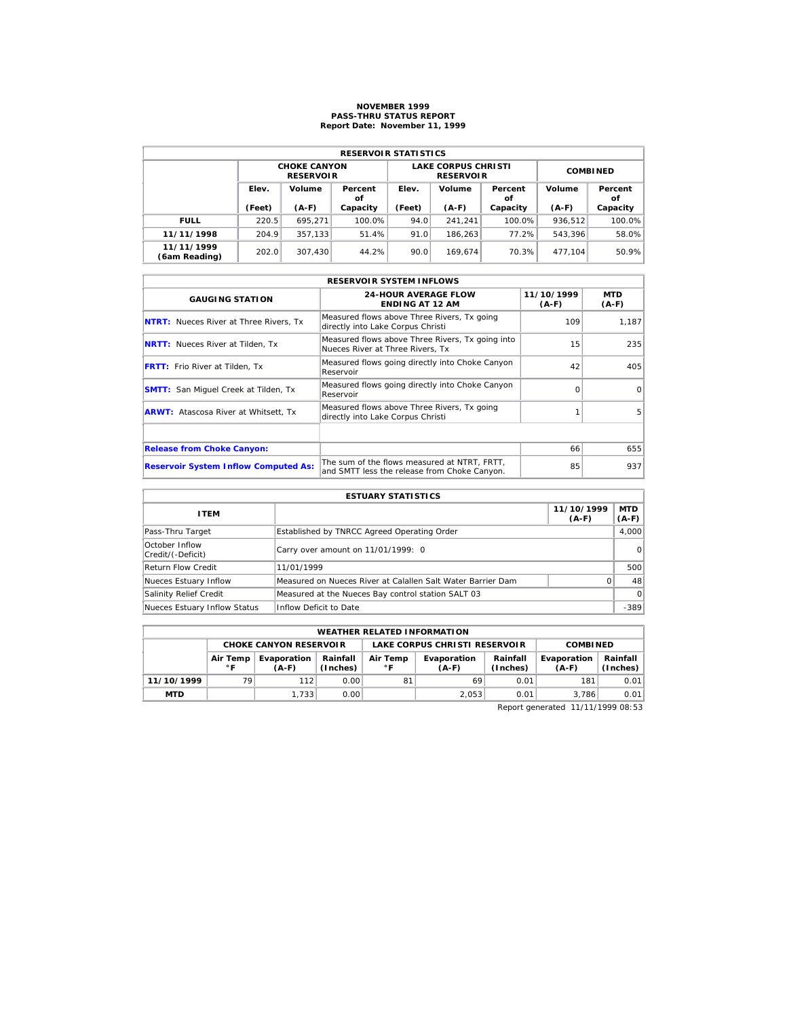# **NOVEMBER 1999 PASS-THRU STATUS REPORT Report Date: November 11, 1999**

| <b>RESERVOIR STATISTICS</b> |        |                                         |               |        |                                                |                 |         |               |  |  |  |
|-----------------------------|--------|-----------------------------------------|---------------|--------|------------------------------------------------|-----------------|---------|---------------|--|--|--|
|                             |        | <b>CHOKE CANYON</b><br><b>RESERVOIR</b> |               |        | <b>LAKE CORPUS CHRISTI</b><br><b>RESERVOIR</b> | <b>COMBINED</b> |         |               |  |  |  |
|                             | Elev.  | Volume                                  | Percent<br>οf | Elev.  | Volume                                         | Percent<br>οf   | Volume  | Percent<br>οf |  |  |  |
|                             | (Feet) | $(A-F)$                                 | Capacity      | (Feet) | $(A-F)$                                        | Capacity        | $(A-F)$ | Capacity      |  |  |  |
| <b>FULL</b>                 | 220.5  | 695.271                                 | 100.0%        | 94.0   | 241.241                                        | 100.0%          | 936.512 | 100.0%        |  |  |  |
| 11/11/1998                  | 204.9  | 357.133                                 | 51.4%         | 91.0   | 186.263                                        | 77.2%           | 543.396 | 58.0%         |  |  |  |
| 11/11/1999<br>(6am Reading) | 202.0  | 307.430                                 | 44.2%         | 90.0   | 169.674                                        | 70.3%           | 477.104 | 50.9%         |  |  |  |

|                                               | <b>RESERVOIR SYSTEM INFLOWS</b>                                                              |                       |                |  |  |  |  |  |  |  |
|-----------------------------------------------|----------------------------------------------------------------------------------------------|-----------------------|----------------|--|--|--|--|--|--|--|
| <b>GAUGING STATION</b>                        | <b>24-HOUR AVERAGE FLOW</b><br><b>ENDING AT 12 AM</b>                                        | 11/10/1999<br>$(A-F)$ | MTD<br>$(A-F)$ |  |  |  |  |  |  |  |
| <b>NTRT:</b> Nueces River at Three Rivers, Tx | Measured flows above Three Rivers, Tx going<br>directly into Lake Corpus Christi             | 109                   | 1,187          |  |  |  |  |  |  |  |
| <b>NRTT:</b> Nueces River at Tilden, Tx       | Measured flows above Three Rivers, Tx going into<br>Nueces River at Three Rivers. Tx         | 15                    | 235            |  |  |  |  |  |  |  |
| <b>FRTT:</b> Frio River at Tilden, Tx         | Measured flows going directly into Choke Canyon<br>Reservoir                                 | 42                    | 405            |  |  |  |  |  |  |  |
| <b>SMTT:</b> San Miquel Creek at Tilden, Tx   | Measured flows going directly into Choke Canyon<br>Reservoir                                 | $\Omega$              | $\Omega$       |  |  |  |  |  |  |  |
| <b>ARWT:</b> Atascosa River at Whitsett, Tx   | Measured flows above Three Rivers, Tx going<br>directly into Lake Corpus Christi             |                       | 5              |  |  |  |  |  |  |  |
|                                               |                                                                                              |                       |                |  |  |  |  |  |  |  |
| <b>Release from Choke Canyon:</b>             |                                                                                              | 66                    | 655            |  |  |  |  |  |  |  |
| <b>Reservoir System Inflow Computed As:</b>   | The sum of the flows measured at NTRT, FRTT,<br>and SMTT less the release from Choke Canyon. | 85                    | 937            |  |  |  |  |  |  |  |

| <b>ESTUARY STATISTICS</b>           |                                                             |                       |                  |  |  |  |  |
|-------------------------------------|-------------------------------------------------------------|-----------------------|------------------|--|--|--|--|
| <b>ITEM</b>                         |                                                             | 11/10/1999<br>$(A-F)$ | MTD  <br>$(A-F)$ |  |  |  |  |
| Pass-Thru Target                    | Established by TNRCC Agreed Operating Order                 |                       | 4,000            |  |  |  |  |
| October Inflow<br>Credit/(-Deficit) | Carry over amount on 11/01/1999: 0                          |                       | 0                |  |  |  |  |
| Return Flow Credit                  | 11/01/1999                                                  |                       | 500              |  |  |  |  |
| Nueces Estuary Inflow               | Measured on Nueces River at Calallen Salt Water Barrier Dam | 0                     | 48               |  |  |  |  |
| Salinity Relief Credit              | Measured at the Nueces Bay control station SALT 03          |                       | $\Omega$         |  |  |  |  |
| Nueces Estuary Inflow Status        | Inflow Deficit to Date                                      |                       | $-389$           |  |  |  |  |

|            | <b>WEATHER RELATED INFORMATION</b>                                                     |                               |       |    |                                      |                      |                        |                      |  |  |  |
|------------|----------------------------------------------------------------------------------------|-------------------------------|-------|----|--------------------------------------|----------------------|------------------------|----------------------|--|--|--|
|            |                                                                                        | <b>CHOKE CANYON RESERVOLR</b> |       |    | <b>LAKE CORPUS CHRISTI RESERVOIR</b> | <b>COMBINED</b>      |                        |                      |  |  |  |
|            | Rainfall<br>Air Temp<br>Air Temp<br>Evaporation<br>(Inches)<br>$^{\circ}$ F<br>$(A-F)$ |                               |       |    | Evaporation<br>(A-F)                 | Rainfall<br>(Inches) | Evaporation<br>$(A-F)$ | Rainfall<br>(Inches) |  |  |  |
| 11/10/1999 | 79                                                                                     | 112                           | 0.00  | 81 | 69                                   | 0.01                 | 181                    | 0.01                 |  |  |  |
| <b>MTD</b> |                                                                                        | 1.733                         | 0.001 |    | 2.053                                | 0.01                 | 3.786                  | 0.01                 |  |  |  |

Report generated 11/11/1999 08:53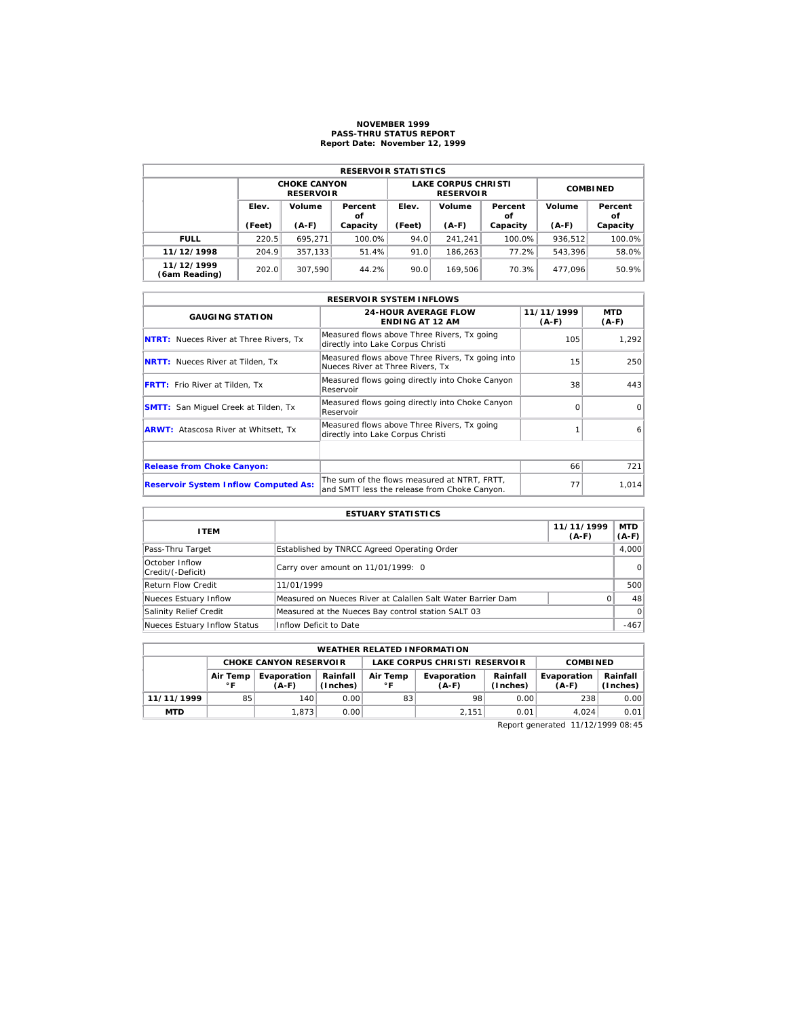## **NOVEMBER 1999 PASS-THRU STATUS REPORT Report Date: November 12, 1999**

| <b>RESERVOIR STATISTICS</b> |                                  |                                         |          |                                  |                                                |                 |         |               |  |  |  |
|-----------------------------|----------------------------------|-----------------------------------------|----------|----------------------------------|------------------------------------------------|-----------------|---------|---------------|--|--|--|
|                             |                                  | <b>CHOKE CANYON</b><br><b>RESERVOIR</b> |          |                                  | <b>LAKE CORPUS CHRISTI</b><br><b>RESERVOIR</b> | <b>COMBINED</b> |         |               |  |  |  |
|                             | Elev.<br>Volume<br>Percent<br>οf |                                         |          | Volume<br>Elev.<br>Percent<br>οf |                                                |                 | Volume  | Percent<br>οf |  |  |  |
|                             | (Feet)                           | $(A-F)$                                 | Capacity | (Feet)                           | $(A-F)$                                        | Capacity        | $(A-F)$ | Capacity      |  |  |  |
| <b>FULL</b>                 | 220.5                            | 695.271                                 | 100.0%   | 94.0                             | 241.241                                        | 100.0%          | 936.512 | 100.0%        |  |  |  |
| 11/12/1998                  | 204.9                            | 357.133                                 | 51.4%    | 91.0                             | 186.263                                        | 77.2%           | 543.396 | 58.0%         |  |  |  |
| 11/12/1999<br>(6am Reading) | 202.0                            | 307.590                                 | 44.2%    | 90.0                             | 169.506                                        | 70.3%           | 477.096 | 50.9%         |  |  |  |

|                                               | <b>RESERVOIR SYSTEM INFLOWS</b>                                                              |                       |                       |
|-----------------------------------------------|----------------------------------------------------------------------------------------------|-----------------------|-----------------------|
| <b>GAUGING STATION</b>                        | <b>24-HOUR AVERAGE FLOW</b><br><b>ENDING AT 12 AM</b>                                        | 11/11/1999<br>$(A-F)$ | <b>MTD</b><br>$(A-F)$ |
| <b>NTRT:</b> Nueces River at Three Rivers, Tx | Measured flows above Three Rivers, Tx going<br>directly into Lake Corpus Christi             | 105                   | 1.292                 |
| <b>NRTT:</b> Nueces River at Tilden, Tx       | Measured flows above Three Rivers, Tx going into<br>Nueces River at Three Rivers. Tx         | 15                    | 250                   |
| <b>FRTT:</b> Frio River at Tilden, Tx         | Measured flows going directly into Choke Canyon<br>Reservoir                                 | 38                    | 443                   |
| <b>SMTT:</b> San Miquel Creek at Tilden, Tx   | Measured flows going directly into Choke Canyon<br>Reservoir                                 | ∩                     | $\Omega$              |
| <b>ARWT:</b> Atascosa River at Whitsett, Tx   | Measured flows above Three Rivers, Tx going<br>directly into Lake Corpus Christi             |                       | 6                     |
|                                               |                                                                                              |                       |                       |
| <b>Release from Choke Canyon:</b>             |                                                                                              | 66                    | 721                   |
| <b>Reservoir System Inflow Computed As:</b>   | The sum of the flows measured at NTRT, FRTT,<br>and SMTT less the release from Choke Canyon. | 77                    | 1.014                 |

| <b>ESTUARY STATISTICS</b>           |                                                             |                       |                  |  |  |  |  |
|-------------------------------------|-------------------------------------------------------------|-----------------------|------------------|--|--|--|--|
| <b>ITEM</b>                         |                                                             | 11/11/1999<br>$(A-F)$ | MTD  <br>$(A-F)$ |  |  |  |  |
| Pass-Thru Target                    | Established by TNRCC Agreed Operating Order                 |                       | 4.000            |  |  |  |  |
| October Inflow<br>Credit/(-Deficit) | Carry over amount on 11/01/1999: 0                          |                       | $\Omega$         |  |  |  |  |
| <b>Return Flow Credit</b>           | 11/01/1999                                                  |                       | 500              |  |  |  |  |
| Nueces Estuary Inflow               | Measured on Nueces River at Calallen Salt Water Barrier Dam | 0                     | 48               |  |  |  |  |
| Salinity Relief Credit              | Measured at the Nueces Bay control station SALT 03          |                       | $\Omega$         |  |  |  |  |
| Nueces Estuary Inflow Status        | Inflow Deficit to Date                                      |                       | $-467$           |  |  |  |  |

| <b>WEATHER RELATED INFORMATION</b> |                          |                               |                                                                                          |                               |       |                        |                      |      |  |  |
|------------------------------------|--------------------------|-------------------------------|------------------------------------------------------------------------------------------|-------------------------------|-------|------------------------|----------------------|------|--|--|
|                                    |                          | <b>CHOKE CANYON RESERVOIR</b> |                                                                                          | LAKE CORPUS CHRISTI RESERVOIR |       |                        | <b>COMBINED</b>      |      |  |  |
|                                    | Air Temp<br>$^{\circ}$ F | Evaporation<br>$(A-F)$        | Rainfall<br>Rainfall<br>Air Temp<br>Evaporation<br>۰F<br>(Inches)<br>$(A-F)$<br>(Inches) |                               |       | Evaporation<br>$(A-F)$ | Rainfall<br>(Inches) |      |  |  |
| 11/11/1999                         | 85                       | 140                           | 0.00                                                                                     | 83                            | 98    | 0.00                   | 238                  | 0.00 |  |  |
| <b>MTD</b>                         |                          | 1.873                         | 0.001                                                                                    |                               | 2.151 | 0.01                   | 4.024                | 0.01 |  |  |

Report generated 11/12/1999 08:45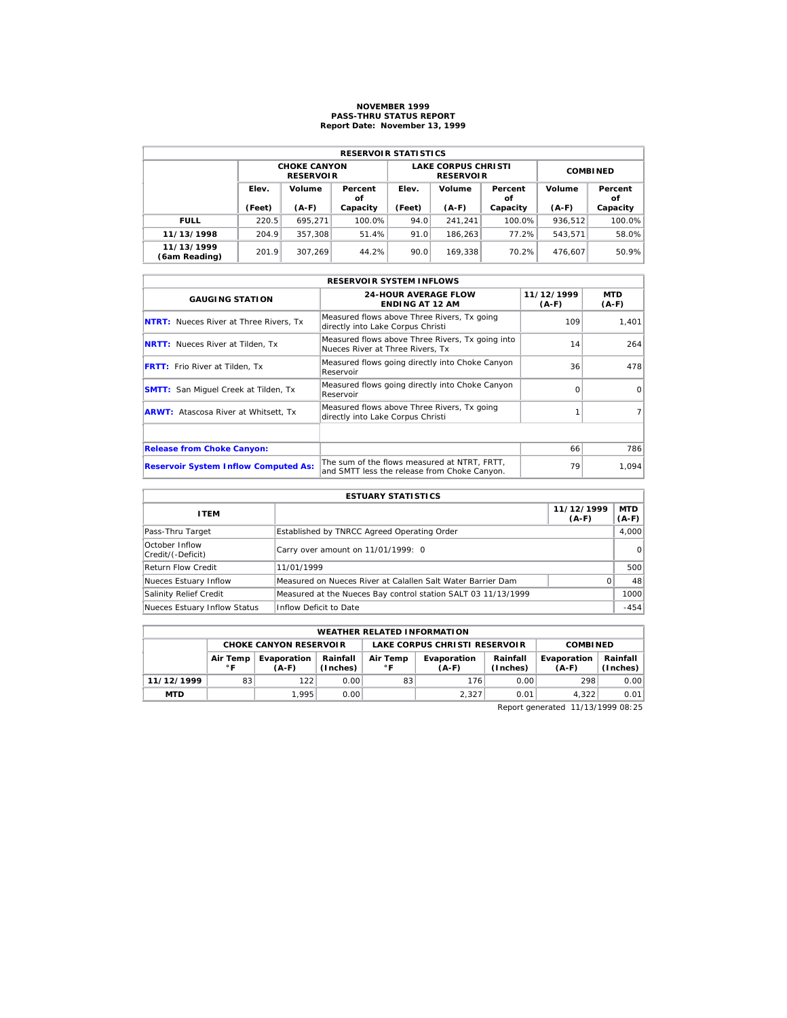# **NOVEMBER 1999 PASS-THRU STATUS REPORT Report Date: November 13, 1999**

| <b>RESERVOIR STATISTICS</b> |                 |                                         |               |                 |                                                |                 |                         |          |  |  |  |
|-----------------------------|-----------------|-----------------------------------------|---------------|-----------------|------------------------------------------------|-----------------|-------------------------|----------|--|--|--|
|                             |                 | <b>CHOKE CANYON</b><br><b>RESERVOIR</b> |               |                 | <b>LAKE CORPUS CHRISTI</b><br><b>RESERVOIR</b> | <b>COMBINED</b> |                         |          |  |  |  |
|                             | Elev.<br>Volume |                                         | Percent<br>οf | Elev.<br>Volume |                                                | Percent<br>οf   | Volume<br>Percent<br>οf |          |  |  |  |
|                             | (Feet)          | $(A-F)$                                 | Capacity      | (Feet)          | $(A-F)$                                        | Capacity        | $(A-F)$                 | Capacity |  |  |  |
| <b>FULL</b>                 | 220.5           | 695.271                                 | 100.0%        | 94.0            | 241.241                                        | 100.0%          | 936.512                 | 100.0%   |  |  |  |
| 11/13/1998                  | 204.9           | 357.308                                 | 51.4%         | 91.0            | 186.263                                        | 77.2%           | 543.571                 | 58.0%    |  |  |  |
| 11/13/1999<br>(6am Reading) | 201.9           | 307.269                                 | 44.2%         | 90.0            | 169.338                                        | 70.2%           | 476.607                 | 50.9%    |  |  |  |

| <b>RESERVOIR SYSTEM INFLOWS</b>               |                                                                                              |                       |                |  |  |  |  |  |  |
|-----------------------------------------------|----------------------------------------------------------------------------------------------|-----------------------|----------------|--|--|--|--|--|--|
| <b>GAUGING STATION</b>                        | <b>24-HOUR AVERAGE FLOW</b><br><b>ENDING AT 12 AM</b>                                        | 11/12/1999<br>$(A-F)$ | MTD<br>$(A-F)$ |  |  |  |  |  |  |
| <b>NTRT:</b> Nueces River at Three Rivers, Tx | Measured flows above Three Rivers, Tx going<br>directly into Lake Corpus Christi             | 109                   | 1,401          |  |  |  |  |  |  |
| <b>NRTT:</b> Nueces River at Tilden, Tx       | Measured flows above Three Rivers, Tx going into<br>Nueces River at Three Rivers. Tx         | 14                    | 264            |  |  |  |  |  |  |
| <b>FRTT:</b> Frio River at Tilden, Tx         | Measured flows going directly into Choke Canyon<br>Reservoir                                 | 36                    | 478            |  |  |  |  |  |  |
| <b>SMTT:</b> San Miquel Creek at Tilden, Tx   | Measured flows going directly into Choke Canyon<br>Reservoir                                 | $\Omega$              | $\Omega$       |  |  |  |  |  |  |
| <b>ARWT:</b> Atascosa River at Whitsett, Tx   | Measured flows above Three Rivers, Tx going<br>directly into Lake Corpus Christi             |                       |                |  |  |  |  |  |  |
|                                               |                                                                                              |                       |                |  |  |  |  |  |  |
| <b>Release from Choke Canyon:</b>             |                                                                                              | 66                    | 786            |  |  |  |  |  |  |
| <b>Reservoir System Inflow Computed As:</b>   | The sum of the flows measured at NTRT. FRTT.<br>and SMTT less the release from Choke Canyon. | 79                    | 1,094          |  |  |  |  |  |  |

| <b>ESTUARY STATISTICS</b>           |                                                               |                       |                  |  |  |  |  |
|-------------------------------------|---------------------------------------------------------------|-----------------------|------------------|--|--|--|--|
| <b>ITEM</b>                         |                                                               | 11/12/1999<br>$(A-F)$ | MTD  <br>$(A-F)$ |  |  |  |  |
| Pass-Thru Target                    | Established by TNRCC Agreed Operating Order                   |                       | 4,000            |  |  |  |  |
| October Inflow<br>Credit/(-Deficit) | Carry over amount on 11/01/1999: 0                            |                       | 0                |  |  |  |  |
| Return Flow Credit                  | 11/01/1999                                                    |                       | 500              |  |  |  |  |
| Nueces Estuary Inflow               | Measured on Nueces River at Calallen Salt Water Barrier Dam   | O.                    | 48               |  |  |  |  |
| Salinity Relief Credit              | Measured at the Nueces Bay control station SALT 03 11/13/1999 |                       | 1000             |  |  |  |  |
| Nueces Estuary Inflow Status        | Inflow Deficit to Date                                        |                       | $-454$           |  |  |  |  |

|            | <b>WEATHER RELATED INFORMATION</b>                                                                                   |                               |       |    |                               |                      |                        |                      |  |  |  |
|------------|----------------------------------------------------------------------------------------------------------------------|-------------------------------|-------|----|-------------------------------|----------------------|------------------------|----------------------|--|--|--|
|            |                                                                                                                      | <b>CHOKE CANYON RESERVOIR</b> |       |    | LAKE CORPUS CHRISTI RESERVOIR | <b>COMBINED</b>      |                        |                      |  |  |  |
|            | Rainfall<br>Evaporation<br>Air Temp<br>Evaporation<br>Air Temp<br>(Inches)<br>$^{\circ}$ F<br>∘г<br>$(A-F)$<br>(A-F) |                               |       |    |                               | Rainfall<br>(Inches) | Evaporation<br>$(A-F)$ | Rainfall<br>(Inches) |  |  |  |
| 11/12/1999 | 83                                                                                                                   | 122                           | 0.001 | 83 | 176                           | 0.00                 | 298                    | 0.00                 |  |  |  |
| <b>MTD</b> | 1.995<br>2.327<br>4.322<br>0.01<br>0.001<br>0.01                                                                     |                               |       |    |                               |                      |                        |                      |  |  |  |

Report generated 11/13/1999 08:25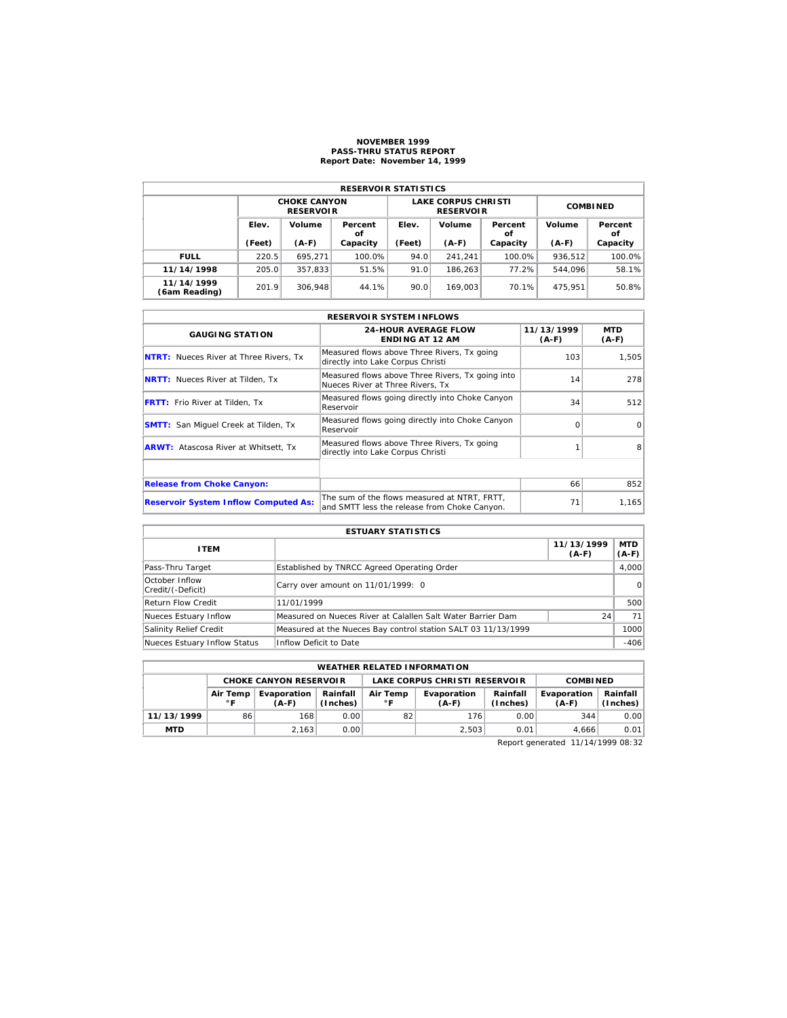#### **NOVEMBER 1999 PASS-THRU STATUS REPORT Report Date: November 14, 1999**

| <b>RESERVOIR STATISTICS</b> |                                  |                                         |                                  |        |                                                |                 |               |          |  |  |  |
|-----------------------------|----------------------------------|-----------------------------------------|----------------------------------|--------|------------------------------------------------|-----------------|---------------|----------|--|--|--|
|                             |                                  | <b>CHOKE CANYON</b><br><b>RESERVOIR</b> |                                  |        | <b>LAKE CORPUS CHRISTI</b><br><b>RESERVOIR</b> | <b>COMBINED</b> |               |          |  |  |  |
|                             | Elev.<br>Volume<br>Percent<br>οf |                                         | Volume<br>Elev.<br>Percent<br>οf |        |                                                | Volume          | Percent<br>οf |          |  |  |  |
|                             | (Feet)                           | $(A-F)$<br>Capacity                     |                                  | (Feet) | $(A-F)$                                        | Capacity        | $(A-F)$       | Capacity |  |  |  |
| <b>FULL</b>                 | 220.5                            | 695.271                                 | 100.0%                           | 94.0   | 241.241                                        | 100.0%          | 936.512       | 100.0%   |  |  |  |
| 11/14/1998                  | 205.0                            | 357.833                                 | 51.5%                            | 91.0   | 186.263                                        | 77.2%           | 544.096       | 58.1%    |  |  |  |
| 11/14/1999<br>(6am Reading) | 201.9                            | 306.948                                 | 44.1%                            | 90.0   | 169.003                                        | 70.1%           | 475.951       | 50.8%    |  |  |  |

|                                               | <b>RESERVOIR SYSTEM INFLOWS</b>                                                              |                       |                       |  |  |  |  |  |  |  |
|-----------------------------------------------|----------------------------------------------------------------------------------------------|-----------------------|-----------------------|--|--|--|--|--|--|--|
| <b>GAUGING STATION</b>                        | <b>24-HOUR AVERAGE FLOW</b><br><b>ENDING AT 12 AM</b>                                        | 11/13/1999<br>$(A-F)$ | <b>MTD</b><br>$(A-F)$ |  |  |  |  |  |  |  |
| <b>NTRT:</b> Nueces River at Three Rivers, Tx | Measured flows above Three Rivers, Tx going<br>directly into Lake Corpus Christi             | 103                   | 1,505                 |  |  |  |  |  |  |  |
| <b>NRTT:</b> Nueces River at Tilden, Tx       | Measured flows above Three Rivers, Tx going into<br>Nueces River at Three Rivers. Tx         | 14                    | 278                   |  |  |  |  |  |  |  |
| <b>FRTT:</b> Frio River at Tilden, Tx         | Measured flows going directly into Choke Canyon<br>Reservoir                                 | 34                    | 512                   |  |  |  |  |  |  |  |
| <b>SMTT:</b> San Miquel Creek at Tilden, Tx   | Measured flows going directly into Choke Canyon<br>Reservoir                                 | ∩                     | $\Omega$              |  |  |  |  |  |  |  |
| <b>ARWT:</b> Atascosa River at Whitsett, Tx   | Measured flows above Three Rivers, Tx going<br>directly into Lake Corpus Christi             |                       | 8                     |  |  |  |  |  |  |  |
|                                               |                                                                                              |                       |                       |  |  |  |  |  |  |  |
| <b>Release from Choke Canyon:</b>             |                                                                                              | 66                    | 852                   |  |  |  |  |  |  |  |
| <b>Reservoir System Inflow Computed As:</b>   | The sum of the flows measured at NTRT, FRTT,<br>and SMTT less the release from Choke Canyon. | 71                    | 1,165                 |  |  |  |  |  |  |  |

| <b>ESTUARY STATISTICS</b>           |                                                               |                       |                       |  |  |  |  |  |
|-------------------------------------|---------------------------------------------------------------|-----------------------|-----------------------|--|--|--|--|--|
| <b>ITEM</b>                         |                                                               | 11/13/1999<br>$(A-F)$ | <b>MTD</b><br>$(A-F)$ |  |  |  |  |  |
| Pass-Thru Target                    | Established by TNRCC Agreed Operating Order                   |                       | 4.000                 |  |  |  |  |  |
| October Inflow<br>Credit/(-Deficit) | Carry over amount on 11/01/1999: 0                            |                       | $\circ$               |  |  |  |  |  |
| <b>Return Flow Credit</b>           | 11/01/1999                                                    |                       | 500                   |  |  |  |  |  |
| Nueces Estuary Inflow               | Measured on Nueces River at Calallen Salt Water Barrier Dam   | 24                    | 71                    |  |  |  |  |  |
| Salinity Relief Credit              | Measured at the Nueces Bay control station SALT 03 11/13/1999 |                       | 1000                  |  |  |  |  |  |
| Nueces Estuary Inflow Status        | Inflow Deficit to Date                                        |                       | $-406$                |  |  |  |  |  |

| <b>WEATHER RELATED INFORMATION</b>                                                |                                                                                                                                  |       |      |    |       |                      |                        |                      |  |  |
|-----------------------------------------------------------------------------------|----------------------------------------------------------------------------------------------------------------------------------|-------|------|----|-------|----------------------|------------------------|----------------------|--|--|
| LAKE CORPUS CHRISTI RESERVOIR<br><b>CHOKE CANYON RESERVOIR</b><br><b>COMBINED</b> |                                                                                                                                  |       |      |    |       |                      |                        |                      |  |  |
|                                                                                   | Rainfall<br>Air Temp<br>Air Temp<br>Evaporation<br>Evaporation<br>(Inches)<br>$^{\circ}$ F<br>$^{\circ}$ F<br>$(A-F)$<br>$(A-F)$ |       |      |    |       | Rainfall<br>(Inches) | Evaporation<br>$(A-F)$ | Rainfall<br>(Inches) |  |  |
| 11/13/1999                                                                        | 86                                                                                                                               | 168   | 0.00 | 82 | 176   | 0.00                 | 344                    | 0.00                 |  |  |
| <b>MTD</b>                                                                        |                                                                                                                                  | 2.163 | 0.00 |    | 2,503 | 0.01                 | 4.666                  | 0.01                 |  |  |

Report generated 11/14/1999 08:32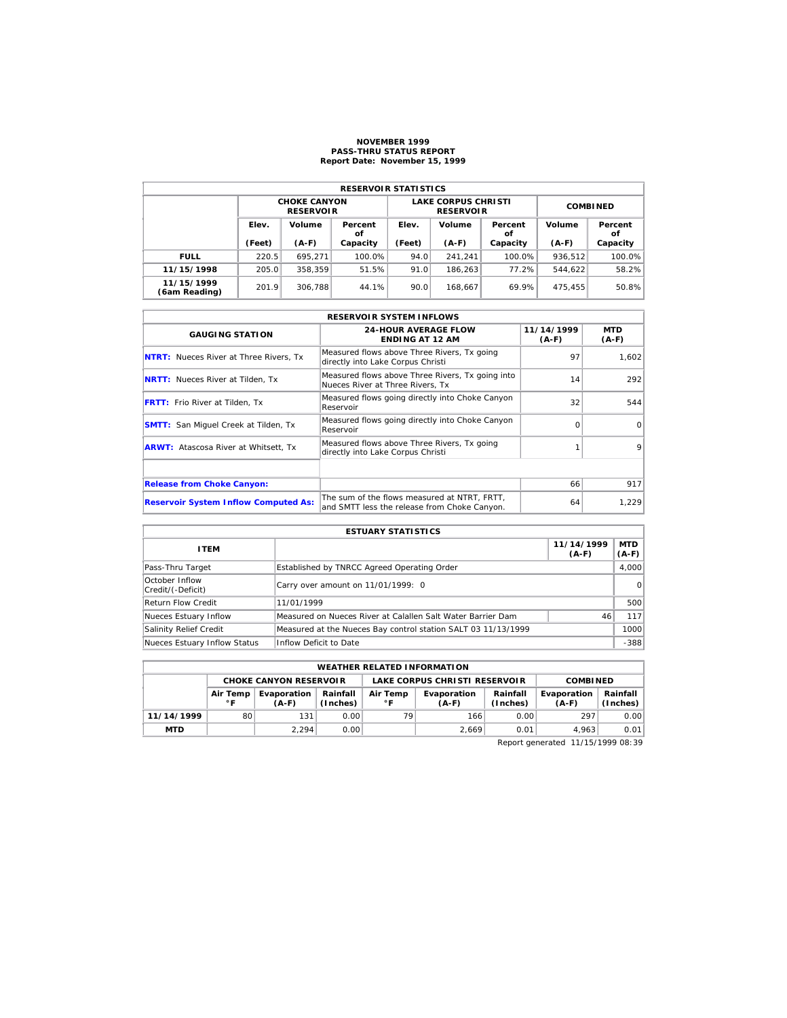#### **NOVEMBER 1999 PASS-THRU STATUS REPORT Report Date: November 15, 1999**

| <b>RESERVOIR STATISTICS</b> |                                  |                                         |                 |        |                                                |                 |               |          |  |  |  |
|-----------------------------|----------------------------------|-----------------------------------------|-----------------|--------|------------------------------------------------|-----------------|---------------|----------|--|--|--|
|                             |                                  | <b>CHOKE CANYON</b><br><b>RESERVOIR</b> |                 |        | <b>LAKE CORPUS CHRISTI</b><br><b>RESERVOIR</b> | <b>COMBINED</b> |               |          |  |  |  |
|                             | Elev.<br>Volume<br>Percent<br>οf |                                         | Volume<br>Elev. |        | Percent<br>οf                                  | Volume          | Percent<br>οf |          |  |  |  |
|                             | (Feet)                           | $(A-F)$                                 | Capacity        | (Feet) | $(A-F)$                                        | Capacity        | $(A-F)$       | Capacity |  |  |  |
| <b>FULL</b>                 | 220.5                            | 695.271                                 | 100.0%          | 94.0   | 241.241                                        | 100.0%          | 936.512       | 100.0%   |  |  |  |
| 11/15/1998                  | 205.0                            | 358.359                                 | 51.5%           | 91.0   | 186.263                                        | 77.2%           | 544.622       | 58.2%    |  |  |  |
| 11/15/1999<br>(6am Reading) | 201.9                            | 306.788                                 | 44.1%           | 90.0   | 168.667                                        | 69.9%           | 475.455       | 50.8%    |  |  |  |

|                                               | <b>RESERVOIR SYSTEM INFLOWS</b>                                                              |                       |                       |  |  |  |  |  |  |  |
|-----------------------------------------------|----------------------------------------------------------------------------------------------|-----------------------|-----------------------|--|--|--|--|--|--|--|
| <b>GAUGING STATION</b>                        | <b>24-HOUR AVERAGE FLOW</b><br><b>ENDING AT 12 AM</b>                                        | 11/14/1999<br>$(A-F)$ | <b>MTD</b><br>$(A-F)$ |  |  |  |  |  |  |  |
| <b>NTRT:</b> Nueces River at Three Rivers, Tx | Measured flows above Three Rivers, Tx going<br>directly into Lake Corpus Christi             | 97                    | 1,602                 |  |  |  |  |  |  |  |
| <b>NRTT:</b> Nueces River at Tilden, Tx       | Measured flows above Three Rivers, Tx going into<br>Nueces River at Three Rivers. Tx         | 14                    | 292                   |  |  |  |  |  |  |  |
| <b>FRTT:</b> Frio River at Tilden, Tx         | Measured flows going directly into Choke Canyon<br>Reservoir                                 | 32                    | 544                   |  |  |  |  |  |  |  |
| <b>SMTT:</b> San Miquel Creek at Tilden, Tx   | Measured flows going directly into Choke Canyon<br>Reservoir                                 | ∩                     | $\Omega$              |  |  |  |  |  |  |  |
| <b>ARWT:</b> Atascosa River at Whitsett, Tx   | Measured flows above Three Rivers, Tx going<br>directly into Lake Corpus Christi             |                       | 9                     |  |  |  |  |  |  |  |
|                                               |                                                                                              |                       |                       |  |  |  |  |  |  |  |
| <b>Release from Choke Canyon:</b>             |                                                                                              | 66                    | 917                   |  |  |  |  |  |  |  |
| <b>Reservoir System Inflow Computed As:</b>   | The sum of the flows measured at NTRT, FRTT,<br>and SMTT less the release from Choke Canyon. | 64                    | 1.229                 |  |  |  |  |  |  |  |

| <b>ESTUARY STATISTICS</b>           |                                                               |                       |                       |  |  |  |  |
|-------------------------------------|---------------------------------------------------------------|-----------------------|-----------------------|--|--|--|--|
| <b>ITEM</b>                         |                                                               | 11/14/1999<br>$(A-F)$ | <b>MTD</b><br>$(A-F)$ |  |  |  |  |
| Pass-Thru Target                    | Established by TNRCC Agreed Operating Order                   |                       | 4.000                 |  |  |  |  |
| October Inflow<br>Credit/(-Deficit) | Carry over amount on 11/01/1999: 0                            |                       | 0                     |  |  |  |  |
| <b>Return Flow Credit</b>           | 11/01/1999                                                    |                       | 500                   |  |  |  |  |
| Nueces Estuary Inflow               | Measured on Nueces River at Calallen Salt Water Barrier Dam   | 46                    | 117                   |  |  |  |  |
| Salinity Relief Credit              | Measured at the Nueces Bay control station SALT 03 11/13/1999 |                       | 1000                  |  |  |  |  |
| Nueces Estuary Inflow Status        | Inflow Deficit to Date                                        |                       | $-388$                |  |  |  |  |

| <b>WEATHER RELATED INFORMATION</b>                             |                                                                                                                       |       |      |    |       |                      |                        |                      |  |
|----------------------------------------------------------------|-----------------------------------------------------------------------------------------------------------------------|-------|------|----|-------|----------------------|------------------------|----------------------|--|
| LAKE CORPUS CHRISTI RESERVOIR<br><b>CHOKE CANYON RESERVOIR</b> |                                                                                                                       |       |      |    |       | <b>COMBINED</b>      |                        |                      |  |
|                                                                | Rainfall<br>Air Temp<br>Air Temp<br>Evaporation<br>Evaporation<br>(Inches)<br>$^{\circ}$ F<br>$^{\circ}$ F<br>$(A-F)$ |       |      |    |       | Rainfall<br>(Inches) | Evaporation<br>$(A-F)$ | Rainfall<br>(Inches) |  |
| 11/14/1999                                                     | 80                                                                                                                    | 131   | 0.00 | 79 | 166   | 0.00                 | 297                    | 0.00                 |  |
| <b>MTD</b>                                                     |                                                                                                                       | 2.294 | 0.00 |    | 2.669 | 0.01                 | 4.963                  | 0.01                 |  |

Report generated 11/15/1999 08:39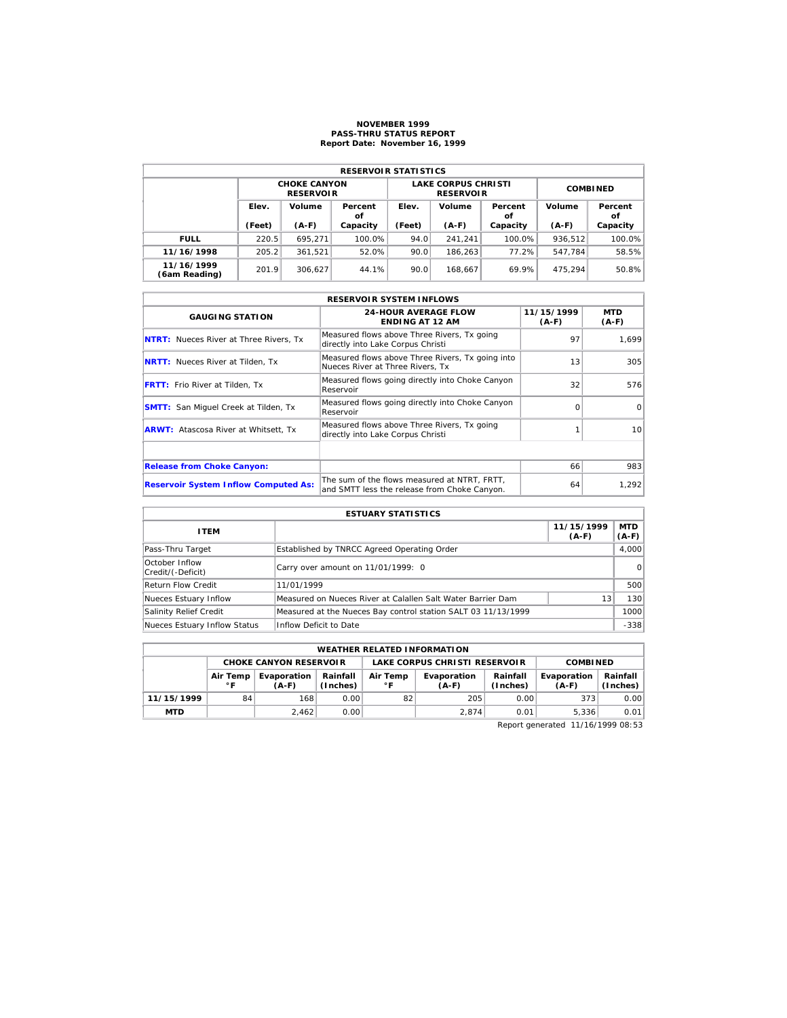## **NOVEMBER 1999 PASS-THRU STATUS REPORT Report Date: November 16, 1999**

| <b>RESERVOIR STATISTICS</b> |                                  |                                         |          |                 |                                                |                 |         |               |  |  |  |
|-----------------------------|----------------------------------|-----------------------------------------|----------|-----------------|------------------------------------------------|-----------------|---------|---------------|--|--|--|
|                             |                                  | <b>CHOKE CANYON</b><br><b>RESERVOIR</b> |          |                 | <b>LAKE CORPUS CHRISTI</b><br><b>RESERVOIR</b> | <b>COMBINED</b> |         |               |  |  |  |
|                             | Elev.<br>Volume<br>Percent<br>οf |                                         |          | Volume<br>Elev. |                                                | Percent<br>οf   | Volume  | Percent<br>οf |  |  |  |
|                             | (Feet)                           | $(A-F)$                                 | Capacity | (Feet)          | $(A-F)$                                        | Capacity        | $(A-F)$ | Capacity      |  |  |  |
| <b>FULL</b>                 | 220.5                            | 695.271                                 | 100.0%   | 94.0            | 241.241                                        | 100.0%          | 936.512 | 100.0%        |  |  |  |
| 11/16/1998                  | 205.2                            | 361,521                                 | 52.0%    | 90.0            | 186.263                                        | 77.2%           | 547.784 | 58.5%         |  |  |  |
| 11/16/1999<br>(6am Reading) | 201.9                            | 306.627                                 | 44.1%    | 90.0            | 168.667                                        | 69.9%           | 475.294 | 50.8%         |  |  |  |

|                                               | <b>RESERVOIR SYSTEM INFLOWS</b>                                                              |                       |                       |
|-----------------------------------------------|----------------------------------------------------------------------------------------------|-----------------------|-----------------------|
| <b>GAUGING STATION</b>                        | <b>24-HOUR AVERAGE FLOW</b><br><b>ENDING AT 12 AM</b>                                        | 11/15/1999<br>$(A-F)$ | <b>MTD</b><br>$(A-F)$ |
| <b>NTRT:</b> Nueces River at Three Rivers, Tx | Measured flows above Three Rivers, Tx going<br>directly into Lake Corpus Christi             | 97                    | 1.699                 |
| <b>NRTT:</b> Nueces River at Tilden, Tx       | Measured flows above Three Rivers, Tx going into<br>Nueces River at Three Rivers. Tx         | 13                    | 305                   |
| <b>FRTT:</b> Frio River at Tilden, Tx         | Measured flows going directly into Choke Canyon<br>Reservoir                                 | 32                    | 576                   |
| <b>SMTT:</b> San Miguel Creek at Tilden, Tx   | Measured flows going directly into Choke Canyon<br>Reservoir                                 |                       | $\Omega$              |
| <b>ARWT:</b> Atascosa River at Whitsett, Tx   | Measured flows above Three Rivers, Tx going<br>directly into Lake Corpus Christi             |                       | 10 <sup>1</sup>       |
|                                               |                                                                                              |                       |                       |
| <b>Release from Choke Canyon:</b>             |                                                                                              | 66                    | 983                   |
| <b>Reservoir System Inflow Computed As:</b>   | The sum of the flows measured at NTRT, FRTT,<br>and SMTT less the release from Choke Canyon. | 64                    | 1.292                 |

| <b>ESTUARY STATISTICS</b>           |                                                               |                       |                       |  |  |  |  |
|-------------------------------------|---------------------------------------------------------------|-----------------------|-----------------------|--|--|--|--|
| <b>ITEM</b>                         |                                                               | 11/15/1999<br>$(A-F)$ | <b>MTD</b><br>$(A-F)$ |  |  |  |  |
| Pass-Thru Target                    | Established by TNRCC Agreed Operating Order                   |                       | 4,000                 |  |  |  |  |
| October Inflow<br>Credit/(-Deficit) | Carry over amount on 11/01/1999: 0                            |                       | $\Omega$              |  |  |  |  |
| <b>Return Flow Credit</b>           | 11/01/1999                                                    |                       | 500                   |  |  |  |  |
| Nueces Estuary Inflow               | Measured on Nueces River at Calallen Salt Water Barrier Dam   | 13                    | 130                   |  |  |  |  |
| Salinity Relief Credit              | Measured at the Nueces Bay control station SALT 03 11/13/1999 |                       | 1000                  |  |  |  |  |
| Nueces Estuary Inflow Status        | Inflow Deficit to Date                                        |                       | $-338$                |  |  |  |  |

| <b>WEATHER RELATED INFORMATION</b> |                          |                               |                      |                               |                        |                      |                        |                      |  |  |
|------------------------------------|--------------------------|-------------------------------|----------------------|-------------------------------|------------------------|----------------------|------------------------|----------------------|--|--|
|                                    |                          | <b>CHOKE CANYON RESERVOIR</b> |                      | LAKE CORPUS CHRISTI RESERVOIR |                        |                      | <b>COMBINED</b>        |                      |  |  |
|                                    | Air Temp<br>$^{\circ}$ F | Evaporation<br>$(A-F)$        | Rainfall<br>(Inches) | Air Temp<br>$^{\circ}$ F      | Evaporation<br>$(A-F)$ | Rainfall<br>(Inches) | Evaporation<br>$(A-F)$ | Rainfall<br>(Inches) |  |  |
| 11/15/1999                         | 84                       | 168                           | 0.00                 | 82                            | 205                    | 0.00                 | 373                    | 0.00                 |  |  |
| <b>MTD</b>                         |                          | 2.462                         | 0.00                 |                               | 2.874                  | 0.01                 | 5.336                  | 0.01                 |  |  |

Report generated 11/16/1999 08:53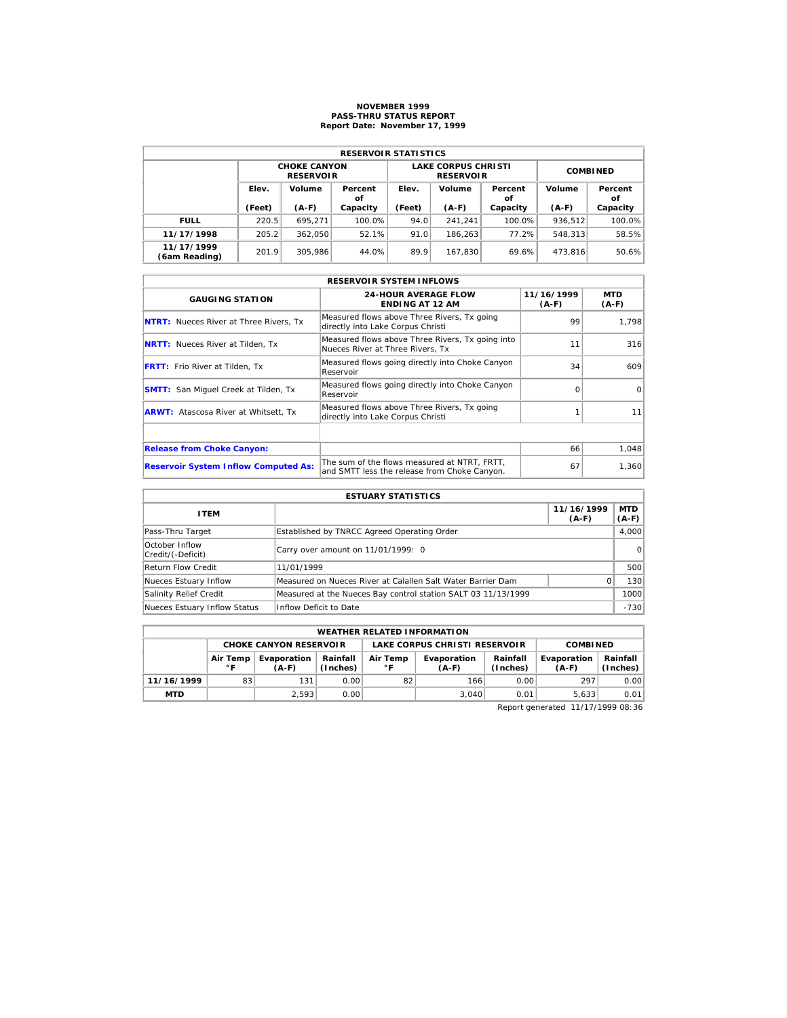# **NOVEMBER 1999 PASS-THRU STATUS REPORT Report Date: November 17, 1999**

| <b>RESERVOIR STATISTICS</b> |        |                                         |               |        |                                                |                 |         |               |  |  |
|-----------------------------|--------|-----------------------------------------|---------------|--------|------------------------------------------------|-----------------|---------|---------------|--|--|
|                             |        | <b>CHOKE CANYON</b><br><b>RESERVOIR</b> |               |        | <b>LAKE CORPUS CHRISTI</b><br><b>RESERVOIR</b> | <b>COMBINED</b> |         |               |  |  |
|                             | Elev.  | Volume                                  | Percent<br>οf | Elev.  | Volume                                         | Percent<br>οf   | Volume  | Percent<br>οf |  |  |
|                             | (Feet) | $(A-F)$                                 | Capacity      | (Feet) | $(A-F)$                                        | Capacity        | $(A-F)$ | Capacity      |  |  |
| <b>FULL</b>                 | 220.5  | 695.271                                 | 100.0%        | 94.0   | 241.241                                        | 100.0%          | 936.512 | 100.0%        |  |  |
| 11/17/1998                  | 205.2  | 362.050                                 | 52.1%         | 91.0   | 186.263                                        | 77.2%           | 548.313 | 58.5%         |  |  |
| 11/17/1999                  | 201.9  | 305.986                                 | 44.0%         | 89.9   | 167.830                                        | 69.6%           | 473.816 | 50.6%         |  |  |

|                                               | <b>RESERVOIR SYSTEM INFLOWS</b>                                                              |                       |                |
|-----------------------------------------------|----------------------------------------------------------------------------------------------|-----------------------|----------------|
| <b>GAUGING STATION</b>                        | <b>24-HOUR AVERAGE FLOW</b><br><b>ENDING AT 12 AM</b>                                        | 11/16/1999<br>$(A-F)$ | MTD<br>$(A-F)$ |
| <b>NTRT:</b> Nueces River at Three Rivers, Tx | Measured flows above Three Rivers, Tx going<br>directly into Lake Corpus Christi             | 99                    | 1.798          |
| <b>NRTT:</b> Nueces River at Tilden, Tx       | Measured flows above Three Rivers, Tx going into<br>Nueces River at Three Rivers. Tx         | 11                    | 316            |
| <b>FRTT:</b> Frio River at Tilden, Tx         | Measured flows going directly into Choke Canyon<br>Reservoir                                 | 34                    | 609            |
| <b>SMTT:</b> San Miquel Creek at Tilden, Tx   | Measured flows going directly into Choke Canyon<br>Reservoir                                 | $\Omega$              | $\Omega$       |
| <b>ARWT:</b> Atascosa River at Whitsett, Tx   | Measured flows above Three Rivers, Tx going<br>directly into Lake Corpus Christi             |                       | 11             |
|                                               |                                                                                              |                       |                |
| <b>Release from Choke Canyon:</b>             |                                                                                              | 66                    | 1,048          |
| <b>Reservoir System Inflow Computed As:</b>   | The sum of the flows measured at NTRT. FRTT.<br>and SMTT less the release from Choke Canyon. | 67                    | 1,360          |

| <b>ESTUARY STATISTICS</b>           |                                                               |                       |                  |  |  |  |  |
|-------------------------------------|---------------------------------------------------------------|-----------------------|------------------|--|--|--|--|
| <b>ITEM</b>                         |                                                               | 11/16/1999<br>$(A-F)$ | MTD  <br>$(A-F)$ |  |  |  |  |
| Pass-Thru Target                    | Established by TNRCC Agreed Operating Order                   |                       | 4,000            |  |  |  |  |
| October Inflow<br>Credit/(-Deficit) | Carry over amount on 11/01/1999: 0                            |                       | 0                |  |  |  |  |
| Return Flow Credit                  | 11/01/1999                                                    |                       | 500              |  |  |  |  |
| Nueces Estuary Inflow               | Measured on Nueces River at Calallen Salt Water Barrier Dam   | <sup>o</sup>          | 130              |  |  |  |  |
| Salinity Relief Credit              | Measured at the Nueces Bay control station SALT 03 11/13/1999 |                       | 1000             |  |  |  |  |
| Nueces Estuary Inflow Status        | Inflow Deficit to Date                                        |                       | $-730$           |  |  |  |  |

|            | <b>WEATHER RELATED INFORMATION</b> |                      |                                                  |    |                               |                      |                        |                      |  |  |  |
|------------|------------------------------------|----------------------|--------------------------------------------------|----|-------------------------------|----------------------|------------------------|----------------------|--|--|--|
|            | <b>CHOKE CANYON RESERVOIR</b>      |                      |                                                  |    | LAKE CORPUS CHRISTI RESERVOIR | <b>COMBINED</b>      |                        |                      |  |  |  |
|            | Air Temp<br>∘г                     | Evaporation<br>(A-F) | Rainfall<br>Air Temp<br>(Inches)<br>$^{\circ}$ F |    | Evaporation<br>$(A-F)$        | Rainfall<br>(Inches) | Evaporation<br>$(A-F)$ | Rainfall<br>(Inches) |  |  |  |
| 11/16/1999 | 83                                 | 131                  | 0.001                                            | 82 | 166 <sub>1</sub>              | 0.00                 | 297                    | 0.00                 |  |  |  |
| <b>MTD</b> |                                    | 2.593                | 0.001                                            |    | 3.040                         | 0.01                 | 5.633                  | 0.01                 |  |  |  |

Report generated 11/17/1999 08:36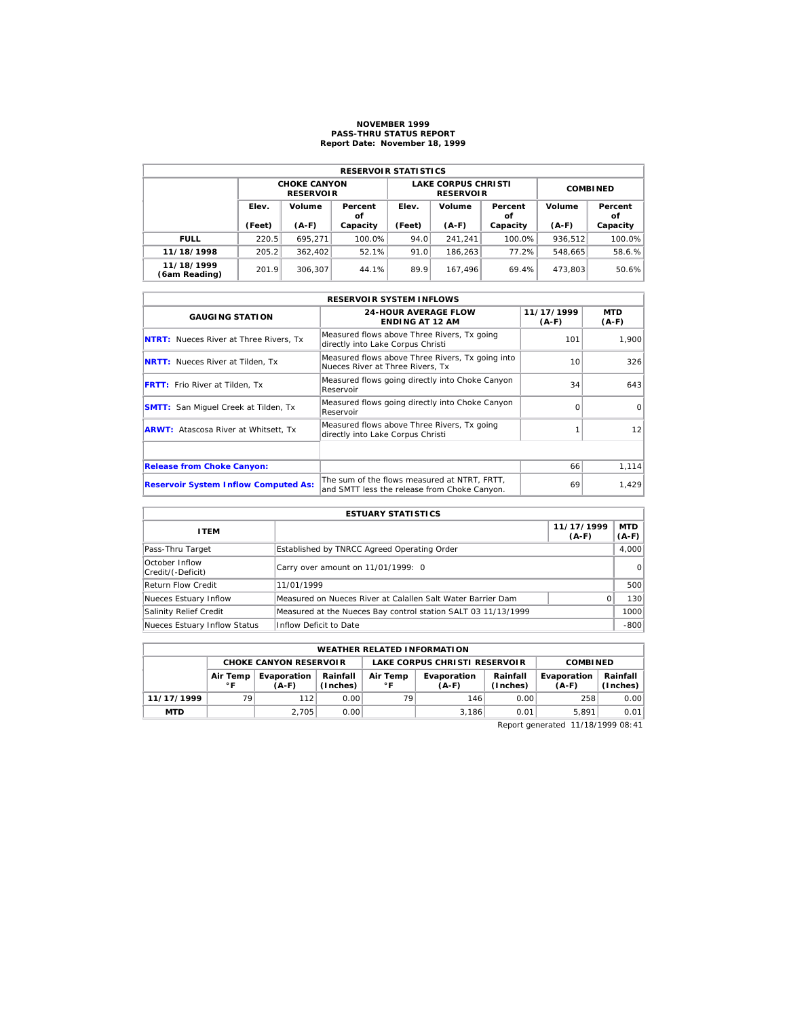## **NOVEMBER 1999 PASS-THRU STATUS REPORT Report Date: November 18, 1999**

| <b>RESERVOIR STATISTICS</b> |                                  |                                         |                 |        |                                                |                 |               |          |  |  |  |
|-----------------------------|----------------------------------|-----------------------------------------|-----------------|--------|------------------------------------------------|-----------------|---------------|----------|--|--|--|
|                             |                                  | <b>CHOKE CANYON</b><br><b>RESERVOIR</b> |                 |        | <b>LAKE CORPUS CHRISTI</b><br><b>RESERVOIR</b> | <b>COMBINED</b> |               |          |  |  |  |
|                             | Elev.<br>Volume<br>Percent<br>οf |                                         | Volume<br>Elev. |        | Percent<br>οf                                  | Volume          | Percent<br>οf |          |  |  |  |
|                             | (Feet)                           | $(A-F)$                                 | Capacity        | (Feet) | $(A-F)$                                        | Capacity        | $(A-F)$       | Capacity |  |  |  |
| <b>FULL</b>                 | 220.5                            | 695.271                                 | 100.0%          | 94.0   | 241.241                                        | 100.0%          | 936.512       | 100.0%   |  |  |  |
| 11/18/1998                  | 205.2                            | 362,402                                 | 52.1%           | 91.0   | 186.263                                        | 77.2%           | 548.665       | 58.6.%   |  |  |  |
| 11/18/1999<br>(6am Reading) | 201.9                            | 306.307                                 | 44.1%           | 89.9   | 167.496                                        | 69.4%           | 473.803       | 50.6%    |  |  |  |

|                                               | <b>RESERVOIR SYSTEM INFLOWS</b>                                                              |                       |                       |
|-----------------------------------------------|----------------------------------------------------------------------------------------------|-----------------------|-----------------------|
| <b>GAUGING STATION</b>                        | <b>24-HOUR AVERAGE FLOW</b><br><b>ENDING AT 12 AM</b>                                        | 11/17/1999<br>$(A-F)$ | <b>MTD</b><br>$(A-F)$ |
| <b>NTRT:</b> Nueces River at Three Rivers, Tx | Measured flows above Three Rivers, Tx going<br>directly into Lake Corpus Christi             | 101                   | 1.900                 |
| <b>NRTT:</b> Nueces River at Tilden, Tx       | Measured flows above Three Rivers, Tx going into<br>Nueces River at Three Rivers. Tx         | 10                    | 326                   |
| <b>FRTT:</b> Frio River at Tilden, Tx         | Measured flows going directly into Choke Canyon<br>Reservoir                                 | 34                    | 643                   |
| <b>SMTT:</b> San Miquel Creek at Tilden, Tx   | Measured flows going directly into Choke Canyon<br>Reservoir                                 | $\Omega$              | $\Omega$              |
| <b>ARWT:</b> Atascosa River at Whitsett, Tx   | Measured flows above Three Rivers, Tx going<br>directly into Lake Corpus Christi             |                       | 12                    |
|                                               |                                                                                              |                       |                       |
| <b>Release from Choke Canyon:</b>             |                                                                                              | 66                    | 1, 114                |
| <b>Reservoir System Inflow Computed As:</b>   | The sum of the flows measured at NTRT, FRTT,<br>and SMTT less the release from Choke Canyon. | 69                    | 1.429                 |

| <b>ESTUARY STATISTICS</b>           |                                                               |                       |                  |  |  |  |  |
|-------------------------------------|---------------------------------------------------------------|-----------------------|------------------|--|--|--|--|
| <b>ITEM</b>                         |                                                               | 11/17/1999<br>$(A-F)$ | MTD  <br>$(A-F)$ |  |  |  |  |
| Pass-Thru Target                    | Established by TNRCC Agreed Operating Order                   |                       | 4.000            |  |  |  |  |
| October Inflow<br>Credit/(-Deficit) | Carry over amount on 11/01/1999: 0                            |                       | $\Omega$         |  |  |  |  |
| <b>Return Flow Credit</b>           | 11/01/1999                                                    |                       | 500              |  |  |  |  |
| Nueces Estuary Inflow               | Measured on Nueces River at Calallen Salt Water Barrier Dam   | 0                     | 130              |  |  |  |  |
| Salinity Relief Credit              | Measured at the Nueces Bay control station SALT 03 11/13/1999 |                       | 1000             |  |  |  |  |
| Nueces Estuary Inflow Status        | Inflow Deficit to Date                                        |                       | $-800$           |  |  |  |  |

| <b>WEATHER RELATED INFORMATION</b> |                          |                               |                      |                               |                        |                      |                        |                      |  |  |
|------------------------------------|--------------------------|-------------------------------|----------------------|-------------------------------|------------------------|----------------------|------------------------|----------------------|--|--|
|                                    |                          | <b>CHOKE CANYON RESERVOIR</b> |                      | LAKE CORPUS CHRISTI RESERVOIR |                        |                      | <b>COMBINED</b>        |                      |  |  |
|                                    | Air Temp<br>$^{\circ}$ F | Evaporation<br>$(A-F)$        | Rainfall<br>(Inches) | Air Temp<br>$^{\circ}$ F      | Evaporation<br>$(A-F)$ | Rainfall<br>(Inches) | Evaporation<br>$(A-F)$ | Rainfall<br>(Inches) |  |  |
| 11/17/1999                         | 79                       | 112                           | 0.00                 | 79                            | 146                    | 0.00                 | 258                    | 0.00                 |  |  |
| <b>MTD</b>                         |                          | 2.705                         | 0.00                 |                               | 3.186                  | 0.01                 | 5.891                  | 0.01                 |  |  |

Report generated 11/18/1999 08:41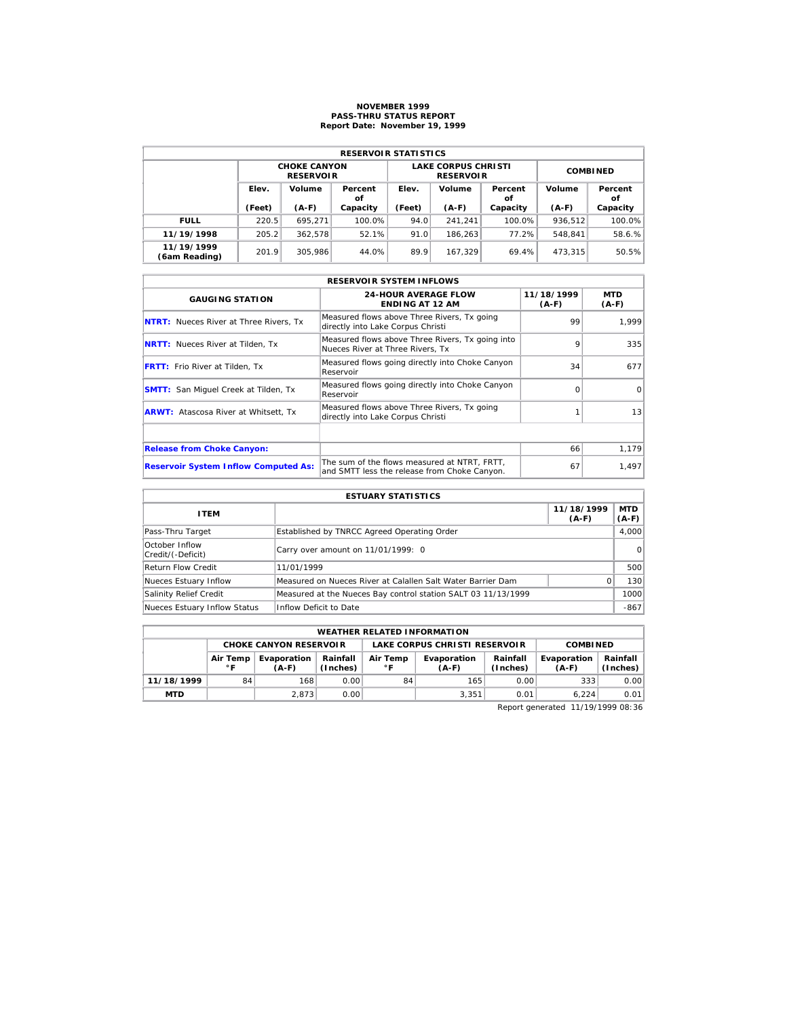# **NOVEMBER 1999 PASS-THRU STATUS REPORT Report Date: November 19, 1999**

| <b>RESERVOIR STATISTICS</b> |        |                                         |               |        |                                                |                 |         |               |  |  |
|-----------------------------|--------|-----------------------------------------|---------------|--------|------------------------------------------------|-----------------|---------|---------------|--|--|
|                             |        | <b>CHOKE CANYON</b><br><b>RESERVOIR</b> |               |        | <b>LAKE CORPUS CHRISTI</b><br><b>RESERVOIR</b> | <b>COMBINED</b> |         |               |  |  |
|                             | Elev.  | Volume                                  | Percent<br>οf | Elev.  | Volume                                         | Percent<br>οf   | Volume  | Percent<br>οf |  |  |
|                             | (Feet) | $(A-F)$                                 | Capacity      | (Feet) | $(A-F)$                                        | Capacity        | $(A-F)$ | Capacity      |  |  |
| <b>FULL</b>                 | 220.5  | 695.271                                 | 100.0%        | 94.0   | 241.241                                        | 100.0%          | 936.512 | 100.0%        |  |  |
| 11/19/1998                  | 205.2  | 362.578                                 | 52.1%         | 91.0   | 186.263                                        | 77.2%           | 548.841 | 58.6.%        |  |  |
| 11/19/1999                  | 201.9  | 305.986                                 | 44.0%         | 89.9   | 167.329                                        | 69.4%           | 473.315 | 50.5%         |  |  |

|                                               | <b>RESERVOIR SYSTEM INFLOWS</b>                                                              |                       |                 |
|-----------------------------------------------|----------------------------------------------------------------------------------------------|-----------------------|-----------------|
| <b>GAUGING STATION</b>                        | <b>24-HOUR AVERAGE FLOW</b><br><b>ENDING AT 12 AM</b>                                        | 11/18/1999<br>$(A-F)$ | MTD<br>$(A-F)$  |
| <b>NTRT:</b> Nueces River at Three Rivers, Tx | Measured flows above Three Rivers, Tx going<br>directly into Lake Corpus Christi             | 99                    | 1.999           |
| <b>NRTT:</b> Nueces River at Tilden, Tx       | Measured flows above Three Rivers, Tx going into<br>Nueces River at Three Rivers. Tx         | 9                     | 335             |
| <b>FRTT:</b> Frio River at Tilden, Tx         | Measured flows going directly into Choke Canyon<br>Reservoir                                 | 34                    | 677             |
| <b>SMTT:</b> San Miquel Creek at Tilden, Tx   | Measured flows going directly into Choke Canyon<br>Reservoir                                 | $\Omega$              | $\Omega$        |
| <b>ARWT:</b> Atascosa River at Whitsett, Tx   | Measured flows above Three Rivers, Tx going<br>directly into Lake Corpus Christi             |                       | 13 <sup>1</sup> |
|                                               |                                                                                              |                       |                 |
| <b>Release from Choke Canyon:</b>             |                                                                                              | 66                    | 1,179           |
| <b>Reservoir System Inflow Computed As:</b>   | The sum of the flows measured at NTRT, FRTT,<br>and SMTT less the release from Choke Canyon. | 67                    | 1,497           |

| <b>ESTUARY STATISTICS</b>           |                                                               |                       |                  |  |  |  |  |  |
|-------------------------------------|---------------------------------------------------------------|-----------------------|------------------|--|--|--|--|--|
| <b>ITEM</b>                         |                                                               | 11/18/1999<br>$(A-F)$ | MTD  <br>$(A-F)$ |  |  |  |  |  |
| Pass-Thru Target                    | Established by TNRCC Agreed Operating Order                   |                       | 4,000            |  |  |  |  |  |
| October Inflow<br>Credit/(-Deficit) | Carry over amount on 11/01/1999: 0                            |                       | 0                |  |  |  |  |  |
| <b>Return Flow Credit</b>           | 11/01/1999                                                    |                       | 500              |  |  |  |  |  |
| Nueces Estuary Inflow               | Measured on Nueces River at Calallen Salt Water Barrier Dam   | O.                    | 130              |  |  |  |  |  |
| Salinity Relief Credit              | Measured at the Nueces Bay control station SALT 03 11/13/1999 |                       | 1000             |  |  |  |  |  |
| Nueces Estuary Inflow Status        | Inflow Deficit to Date                                        |                       | $-867$           |  |  |  |  |  |

|                                                                                            | <b>WEATHER RELATED INFORMATION</b> |                               |       |                               |                      |                        |                      |                 |  |  |  |
|--------------------------------------------------------------------------------------------|------------------------------------|-------------------------------|-------|-------------------------------|----------------------|------------------------|----------------------|-----------------|--|--|--|
|                                                                                            |                                    | <b>CHOKE CANYON RESERVOLR</b> |       | LAKE CORPUS CHRISTI RESERVOIR |                      |                        |                      | <b>COMBINED</b> |  |  |  |
| Rainfall<br>Air Temp<br>Evaporation<br>Air Temp<br>(Inches)<br>$^{\circ}$ F<br>∘г<br>(A-F) |                                    |                               |       | Evaporation<br>$(A-F)$        | Rainfall<br>(Inches) | Evaporation<br>$(A-F)$ | Rainfall<br>(Inches) |                 |  |  |  |
| 11/18/1999                                                                                 | 84                                 | 168                           | 0.001 | 84                            | 165                  | 0.00                   | 333                  | 0.00            |  |  |  |
| <b>MTD</b>                                                                                 |                                    | 2.873                         | 0.001 |                               | 3.351<br>0.01        |                        |                      | 0.01            |  |  |  |

Report generated 11/19/1999 08:36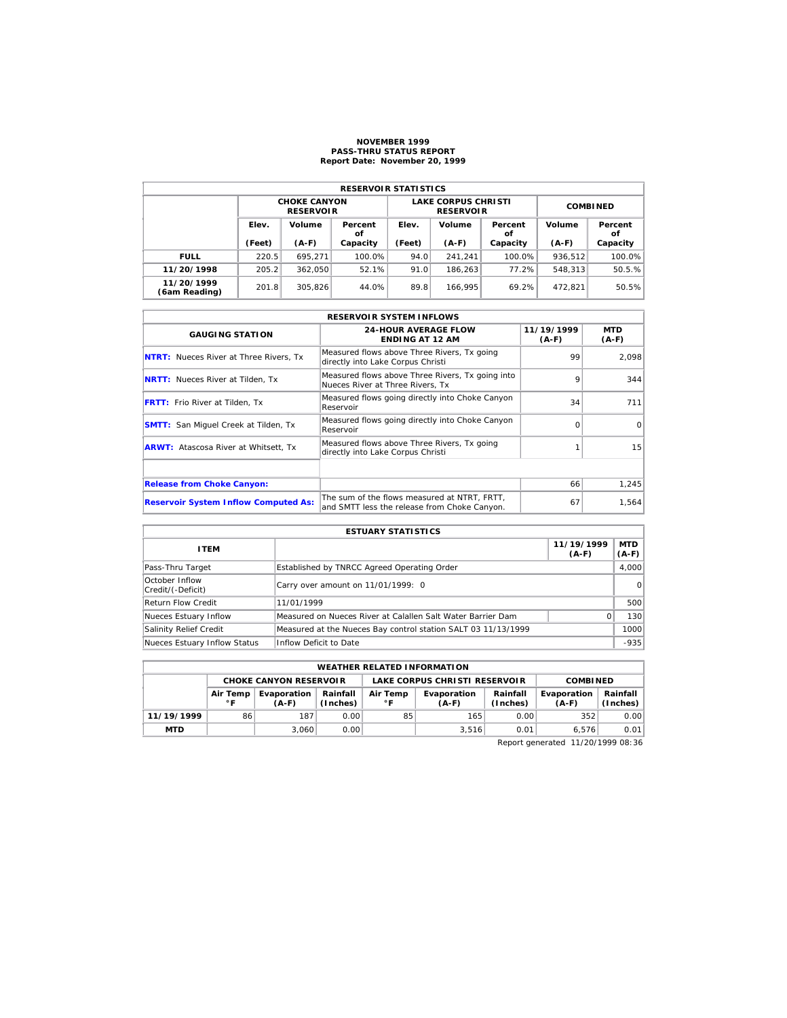#### **NOVEMBER 1999 PASS-THRU STATUS REPORT Report Date: November 20, 1999**

| <b>RESERVOIR STATISTICS</b> |        |                                         |               |        |                                                |                 |         |               |  |  |  |
|-----------------------------|--------|-----------------------------------------|---------------|--------|------------------------------------------------|-----------------|---------|---------------|--|--|--|
|                             |        | <b>CHOKE CANYON</b><br><b>RESERVOIR</b> |               |        | <b>LAKE CORPUS CHRISTI</b><br><b>RESERVOIR</b> | <b>COMBINED</b> |         |               |  |  |  |
|                             | Elev.  | Volume                                  | Percent<br>οf | Elev.  | Volume                                         | Percent<br>οf   | Volume  | Percent<br>οf |  |  |  |
|                             | (Feet) | $(A-F)$                                 | Capacity      | (Feet) | $(A-F)$                                        | Capacity        | $(A-F)$ | Capacity      |  |  |  |
| <b>FULL</b>                 | 220.5  | 695.271                                 | 100.0%        | 94.0   | 241.241                                        | 100.0%          | 936,512 | 100.0%        |  |  |  |
| 11/20/1998                  | 205.2  | 362.050                                 | 52.1%         | 91.0   | 186.263                                        | 77.2%           | 548.313 | 50.5.%        |  |  |  |
| 11/20/1999<br>(6am Reading) | 201.8  | 305.826                                 | 44.0%         | 89.8   | 166.995                                        | 69.2%           | 472.821 | 50.5%         |  |  |  |

|                                               | <b>RESERVOIR SYSTEM INFLOWS</b>                                                              |                       |                       |
|-----------------------------------------------|----------------------------------------------------------------------------------------------|-----------------------|-----------------------|
| <b>GAUGING STATION</b>                        | <b>24-HOUR AVERAGE FLOW</b><br><b>ENDING AT 12 AM</b>                                        | 11/19/1999<br>$(A-F)$ | <b>MTD</b><br>$(A-F)$ |
| <b>NTRT:</b> Nueces River at Three Rivers, Tx | Measured flows above Three Rivers, Tx going<br>directly into Lake Corpus Christi             | 99                    | 2,098                 |
| <b>NRTT:</b> Nueces River at Tilden, Tx       | Measured flows above Three Rivers, Tx going into<br>Nueces River at Three Rivers. Tx         | 9                     | 344                   |
| <b>FRTT:</b> Frio River at Tilden, Tx         | Measured flows going directly into Choke Canyon<br>Reservoir                                 | 34                    | 711                   |
| <b>SMTT:</b> San Miquel Creek at Tilden, Tx   | Measured flows going directly into Choke Canyon<br>Reservoir                                 | ∩                     | $\Omega$              |
| <b>ARWT:</b> Atascosa River at Whitsett, Tx   | Measured flows above Three Rivers, Tx going<br>directly into Lake Corpus Christi             |                       | 15                    |
|                                               |                                                                                              |                       |                       |
| <b>Release from Choke Canyon:</b>             |                                                                                              | 66                    | 1,245                 |
| <b>Reservoir System Inflow Computed As:</b>   | The sum of the flows measured at NTRT, FRTT,<br>and SMTT less the release from Choke Canyon. | 67                    | 1,564                 |

| <b>ESTUARY STATISTICS</b>           |                                                               |                       |                       |  |  |  |  |  |
|-------------------------------------|---------------------------------------------------------------|-----------------------|-----------------------|--|--|--|--|--|
| <b>ITEM</b>                         |                                                               | 11/19/1999<br>$(A-F)$ | <b>MTD</b><br>$(A-F)$ |  |  |  |  |  |
| Pass-Thru Target                    | Established by TNRCC Agreed Operating Order                   |                       | 4.000                 |  |  |  |  |  |
| October Inflow<br>Credit/(-Deficit) | Carry over amount on 11/01/1999: 0                            |                       | 0                     |  |  |  |  |  |
| <b>Return Flow Credit</b>           | 11/01/1999                                                    |                       | 500                   |  |  |  |  |  |
| Nueces Estuary Inflow               | Measured on Nueces River at Calallen Salt Water Barrier Dam   |                       | 130                   |  |  |  |  |  |
| Salinity Relief Credit              | Measured at the Nueces Bay control station SALT 03 11/13/1999 |                       | 1000                  |  |  |  |  |  |
| Nueces Estuary Inflow Status        | Inflow Deficit to Date                                        |                       | $-935$                |  |  |  |  |  |

| <b>WEATHER RELATED INFORMATION</b>                                                |                          |                        |                      |                          |                        |                      |                        |                      |  |
|-----------------------------------------------------------------------------------|--------------------------|------------------------|----------------------|--------------------------|------------------------|----------------------|------------------------|----------------------|--|
| <b>CHOKE CANYON RESERVOIR</b><br>LAKE CORPUS CHRISTI RESERVOIR<br><b>COMBINED</b> |                          |                        |                      |                          |                        |                      |                        |                      |  |
|                                                                                   | Air Temp<br>$^{\circ}$ F | Evaporation<br>$(A-F)$ | Rainfall<br>(Inches) | Air Temp<br>$^{\circ}$ F | Evaporation<br>$(A-F)$ | Rainfall<br>(Inches) | Evaporation<br>$(A-F)$ | Rainfall<br>(Inches) |  |
| 11/19/1999                                                                        | 86                       | 187                    | 0.00                 | 85                       | 165                    | 0.00                 | 352                    | 0.00                 |  |
| <b>MTD</b>                                                                        |                          | 3.060                  | 0.00                 |                          | 3.516                  | 0.01                 | 6.576                  | 0.01                 |  |

Report generated 11/20/1999 08:36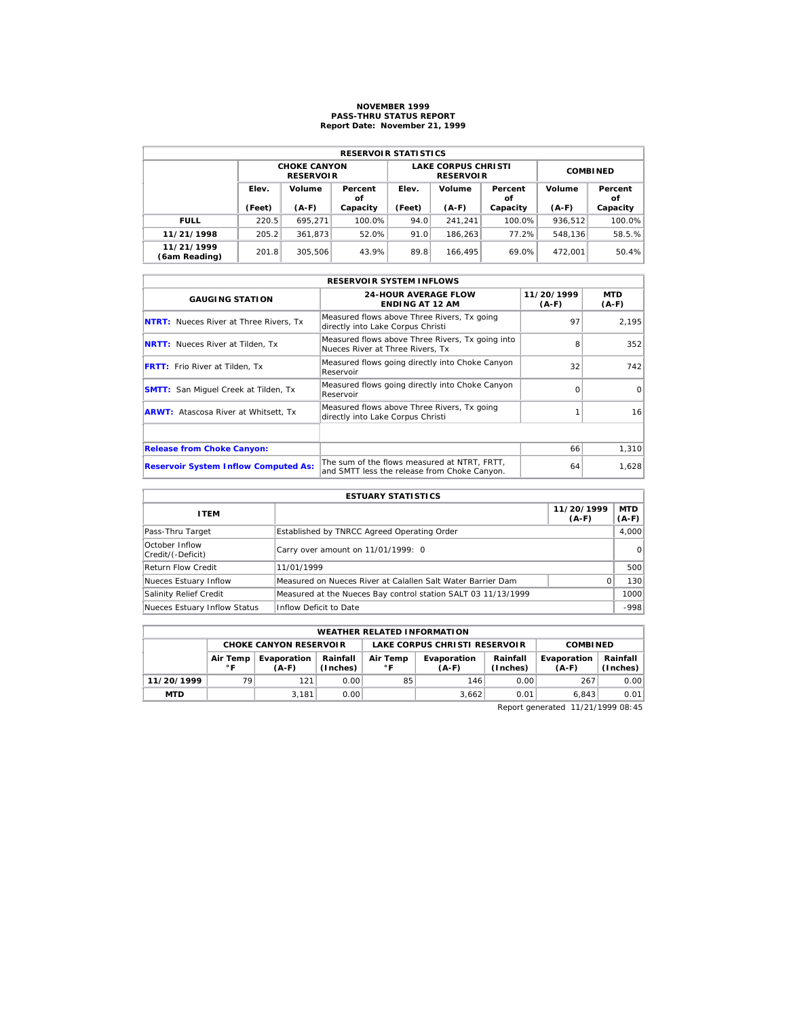# **NOVEMBER 1999 PASS-THRU STATUS REPORT Report Date: November 21, 1999**

| <b>RESERVOIR STATISTICS</b> |        |                                         |               |        |                                                |                 |         |               |  |  |  |
|-----------------------------|--------|-----------------------------------------|---------------|--------|------------------------------------------------|-----------------|---------|---------------|--|--|--|
|                             |        | <b>CHOKE CANYON</b><br><b>RESERVOIR</b> |               |        | <b>LAKE CORPUS CHRISTI</b><br><b>RESERVOIR</b> | <b>COMBINED</b> |         |               |  |  |  |
|                             | Elev.  | Volume                                  | Percent<br>οf | Elev.  | Volume                                         | Percent<br>οf   | Volume  | Percent<br>οf |  |  |  |
|                             | (Feet) | $(A-F)$                                 | Capacity      | (Feet) | $(A-F)$                                        | Capacity        | $(A-F)$ | Capacity      |  |  |  |
| <b>FULL</b>                 | 220.5  | 695.271                                 | 100.0%        | 94.0   | 241.241                                        | 100.0%          | 936.512 | 100.0%        |  |  |  |
| 11/21/1998                  | 205.2  | 361.873                                 | 52.0%         | 91.0   | 186.263                                        | 77.2%           | 548.136 | 58.5.%        |  |  |  |
| 11/21/1999                  | 201.8  | 305.506                                 | 43.9%         | 89.8   | 166.495                                        | 69.0%           | 472.001 | 50.4%         |  |  |  |

|                                               | <b>RESERVOIR SYSTEM INFLOWS</b>                                                              |                       |                |
|-----------------------------------------------|----------------------------------------------------------------------------------------------|-----------------------|----------------|
| <b>GAUGING STATION</b>                        | <b>24-HOUR AVERAGE FLOW</b><br><b>ENDING AT 12 AM</b>                                        | 11/20/1999<br>$(A-F)$ | MTD<br>$(A-F)$ |
| <b>NTRT:</b> Nueces River at Three Rivers, Tx | Measured flows above Three Rivers, Tx going<br>directly into Lake Corpus Christi             | 97                    | 2,195          |
| <b>NRTT:</b> Nueces River at Tilden, Tx       | Measured flows above Three Rivers, Tx going into<br>Nueces River at Three Rivers. Tx         | 8                     | 352            |
| <b>FRTT:</b> Frio River at Tilden, Tx         | Measured flows going directly into Choke Canyon<br>Reservoir                                 | 32                    | 742            |
| <b>SMTT:</b> San Miquel Creek at Tilden, Tx   | Measured flows going directly into Choke Canyon<br>Reservoir                                 | $\Omega$              | $\Omega$       |
| <b>ARWT:</b> Atascosa River at Whitsett, Tx   | Measured flows above Three Rivers, Tx going<br>directly into Lake Corpus Christi             |                       | 16             |
|                                               |                                                                                              |                       |                |
| <b>Release from Choke Canyon:</b>             |                                                                                              | 66                    | 1,310          |
| <b>Reservoir System Inflow Computed As:</b>   | The sum of the flows measured at NTRT, FRTT,<br>and SMTT less the release from Choke Canyon. | 64                    | 1,628          |

| <b>ESTUARY STATISTICS</b>           |                                                               |                       |                  |  |  |  |  |  |
|-------------------------------------|---------------------------------------------------------------|-----------------------|------------------|--|--|--|--|--|
| <b>ITEM</b>                         |                                                               | 11/20/1999<br>$(A-F)$ | MTD  <br>$(A-F)$ |  |  |  |  |  |
| Pass-Thru Target                    | Established by TNRCC Agreed Operating Order                   |                       | 4,000            |  |  |  |  |  |
| October Inflow<br>Credit/(-Deficit) | Carry over amount on 11/01/1999: 0                            |                       | $\Omega$         |  |  |  |  |  |
| <b>Return Flow Credit</b>           | 11/01/1999                                                    |                       | 500              |  |  |  |  |  |
| Nueces Estuary Inflow               | Measured on Nueces River at Calallen Salt Water Barrier Dam   | O.                    | 130              |  |  |  |  |  |
| Salinity Relief Credit              | Measured at the Nueces Bay control station SALT 03 11/13/1999 |                       | 1000             |  |  |  |  |  |
| Nueces Estuary Inflow Status        | Inflow Deficit to Date                                        |                       | $-998$           |  |  |  |  |  |

|                                                                | <b>WEATHER RELATED INFORMATION</b> |                               |       |                          |                                      |                      |                        |                      |  |  |  |
|----------------------------------------------------------------|------------------------------------|-------------------------------|-------|--------------------------|--------------------------------------|----------------------|------------------------|----------------------|--|--|--|
|                                                                |                                    | <b>CHOKE CANYON RESERVOLR</b> |       |                          | <b>LAKE CORPUS CHRISTI RESERVOIR</b> | <b>COMBINED</b>      |                        |                      |  |  |  |
| Rainfall<br>Air Temp<br>Evaporation<br>(Inches)<br>∘г<br>(A-F) |                                    |                               |       | Air Temp<br>$^{\circ}$ F | Evaporation<br>$(A-F)$               | Rainfall<br>(Inches) | Evaporation<br>$(A-F)$ | Rainfall<br>(Inches) |  |  |  |
| 11/20/1999                                                     | 79                                 | 121                           | 0.001 | 85                       | 146                                  | 0.00                 | 267                    | 0.00                 |  |  |  |
| <b>MTD</b>                                                     |                                    | 3.181                         | 0.001 |                          | 3.662                                | 0.01                 | 6.843                  | 0.01                 |  |  |  |

Report generated 11/21/1999 08:45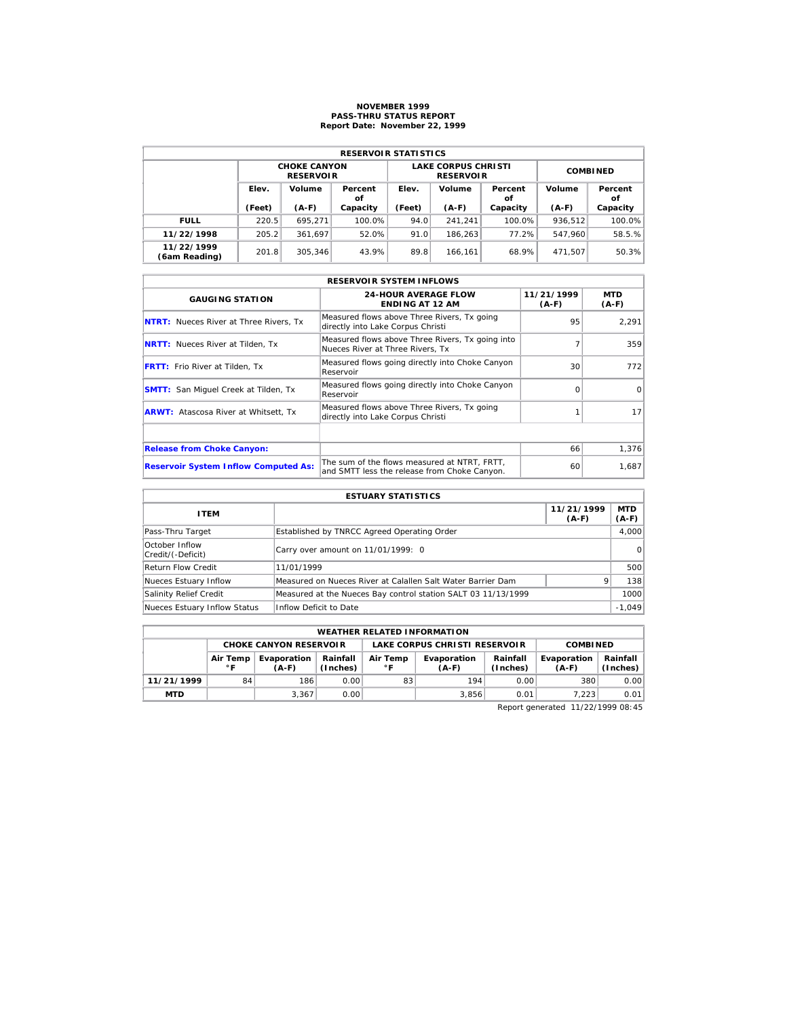# **NOVEMBER 1999 PASS-THRU STATUS REPORT Report Date: November 22, 1999**

| <b>RESERVOIR STATISTICS</b> |        |                                         |               |        |                                                |                 |         |               |  |  |  |
|-----------------------------|--------|-----------------------------------------|---------------|--------|------------------------------------------------|-----------------|---------|---------------|--|--|--|
|                             |        | <b>CHOKE CANYON</b><br><b>RESERVOIR</b> |               |        | <b>LAKE CORPUS CHRISTI</b><br><b>RESERVOIR</b> | <b>COMBINED</b> |         |               |  |  |  |
|                             | Elev.  | Volume                                  | Percent<br>οf | Elev.  | Volume                                         | Percent<br>οf   | Volume  | Percent<br>οf |  |  |  |
|                             | (Feet) | $(A-F)$                                 | Capacity      | (Feet) | $(A-F)$                                        | Capacity        | $(A-F)$ | Capacity      |  |  |  |
| <b>FULL</b>                 | 220.5  | 695.271                                 | 100.0%        | 94.0   | 241.241                                        | 100.0%          | 936.512 | 100.0%        |  |  |  |
| 11/22/1998                  | 205.2  | 361.697                                 | 52.0%         | 91.0   | 186.263                                        | 77.2%           | 547.960 | 58.5.%        |  |  |  |
| 11/22/1999<br>(6am Reading) | 201.8  | 305.346                                 | 43.9%         | 89.8   | 166.161                                        | 68.9%           | 471.507 | 50.3%         |  |  |  |

|                                               | <b>RESERVOIR SYSTEM INFLOWS</b>                                                              |                       |                |  |  |  |  |  |  |  |
|-----------------------------------------------|----------------------------------------------------------------------------------------------|-----------------------|----------------|--|--|--|--|--|--|--|
| <b>GAUGING STATION</b>                        | <b>24-HOUR AVERAGE FLOW</b><br><b>ENDING AT 12 AM</b>                                        | 11/21/1999<br>$(A-F)$ | MTD<br>$(A-F)$ |  |  |  |  |  |  |  |
| <b>NTRT:</b> Nueces River at Three Rivers, Tx | Measured flows above Three Rivers, Tx going<br>directly into Lake Corpus Christi             | 95                    | 2,291          |  |  |  |  |  |  |  |
| <b>NRTT:</b> Nueces River at Tilden, Tx       | Measured flows above Three Rivers, Tx going into<br>Nueces River at Three Rivers. Tx         |                       | 359            |  |  |  |  |  |  |  |
| <b>FRTT:</b> Frio River at Tilden, Tx         | Measured flows going directly into Choke Canyon<br>Reservoir                                 | 30                    | 772            |  |  |  |  |  |  |  |
| <b>SMTT:</b> San Miquel Creek at Tilden, Tx   | Measured flows going directly into Choke Canyon<br>Reservoir                                 | $\Omega$              | $\Omega$       |  |  |  |  |  |  |  |
| <b>ARWT:</b> Atascosa River at Whitsett, Tx   | Measured flows above Three Rivers, Tx going<br>directly into Lake Corpus Christi             |                       | 171            |  |  |  |  |  |  |  |
|                                               |                                                                                              |                       |                |  |  |  |  |  |  |  |
| <b>Release from Choke Canyon:</b>             |                                                                                              | 66                    | 1,376          |  |  |  |  |  |  |  |
| <b>Reservoir System Inflow Computed As:</b>   | The sum of the flows measured at NTRT. FRTT.<br>and SMTT less the release from Choke Canyon. | 60                    | 1,687          |  |  |  |  |  |  |  |

| <b>ESTUARY STATISTICS</b>           |                                                               |                       |                  |  |  |  |  |  |
|-------------------------------------|---------------------------------------------------------------|-----------------------|------------------|--|--|--|--|--|
| <b>ITEM</b>                         |                                                               | 11/21/1999<br>$(A-F)$ | MTD  <br>$(A-F)$ |  |  |  |  |  |
| Pass-Thru Target                    | Established by TNRCC Agreed Operating Order                   |                       | 4.000            |  |  |  |  |  |
| October Inflow<br>Credit/(-Deficit) | Carry over amount on 11/01/1999: 0                            |                       | $\Omega$         |  |  |  |  |  |
| <b>Return Flow Credit</b>           | 11/01/1999                                                    |                       | 500              |  |  |  |  |  |
| Nueces Estuary Inflow               | Measured on Nueces River at Calallen Salt Water Barrier Dam   |                       | 138              |  |  |  |  |  |
| Salinity Relief Credit              | Measured at the Nueces Bay control station SALT 03 11/13/1999 |                       | 1000             |  |  |  |  |  |
| Nueces Estuary Inflow Status        | Inflow Deficit to Date                                        |                       | $-1,049$         |  |  |  |  |  |

|            | <b>WEATHER RELATED INFORMATION</b>                                                                                   |                               |       |    |                               |                        |                      |      |  |  |  |
|------------|----------------------------------------------------------------------------------------------------------------------|-------------------------------|-------|----|-------------------------------|------------------------|----------------------|------|--|--|--|
|            |                                                                                                                      | <b>CHOKE CANYON RESERVOLR</b> |       |    | LAKE CORPUS CHRISTI RESERVOIR |                        | <b>COMBINED</b>      |      |  |  |  |
|            | Rainfall<br>Air Temp<br>Evaporation<br>Air Temp<br>Evaporation<br>(Inches)<br>$^{\circ}$ F<br>∘г<br>$(A-F)$<br>(A-F) |                               |       |    | Rainfall<br>(Inches)          | Evaporation<br>$(A-F)$ | Rainfall<br>(Inches) |      |  |  |  |
| 11/21/1999 | 84                                                                                                                   | 186                           | 0.00  | 83 | 194                           | 0.00                   | 380                  | 0.00 |  |  |  |
| <b>MTD</b> |                                                                                                                      | 3.367                         | 0.001 |    | 3.856                         | 0.01                   | 7.223                | 0.01 |  |  |  |

Report generated 11/22/1999 08:45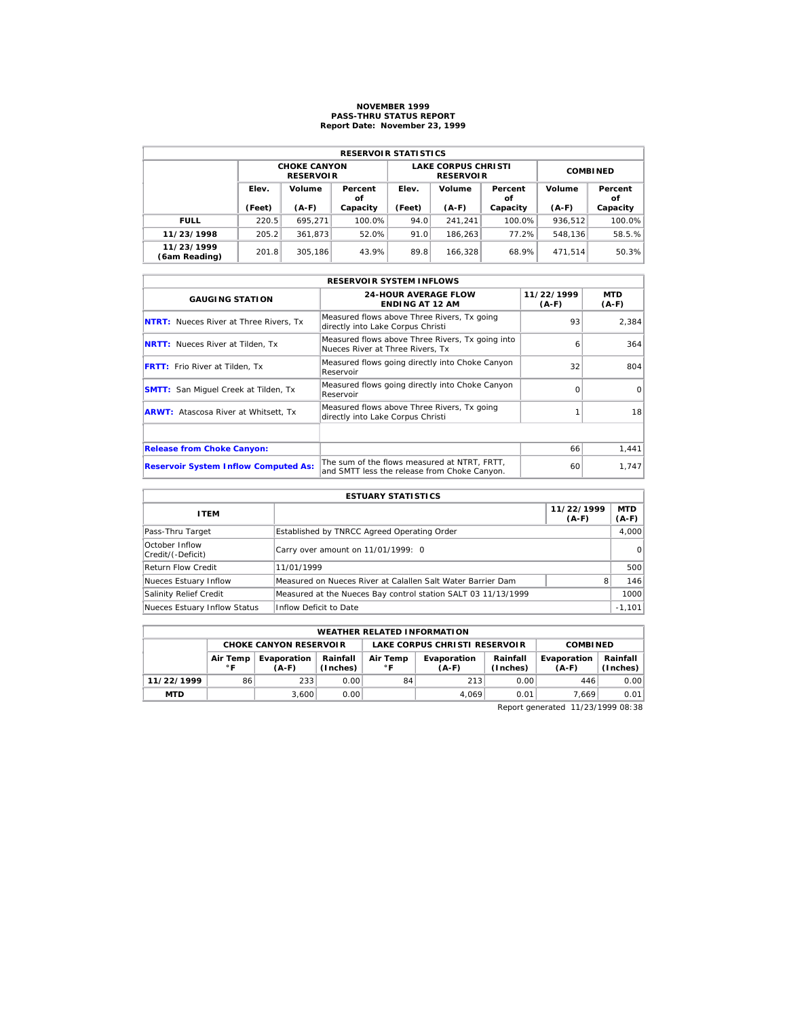# **NOVEMBER 1999 PASS-THRU STATUS REPORT Report Date: November 23, 1999**

| <b>RESERVOIR STATISTICS</b> |        |                                         |               |        |                                                |                 |         |               |  |  |  |
|-----------------------------|--------|-----------------------------------------|---------------|--------|------------------------------------------------|-----------------|---------|---------------|--|--|--|
|                             |        | <b>CHOKE CANYON</b><br><b>RESERVOIR</b> |               |        | <b>LAKE CORPUS CHRISTI</b><br><b>RESERVOIR</b> | <b>COMBINED</b> |         |               |  |  |  |
|                             | Elev.  | Volume                                  | Percent<br>οf | Elev.  | Volume                                         | Percent<br>οf   | Volume  | Percent<br>οf |  |  |  |
|                             | (Feet) | $(A-F)$                                 | Capacity      | (Feet) | $(A-F)$                                        | Capacity        | $(A-F)$ | Capacity      |  |  |  |
| <b>FULL</b>                 | 220.5  | 695.271                                 | 100.0%        | 94.0   | 241.241                                        | 100.0%          | 936.512 | 100.0%        |  |  |  |
| 11/23/1998                  | 205.2  | 361.873                                 | 52.0%         | 91.0   | 186.263                                        | 77.2%           | 548.136 | 58.5.%        |  |  |  |
| 11/23/1999                  | 201.8  | 305.186                                 | 43.9%         | 89.8   | 166.328                                        | 68.9%           | 471.514 | 50.3%         |  |  |  |

|                                               | <b>RESERVOIR SYSTEM INFLOWS</b>                                                              |                       |                       |  |  |  |  |  |  |  |
|-----------------------------------------------|----------------------------------------------------------------------------------------------|-----------------------|-----------------------|--|--|--|--|--|--|--|
| <b>GAUGING STATION</b>                        | <b>24-HOUR AVERAGE FLOW</b><br><b>ENDING AT 12 AM</b>                                        | 11/22/1999<br>$(A-F)$ | <b>MTD</b><br>$(A-F)$ |  |  |  |  |  |  |  |
| <b>NTRT:</b> Nueces River at Three Rivers. Tx | Measured flows above Three Rivers, Tx going<br>directly into Lake Corpus Christi             | 93                    | 2.384                 |  |  |  |  |  |  |  |
| <b>NRTT:</b> Nueces River at Tilden, Tx       | Measured flows above Three Rivers, Tx going into<br>Nueces River at Three Rivers, Tx         | 6                     | 364                   |  |  |  |  |  |  |  |
| FRTT: Frio River at Tilden, Tx                | Measured flows going directly into Choke Canyon<br>Reservoir                                 | 32                    | 804                   |  |  |  |  |  |  |  |
| <b>SMTT:</b> San Miquel Creek at Tilden, Tx   | Measured flows going directly into Choke Canyon<br>Reservoir                                 | $\Omega$              | $\Omega$              |  |  |  |  |  |  |  |
| <b>ARWT:</b> Atascosa River at Whitsett, Tx   | Measured flows above Three Rivers, Tx going<br>directly into Lake Corpus Christi             |                       | 18 <sup>1</sup>       |  |  |  |  |  |  |  |
|                                               |                                                                                              |                       |                       |  |  |  |  |  |  |  |
| <b>Release from Choke Canyon:</b>             |                                                                                              | 66                    | 1,441                 |  |  |  |  |  |  |  |
| <b>Reservoir System Inflow Computed As:</b>   | The sum of the flows measured at NTRT, FRTT,<br>and SMTT less the release from Choke Canyon. | 60                    | 1,747                 |  |  |  |  |  |  |  |

| <b>ESTUARY STATISTICS</b>           |                                                               |                       |                       |  |  |  |  |  |
|-------------------------------------|---------------------------------------------------------------|-----------------------|-----------------------|--|--|--|--|--|
| <b>ITEM</b>                         |                                                               | 11/22/1999<br>$(A-F)$ | <b>MTD</b><br>$(A-F)$ |  |  |  |  |  |
| Pass-Thru Target                    | Established by TNRCC Agreed Operating Order                   |                       | 4.000                 |  |  |  |  |  |
| October Inflow<br>Credit/(-Deficit) | Carry over amount on 11/01/1999: 0                            |                       | $\Omega$              |  |  |  |  |  |
| <b>Return Flow Credit</b>           | 11/01/1999                                                    |                       | 500                   |  |  |  |  |  |
| Nueces Estuary Inflow               | Measured on Nueces River at Calallen Salt Water Barrier Dam   |                       | 146                   |  |  |  |  |  |
| Salinity Relief Credit              | Measured at the Nueces Bay control station SALT 03 11/13/1999 |                       | 1000                  |  |  |  |  |  |
| Nueces Estuary Inflow Status        | Inflow Deficit to Date                                        |                       | $-1,101$              |  |  |  |  |  |

|            | <b>WEATHER RELATED INFORMATION</b> |                               |                      |                          |                                      |                      |                        |                      |  |  |  |
|------------|------------------------------------|-------------------------------|----------------------|--------------------------|--------------------------------------|----------------------|------------------------|----------------------|--|--|--|
|            |                                    | <b>CHOKE CANYON RESERVOLR</b> |                      |                          | <b>LAKE CORPUS CHRISTI RESERVOIR</b> | <b>COMBINED</b>      |                        |                      |  |  |  |
|            | Air Temp<br>∘г                     | Evaporation<br>(A-F)          | Rainfall<br>(Inches) | Air Temp<br>$^{\circ}$ F | Evaporation<br>$(A-F)$               | Rainfall<br>(Inches) | Evaporation<br>$(A-F)$ | Rainfall<br>(Inches) |  |  |  |
| 11/22/1999 | 86                                 | 233                           | 0.001                | 84                       | 213                                  | 0.00                 | 446                    | 0.00                 |  |  |  |
| <b>MTD</b> |                                    | 3.600                         | 0.001                |                          | 4.069                                | 0.01                 | 7.669                  | 0.01                 |  |  |  |

Report generated 11/23/1999 08:38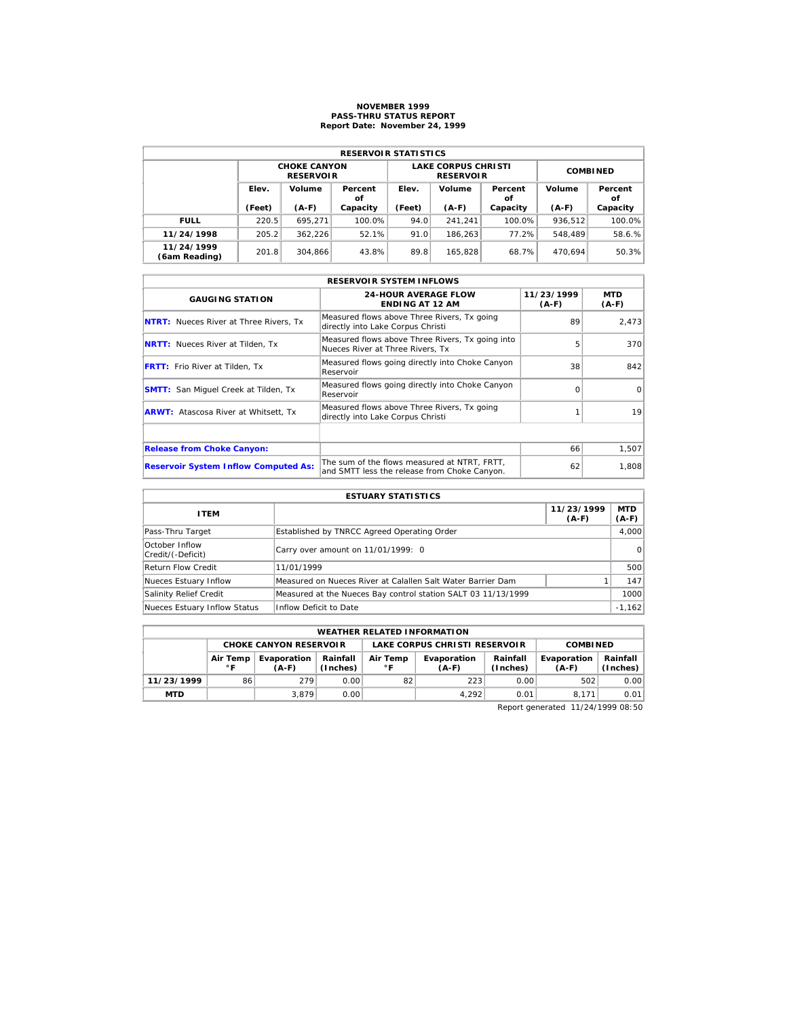# **NOVEMBER 1999 PASS-THRU STATUS REPORT Report Date: November 24, 1999**

| <b>RESERVOIR STATISTICS</b> |        |                                         |               |        |                                                |                 |         |               |  |  |  |
|-----------------------------|--------|-----------------------------------------|---------------|--------|------------------------------------------------|-----------------|---------|---------------|--|--|--|
|                             |        | <b>CHOKE CANYON</b><br><b>RESERVOIR</b> |               |        | <b>LAKE CORPUS CHRISTI</b><br><b>RESERVOIR</b> | <b>COMBINED</b> |         |               |  |  |  |
|                             | Elev.  | Volume                                  | Percent<br>οf | Elev.  | Volume                                         | Percent<br>οf   | Volume  | Percent<br>οf |  |  |  |
|                             | (Feet) | $(A-F)$                                 | Capacity      | (Feet) | $(A-F)$                                        | Capacity        | $(A-F)$ | Capacity      |  |  |  |
| <b>FULL</b>                 | 220.5  | 695.271                                 | 100.0%        | 94.0   | 241.241                                        | 100.0%          | 936.512 | 100.0%        |  |  |  |
| 11/24/1998                  | 205.2  | 362.226                                 | 52.1%         | 91.0   | 186.263                                        | 77.2%           | 548.489 | 58.6.%        |  |  |  |
| 11/24/1999<br>(6am Reading) | 201.8  | 304.866                                 | 43.8%         | 89.8   | 165.828                                        | 68.7%           | 470.694 | 50.3%         |  |  |  |

|                                               | <b>RESERVOIR SYSTEM INFLOWS</b>                                                              |                       |                 |
|-----------------------------------------------|----------------------------------------------------------------------------------------------|-----------------------|-----------------|
| <b>GAUGING STATION</b>                        | <b>24-HOUR AVERAGE FLOW</b><br><b>ENDING AT 12 AM</b>                                        | 11/23/1999<br>$(A-F)$ | MTD<br>$(A-F)$  |
| <b>NTRT:</b> Nueces River at Three Rivers, Tx | Measured flows above Three Rivers, Tx going<br>directly into Lake Corpus Christi             | 89                    | 2,473           |
| <b>NRTT:</b> Nueces River at Tilden, Tx       | Measured flows above Three Rivers, Tx going into<br>Nueces River at Three Rivers. Tx         | 5                     | 370             |
| <b>FRTT:</b> Frio River at Tilden, Tx         | Measured flows going directly into Choke Canyon<br>Reservoir                                 | 38                    | 842             |
| <b>SMTT:</b> San Miquel Creek at Tilden, Tx   | Measured flows going directly into Choke Canyon<br>Reservoir                                 | $\Omega$              | $\Omega$        |
| <b>ARWT:</b> Atascosa River at Whitsett, Tx   | Measured flows above Three Rivers, Tx going<br>directly into Lake Corpus Christi             |                       | 19 <sup>1</sup> |
|                                               |                                                                                              |                       |                 |
| <b>Release from Choke Canyon:</b>             |                                                                                              | 66                    | 1,507           |
| <b>Reservoir System Inflow Computed As:</b>   | The sum of the flows measured at NTRT. FRTT.<br>and SMTT less the release from Choke Canyon. | 62                    | 1,808           |

| <b>ESTUARY STATISTICS</b>           |                                                               |                       |                  |  |  |  |  |  |
|-------------------------------------|---------------------------------------------------------------|-----------------------|------------------|--|--|--|--|--|
| <b>ITEM</b>                         |                                                               | 11/23/1999<br>$(A-F)$ | MTD  <br>$(A-F)$ |  |  |  |  |  |
| Pass-Thru Target                    | Established by TNRCC Agreed Operating Order                   |                       | 4.000            |  |  |  |  |  |
| October Inflow<br>Credit/(-Deficit) | Carry over amount on 11/01/1999: 0                            |                       | $\Omega$         |  |  |  |  |  |
| <b>Return Flow Credit</b>           | 11/01/1999                                                    |                       | 500              |  |  |  |  |  |
| Nueces Estuary Inflow               | Measured on Nueces River at Calallen Salt Water Barrier Dam   |                       | 147              |  |  |  |  |  |
| Salinity Relief Credit              | Measured at the Nueces Bay control station SALT 03 11/13/1999 |                       | 1000             |  |  |  |  |  |
| Nueces Estuary Inflow Status        | Inflow Deficit to Date                                        |                       | $-1,162$         |  |  |  |  |  |

|                                                                                                       | <b>WEATHER RELATED INFORMATION</b> |                               |       |             |                               |                        |                      |      |  |  |  |
|-------------------------------------------------------------------------------------------------------|------------------------------------|-------------------------------|-------|-------------|-------------------------------|------------------------|----------------------|------|--|--|--|
|                                                                                                       |                                    | <b>CHOKE CANYON RESERVOLR</b> |       |             | LAKE CORPUS CHRISTI RESERVOIR |                        | <b>COMBINED</b>      |      |  |  |  |
| Rainfall<br>Air Temp<br>Evaporation<br>Air Temp<br>(Inches)<br>$^{\circ}$ F<br>∘г<br>$(A-F)$<br>(A-F) |                                    |                               |       | Evaporation | Rainfall<br>(Inches)          | Evaporation<br>$(A-F)$ | Rainfall<br>(Inches) |      |  |  |  |
| 11/23/1999                                                                                            | 86                                 | 279                           | 0.001 | 82          | 223                           | 0.00                   | 502                  | 0.00 |  |  |  |
| <b>MTD</b>                                                                                            |                                    | 3.879                         | 0.001 |             | 4.292                         | 0.01                   | 8.171                | 0.01 |  |  |  |

Report generated 11/24/1999 08:50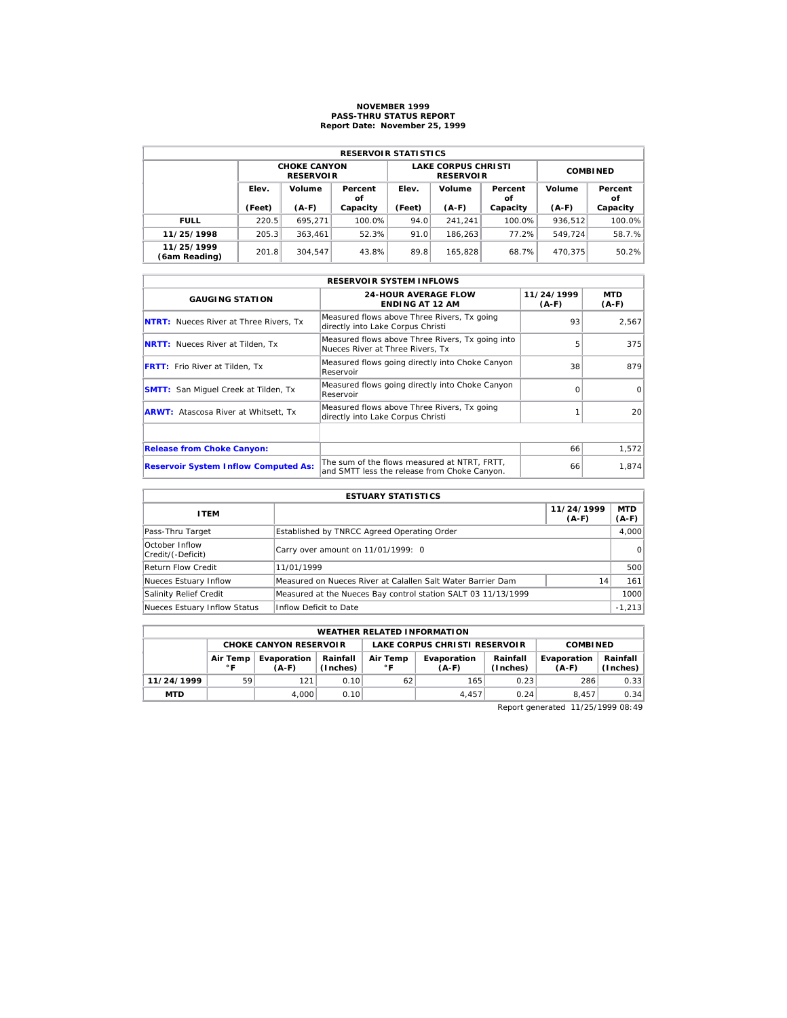# **NOVEMBER 1999 PASS-THRU STATUS REPORT Report Date: November 25, 1999**

| <b>RESERVOIR STATISTICS</b> |        |                                         |               |        |                                                |                 |         |               |  |  |
|-----------------------------|--------|-----------------------------------------|---------------|--------|------------------------------------------------|-----------------|---------|---------------|--|--|
|                             |        | <b>CHOKE CANYON</b><br><b>RESERVOIR</b> |               |        | <b>LAKE CORPUS CHRISTI</b><br><b>RESERVOIR</b> | <b>COMBINED</b> |         |               |  |  |
|                             | Elev.  | Volume                                  | Percent<br>οf | Elev.  | Volume                                         | Percent<br>οf   | Volume  | Percent<br>οf |  |  |
|                             | (Feet) | $(A-F)$                                 | Capacity      | (Feet) | $(A-F)$                                        | Capacity        | $(A-F)$ | Capacity      |  |  |
| <b>FULL</b>                 | 220.5  | 695.271                                 | 100.0%        | 94.0   | 241.241                                        | 100.0%          | 936.512 | 100.0%        |  |  |
| 11/25/1998                  | 205.3  | 363.461                                 | 52.3%         | 91.0   | 186.263                                        | 77.2%           | 549.724 | 58.7.%        |  |  |
| 11/25/1999<br>(6am Reading) | 201.8  | 304.547                                 | 43.8%         | 89.8   | 165.828                                        | 68.7%           | 470.375 | 50.2%         |  |  |

|                                               | <b>RESERVOIR SYSTEM INFLOWS</b>                                                              |                       |                       |
|-----------------------------------------------|----------------------------------------------------------------------------------------------|-----------------------|-----------------------|
| <b>GAUGING STATION</b>                        | <b>24-HOUR AVERAGE FLOW</b><br><b>ENDING AT 12 AM</b>                                        | 11/24/1999<br>$(A-F)$ | <b>MTD</b><br>$(A-F)$ |
| <b>NTRT:</b> Nueces River at Three Rivers, Tx | Measured flows above Three Rivers, Tx going<br>directly into Lake Corpus Christi             | 93                    | 2,567                 |
| <b>NRTT:</b> Nueces River at Tilden, Tx       | Measured flows above Three Rivers, Tx going into<br>Nueces River at Three Rivers. Tx         | 5                     | 375                   |
| <b>FRTT:</b> Frio River at Tilden, Tx         | Measured flows going directly into Choke Canyon<br>Reservoir                                 | 38                    | 879                   |
| <b>SMTT:</b> San Miquel Creek at Tilden, Tx   | Measured flows going directly into Choke Canyon<br>Reservoir                                 | $\Omega$              | $\Omega$              |
| <b>ARWT:</b> Atascosa River at Whitsett, Tx   | Measured flows above Three Rivers, Tx going<br>directly into Lake Corpus Christi             |                       | 20                    |
|                                               |                                                                                              |                       |                       |
| <b>Release from Choke Canyon:</b>             |                                                                                              | 66                    | 1.572                 |
| <b>Reservoir System Inflow Computed As:</b>   | The sum of the flows measured at NTRT. FRTT.<br>and SMTT less the release from Choke Canyon. | 66                    | 1,874                 |

|                                     | <b>ESTUARY STATISTICS</b>                                     |                       |                       |
|-------------------------------------|---------------------------------------------------------------|-----------------------|-----------------------|
| <b>ITEM</b>                         |                                                               | 11/24/1999<br>$(A-F)$ | <b>MTD</b><br>$(A-F)$ |
| Pass-Thru Target                    | Established by TNRCC Agreed Operating Order                   |                       | 4.000                 |
| October Inflow<br>Credit/(-Deficit) | Carry over amount on 11/01/1999: 0                            |                       | $\Omega$              |
| <b>Return Flow Credit</b>           | 11/01/1999                                                    |                       | 500                   |
| Nueces Estuary Inflow               | Measured on Nueces River at Calallen Salt Water Barrier Dam   | 14                    | 161                   |
| Salinity Relief Credit              | Measured at the Nueces Bay control station SALT 03 11/13/1999 |                       | 1000                  |
| Nueces Estuary Inflow Status        | Inflow Deficit to Date                                        |                       | $-1,213$              |

|                               | <b>WEATHER RELATED INFORMATION</b>                                         |       |                |                                                         |               |                        |                      |      |  |  |
|-------------------------------|----------------------------------------------------------------------------|-------|----------------|---------------------------------------------------------|---------------|------------------------|----------------------|------|--|--|
| <b>CHOKE CANYON RESERVOIR</b> |                                                                            |       |                | <b>LAKE CORPUS CHRISTI RESERVOIR</b><br><b>COMBINED</b> |               |                        |                      |      |  |  |
|                               | Rainfall<br>Air Temp<br>Evaporation<br>(Inches)<br>$^{\circ}$ F<br>$(A-F)$ |       | Air Temp<br>۰F | Rainfall<br>Evaporation<br>(Inches)<br>(A-F)            |               | Evaporation<br>$(A-F)$ | Rainfall<br>(Inches) |      |  |  |
| 11/24/1999                    | 59                                                                         | 121   | 0.10           | 62                                                      | 165           | 0.23                   | 286                  | 0.33 |  |  |
| <b>MTD</b>                    |                                                                            | 4.000 | 0.10           |                                                         | 4.457<br>0.24 |                        |                      | 0.34 |  |  |

Report generated 11/25/1999 08:49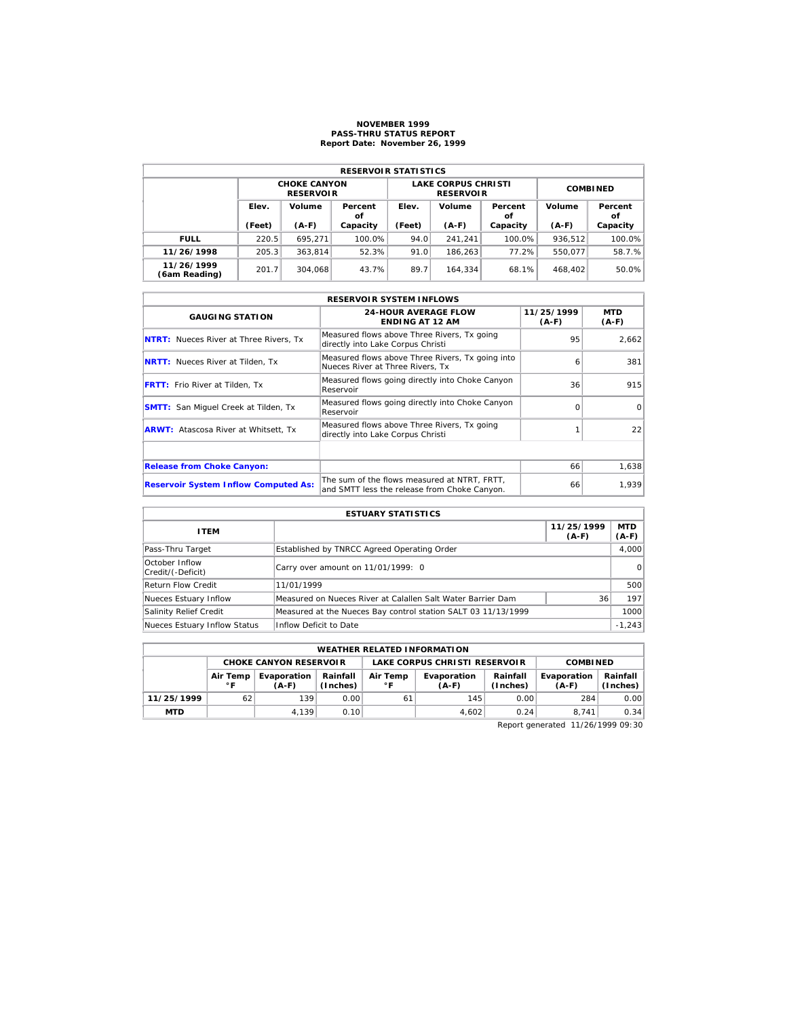## **NOVEMBER 1999 PASS-THRU STATUS REPORT Report Date: November 26, 1999**

| <b>RESERVOIR STATISTICS</b> |        |                                         |          |        |                                                |                 |         |               |  |  |  |
|-----------------------------|--------|-----------------------------------------|----------|--------|------------------------------------------------|-----------------|---------|---------------|--|--|--|
|                             |        | <b>CHOKE CANYON</b><br><b>RESERVOIR</b> |          |        | <b>LAKE CORPUS CHRISTI</b><br><b>RESERVOIR</b> | <b>COMBINED</b> |         |               |  |  |  |
|                             | Elev.  | Volume<br>Percent<br>οf                 |          | Elev.  | Volume<br>Percent<br>οf                        |                 | Volume  | Percent<br>οf |  |  |  |
|                             | (Feet) | $(A-F)$                                 | Capacity | (Feet) | $(A-F)$                                        | Capacity        | $(A-F)$ | Capacity      |  |  |  |
| <b>FULL</b>                 | 220.5  | 695.271                                 | 100.0%   | 94.0   | 241.241                                        | 100.0%          | 936.512 | 100.0%        |  |  |  |
| 11/26/1998                  | 205.3  | 363.814                                 | 52.3%    | 91.0   | 186.263                                        | 77.2%           | 550.077 | 58.7.%        |  |  |  |
| 11/26/1999<br>(6am Reading) | 201.7  | 304.068                                 | 43.7%    | 89.7   | 164.334                                        | 68.1%           | 468.402 | 50.0%         |  |  |  |

|                                               | <b>RESERVOIR SYSTEM INFLOWS</b>                                                              |                       |                       |
|-----------------------------------------------|----------------------------------------------------------------------------------------------|-----------------------|-----------------------|
| <b>GAUGING STATION</b>                        | <b>24-HOUR AVERAGE FLOW</b><br><b>ENDING AT 12 AM</b>                                        | 11/25/1999<br>$(A-F)$ | <b>MTD</b><br>$(A-F)$ |
| <b>NTRT:</b> Nueces River at Three Rivers, Tx | Measured flows above Three Rivers, Tx going<br>directly into Lake Corpus Christi             | 95                    | 2,662                 |
| <b>NRTT:</b> Nueces River at Tilden, Tx       | Measured flows above Three Rivers, Tx going into<br>Nueces River at Three Rivers. Tx         | 6                     | 381                   |
| <b>FRTT:</b> Frio River at Tilden, Tx         | Measured flows going directly into Choke Canyon<br>Reservoir                                 | 36                    | 915                   |
| <b>SMTT:</b> San Miquel Creek at Tilden, Tx   | Measured flows going directly into Choke Canyon<br>Reservoir                                 | $\Omega$              | $\Omega$              |
| <b>ARWT:</b> Atascosa River at Whitsett, Tx   | Measured flows above Three Rivers, Tx going<br>directly into Lake Corpus Christi             |                       | 22                    |
|                                               |                                                                                              |                       |                       |
| <b>Release from Choke Canyon:</b>             |                                                                                              | 66                    | 1,638                 |
| <b>Reservoir System Inflow Computed As:</b>   | The sum of the flows measured at NTRT, FRTT,<br>and SMTT less the release from Choke Canyon. | 66                    | 1,939                 |

| <b>ESTUARY STATISTICS</b>           |                                                               |    |          |  |  |  |  |
|-------------------------------------|---------------------------------------------------------------|----|----------|--|--|--|--|
| <b>ITEM</b>                         | 11/25/1999<br>MTD<br>$(A-F)$<br>$(A-F)$                       |    |          |  |  |  |  |
| Pass-Thru Target                    | Established by TNRCC Agreed Operating Order                   |    | 4.000    |  |  |  |  |
| October Inflow<br>Credit/(-Deficit) | Carry over amount on 11/01/1999: 0                            |    | $\Omega$ |  |  |  |  |
| <b>Return Flow Credit</b>           | 11/01/1999                                                    |    | 500      |  |  |  |  |
| Nueces Estuary Inflow               | Measured on Nueces River at Calallen Salt Water Barrier Dam   | 36 | 197      |  |  |  |  |
| Salinity Relief Credit              | Measured at the Nueces Bay control station SALT 03 11/13/1999 |    | 1000     |  |  |  |  |
| Nueces Estuary Inflow Status        | Inflow Deficit to Date                                        |    | $-1,243$ |  |  |  |  |

| <b>WEATHER RELATED INFORMATION</b> |                          |                               |                                                                            |                               |                      |                        |                      |      |  |
|------------------------------------|--------------------------|-------------------------------|----------------------------------------------------------------------------|-------------------------------|----------------------|------------------------|----------------------|------|--|
|                                    |                          | <b>CHOKE CANYON RESERVOIR</b> |                                                                            | LAKE CORPUS CHRISTI RESERVOIR |                      |                        | <b>COMBINED</b>      |      |  |
|                                    | Air Temp<br>$^{\circ}$ F | Evaporation<br>$(A-F)$        | Rainfall<br>Air Temp<br>Evaporation<br>(Inches)<br>$^{\circ}$ F<br>$(A-F)$ |                               | Rainfall<br>(Inches) | Evaporation<br>$(A-F)$ | Rainfall<br>(Inches) |      |  |
| 11/25/1999                         | 62                       | 139                           | 0.00                                                                       |                               | 145                  | 0.00                   | 284                  | 0.00 |  |
| <b>MTD</b>                         |                          | 4.139                         | 0.10                                                                       |                               | 4.602                | 0.24                   | 8.741                | 0.34 |  |

Report generated 11/26/1999 09:30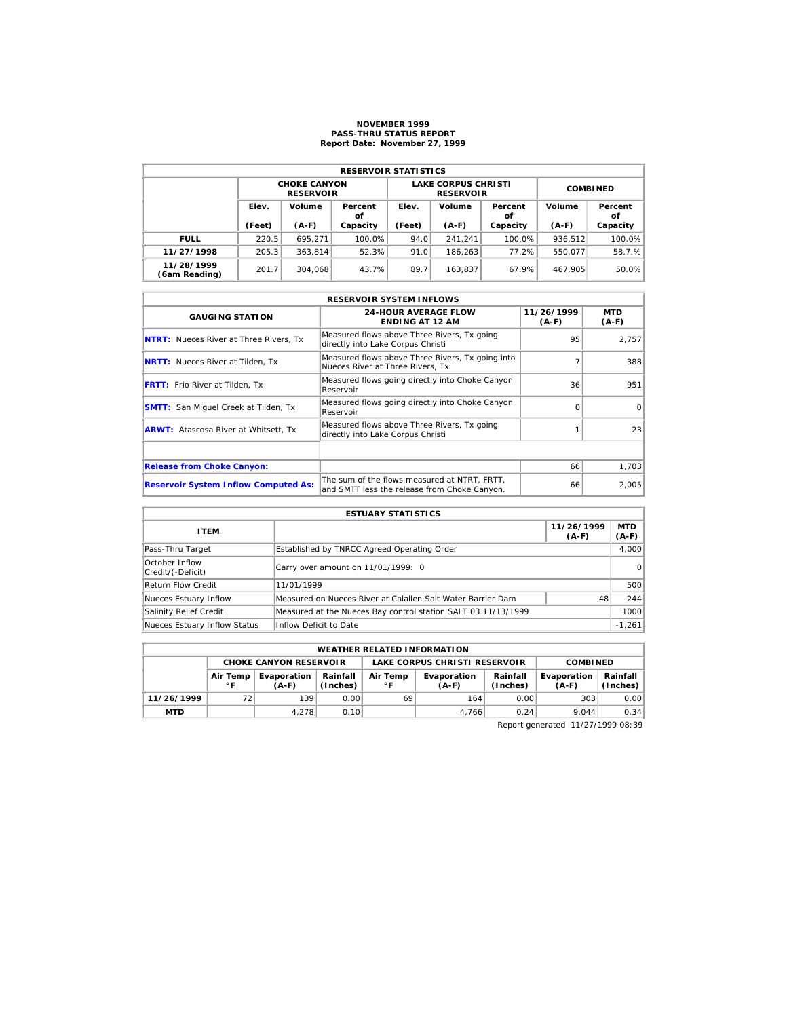## **NOVEMBER 1999 PASS-THRU STATUS REPORT Report Date: November 27, 1999**

| <b>RESERVOIR STATISTICS</b> |                 |                                         |               |                 |                                                |                         |         |               |  |  |  |
|-----------------------------|-----------------|-----------------------------------------|---------------|-----------------|------------------------------------------------|-------------------------|---------|---------------|--|--|--|
|                             |                 | <b>CHOKE CANYON</b><br><b>RESERVOIR</b> |               |                 | <b>LAKE CORPUS CHRISTI</b><br><b>RESERVOIR</b> | <b>COMBINED</b>         |         |               |  |  |  |
|                             | Elev.<br>Volume |                                         | Percent<br>οf | Volume<br>Elev. |                                                | Volume<br>Percent<br>οf |         | Percent<br>οf |  |  |  |
|                             | (Feet)          | $(A-F)$                                 | Capacity      | (Feet)          | $(A-F)$                                        | Capacity                | $(A-F)$ | Capacity      |  |  |  |
| <b>FULL</b>                 | 220.5           | 695.271                                 | 100.0%        | 94.0            | 241.241                                        | 100.0%                  | 936.512 | 100.0%        |  |  |  |
| 11/27/1998                  | 205.3           | 363.814                                 | 52.3%         | 91.0            | 186.263                                        | 77.2%                   | 550.077 | 58.7.%        |  |  |  |
| 11/28/1999<br>(6am Reading) | 201.7           | 304.068                                 | 43.7%         | 89.7            | 163.837                                        | 67.9%                   | 467.905 | 50.0%         |  |  |  |

|                                               | <b>RESERVOIR SYSTEM INFLOWS</b>                                                              |                       |                       |
|-----------------------------------------------|----------------------------------------------------------------------------------------------|-----------------------|-----------------------|
| <b>GAUGING STATION</b>                        | <b>24-HOUR AVERAGE FLOW</b><br><b>ENDING AT 12 AM</b>                                        | 11/26/1999<br>$(A-F)$ | <b>MTD</b><br>$(A-F)$ |
| <b>NTRT:</b> Nueces River at Three Rivers, Tx | Measured flows above Three Rivers, Tx going<br>directly into Lake Corpus Christi             | 95                    | 2.757                 |
| <b>NRTT:</b> Nueces River at Tilden, Tx       | Measured flows above Three Rivers, Tx going into<br>Nueces River at Three Rivers. Tx         |                       | 388                   |
| <b>FRTT:</b> Frio River at Tilden, Tx         | Measured flows going directly into Choke Canyon<br>Reservoir                                 | 36                    | 951                   |
| <b>SMTT:</b> San Miquel Creek at Tilden, Tx   | Measured flows going directly into Choke Canyon<br>Reservoir                                 |                       | $\Omega$              |
| <b>ARWT:</b> Atascosa River at Whitsett, Tx   | Measured flows above Three Rivers, Tx going<br>directly into Lake Corpus Christi             |                       | 23                    |
|                                               |                                                                                              |                       |                       |
| <b>Release from Choke Canyon:</b>             |                                                                                              | 66                    | 1,703                 |
| <b>Reservoir System Inflow Computed As:</b>   | The sum of the flows measured at NTRT, FRTT,<br>and SMTT less the release from Choke Canyon. | 66                    | 2,005                 |

| <b>ESTUARY STATISTICS</b>           |                                                               |    |          |  |  |  |  |
|-------------------------------------|---------------------------------------------------------------|----|----------|--|--|--|--|
| <b>ITEM</b>                         | MTD<br>11/26/1999<br>$(A-F)$<br>$(A-F)$                       |    |          |  |  |  |  |
| Pass-Thru Target                    | Established by TNRCC Agreed Operating Order                   |    | 4.000    |  |  |  |  |
| October Inflow<br>Credit/(-Deficit) | Carry over amount on 11/01/1999: 0                            |    | $\Omega$ |  |  |  |  |
| <b>Return Flow Credit</b>           | 11/01/1999                                                    |    | 500      |  |  |  |  |
| Nueces Estuary Inflow               | Measured on Nueces River at Calallen Salt Water Barrier Dam   | 48 | 244      |  |  |  |  |
| Salinity Relief Credit              | Measured at the Nueces Bay control station SALT 03 11/13/1999 |    | 1000     |  |  |  |  |
| Nueces Estuary Inflow Status        | Inflow Deficit to Date                                        |    | $-1,261$ |  |  |  |  |

| <b>WEATHER RELATED INFORMATION</b> |                          |                                                                                                      |      |                               |                      |                        |                      |      |  |
|------------------------------------|--------------------------|------------------------------------------------------------------------------------------------------|------|-------------------------------|----------------------|------------------------|----------------------|------|--|
|                                    |                          | <b>CHOKE CANYON RESERVOIR</b>                                                                        |      | LAKE CORPUS CHRISTI RESERVOIR |                      |                        | <b>COMBINED</b>      |      |  |
|                                    | Air Temp<br>$^{\circ}$ F | Evaporation<br>Rainfall<br>Air Temp<br>Evaporation<br>(Inches)<br>$^{\circ}$ F<br>$(A-F)$<br>$(A-F)$ |      |                               | Rainfall<br>(Inches) | Evaporation<br>$(A-F)$ | Rainfall<br>(Inches) |      |  |
| 11/26/1999                         | 72                       | 139                                                                                                  | 0.00 | 69                            | 164                  | 0.00                   | 303                  | 0.00 |  |
| <b>MTD</b>                         |                          | 4.278                                                                                                | 0.10 |                               | 4.766                | 0.24                   | 9.044                | 0.34 |  |

Report generated 11/27/1999 08:39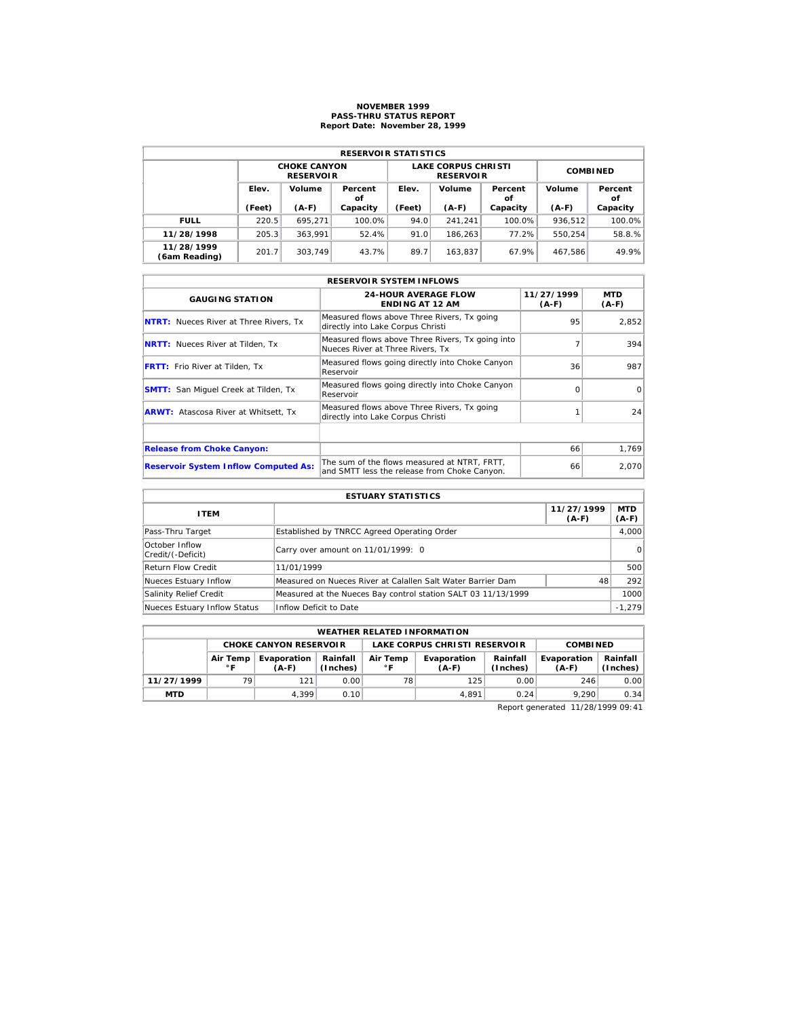# **NOVEMBER 1999 PASS-THRU STATUS REPORT Report Date: November 28, 1999**

| <b>RESERVOIR STATISTICS</b> |        |                                         |               |        |                                                |                 |         |               |  |  |
|-----------------------------|--------|-----------------------------------------|---------------|--------|------------------------------------------------|-----------------|---------|---------------|--|--|
|                             |        | <b>CHOKE CANYON</b><br><b>RESERVOIR</b> |               |        | <b>LAKE CORPUS CHRISTI</b><br><b>RESERVOIR</b> | <b>COMBINED</b> |         |               |  |  |
|                             | Elev.  | Volume                                  | Percent<br>οf | Elev.  | Volume                                         | Percent<br>οf   | Volume  | Percent<br>οf |  |  |
|                             | (Feet) | $(A-F)$                                 | Capacity      | (Feet) | $(A-F)$                                        | Capacity        | $(A-F)$ | Capacity      |  |  |
| <b>FULL</b>                 | 220.5  | 695.271                                 | 100.0%        | 94.0   | 241.241                                        | 100.0%          | 936.512 | 100.0%        |  |  |
| 11/28/1998                  | 205.3  | 363.991                                 | 52.4%         | 91.0   | 186.263                                        | 77.2%           | 550.254 | 58.8.%        |  |  |
| 11/28/1999                  | 201.7  |                                         | 43.7%         | 89.7   | 163.837                                        | 67.9%           | 467.586 | 49.9%         |  |  |

|                                               | <b>RESERVOIR SYSTEM INFLOWS</b>                                                              |                       |                |
|-----------------------------------------------|----------------------------------------------------------------------------------------------|-----------------------|----------------|
| <b>GAUGING STATION</b>                        | <b>24-HOUR AVERAGE FLOW</b><br><b>ENDING AT 12 AM</b>                                        | 11/27/1999<br>$(A-F)$ | MTD<br>$(A-F)$ |
| <b>NTRT:</b> Nueces River at Three Rivers, Tx | Measured flows above Three Rivers, Tx going<br>directly into Lake Corpus Christi             | 95                    | 2,852          |
| <b>NRTT:</b> Nueces River at Tilden, Tx       | Measured flows above Three Rivers, Tx going into<br>Nueces River at Three Rivers. Tx         |                       | 394            |
| <b>FRTT:</b> Frio River at Tilden, Tx         | Measured flows going directly into Choke Canyon<br>Reservoir                                 | 36                    | 987            |
| <b>SMTT:</b> San Miquel Creek at Tilden, Tx   | Measured flows going directly into Choke Canyon<br>Reservoir                                 | $\Omega$              | $\Omega$       |
| <b>ARWT:</b> Atascosa River at Whitsett, Tx   | Measured flows above Three Rivers, Tx going<br>directly into Lake Corpus Christi             |                       | 24             |
|                                               |                                                                                              |                       |                |
| <b>Release from Choke Canyon:</b>             |                                                                                              | 66                    | 1,769          |
| <b>Reservoir System Inflow Computed As:</b>   | The sum of the flows measured at NTRT. FRTT.<br>and SMTT less the release from Choke Canyon. | 66                    | 2,070          |

| <b>ESTUARY STATISTICS</b>           |                                                               |                       |                       |  |  |  |  |
|-------------------------------------|---------------------------------------------------------------|-----------------------|-----------------------|--|--|--|--|
| <b>ITEM</b>                         |                                                               | 11/27/1999<br>$(A-F)$ | <b>MTD</b><br>$(A-F)$ |  |  |  |  |
| Pass-Thru Target                    | Established by TNRCC Agreed Operating Order                   |                       | 4.000                 |  |  |  |  |
| October Inflow<br>Credit/(-Deficit) | Carry over amount on 11/01/1999: 0                            |                       | $\Omega$              |  |  |  |  |
| <b>Return Flow Credit</b>           | 11/01/1999                                                    |                       | 500                   |  |  |  |  |
| Nueces Estuary Inflow               | Measured on Nueces River at Calallen Salt Water Barrier Dam   | 48                    | 292                   |  |  |  |  |
| Salinity Relief Credit              | Measured at the Nueces Bay control station SALT 03 11/13/1999 |                       | 1000                  |  |  |  |  |
| Nueces Estuary Inflow Status        | Inflow Deficit to Date                                        |                       | $-1,279$              |  |  |  |  |

|            | <b>WEATHER RELATED INFORMATION</b> |                      |                      |                          |                               |                      |                        |                      |  |  |  |
|------------|------------------------------------|----------------------|----------------------|--------------------------|-------------------------------|----------------------|------------------------|----------------------|--|--|--|
|            | <b>CHOKE CANYON RESERVOIR</b>      |                      |                      |                          | LAKE CORPUS CHRISTI RESERVOIR | <b>COMBINED</b>      |                        |                      |  |  |  |
|            | Air Temp<br>∘г                     | Evaporation<br>(A-F) | Rainfall<br>(Inches) | Air Temp<br>$^{\circ}$ F | Evaporation<br>$(A-F)$        | Rainfall<br>(Inches) | Evaporation<br>$(A-F)$ | Rainfall<br>(Inches) |  |  |  |
| 11/27/1999 | 79                                 | 121                  | 0.00                 | 78                       | 125                           | 0.00                 | 246                    | 0.00                 |  |  |  |
| <b>MTD</b> |                                    | 4.399                | 0.10                 |                          | 4.891                         | 0.24                 | 9.290                  | 0.34                 |  |  |  |

Report generated 11/28/1999 09:41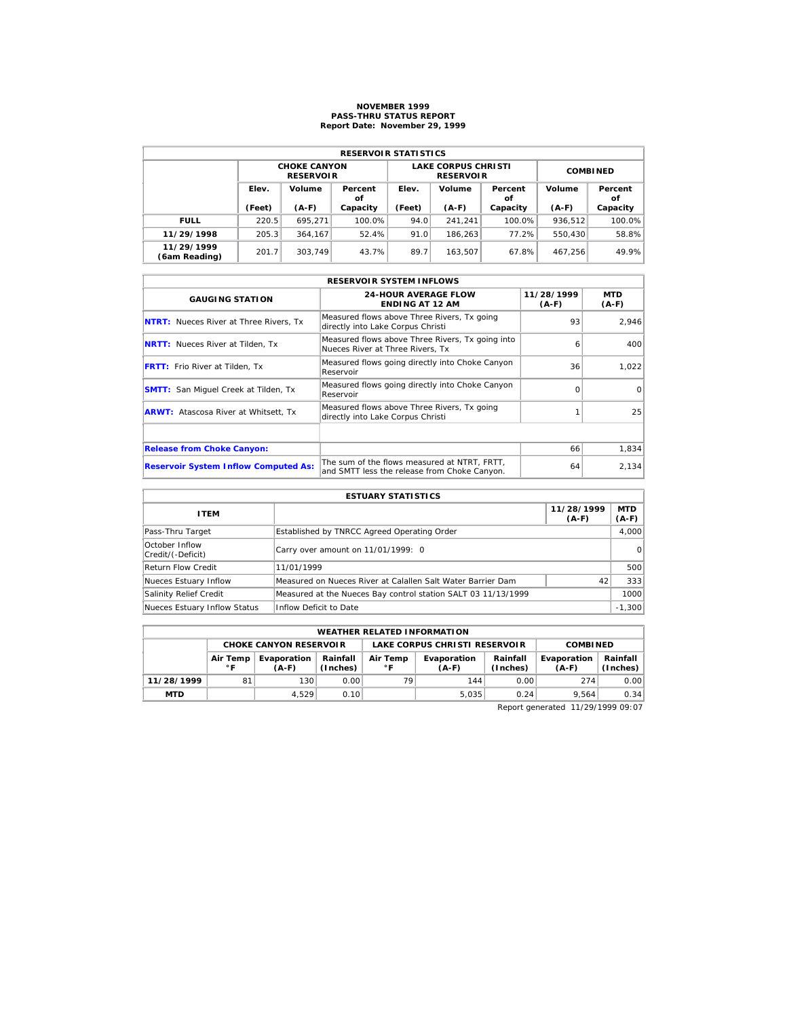# **NOVEMBER 1999 PASS-THRU STATUS REPORT Report Date: November 29, 1999**

| <b>RESERVOIR STATISTICS</b> |        |                                         |               |        |                                                |                 |         |               |  |  |  |
|-----------------------------|--------|-----------------------------------------|---------------|--------|------------------------------------------------|-----------------|---------|---------------|--|--|--|
|                             |        | <b>CHOKE CANYON</b><br><b>RESERVOIR</b> |               |        | <b>LAKE CORPUS CHRISTI</b><br><b>RESERVOIR</b> | <b>COMBINED</b> |         |               |  |  |  |
|                             | Elev.  | Volume                                  | Percent<br>οf | Elev.  | Volume                                         | Percent<br>οf   | Volume  | Percent<br>οf |  |  |  |
|                             | (Feet) | $(A-F)$                                 | Capacity      | (Feet) | $(A-F)$                                        | Capacity        | $(A-F)$ | Capacity      |  |  |  |
| <b>FULL</b>                 | 220.5  | 695.271                                 | 100.0%        | 94.0   | 241.241                                        | 100.0%          | 936.512 | 100.0%        |  |  |  |
| 11/29/1998                  | 205.3  | 364.167                                 | 52.4%         | 91.0   | 186.263                                        | 77.2%           | 550,430 | 58.8%         |  |  |  |
| 11/29/1999<br>(6am Reading) | 201.7  | 303.749                                 | 43.7%         | 89.7   | 163.507                                        | 67.8%           | 467.256 | 49.9%         |  |  |  |

|                                               | <b>RESERVOIR SYSTEM INFLOWS</b>                                                              |                       |                |
|-----------------------------------------------|----------------------------------------------------------------------------------------------|-----------------------|----------------|
| <b>GAUGING STATION</b>                        | <b>24-HOUR AVERAGE FLOW</b><br><b>ENDING AT 12 AM</b>                                        | 11/28/1999<br>$(A-F)$ | MTD<br>$(A-F)$ |
| <b>NTRT:</b> Nueces River at Three Rivers, Tx | Measured flows above Three Rivers, Tx going<br>directly into Lake Corpus Christi             | 93                    | 2.946          |
| <b>NRTT:</b> Nueces River at Tilden, Tx       | Measured flows above Three Rivers, Tx going into<br>Nueces River at Three Rivers. Tx         | 6                     | 400            |
| <b>FRTT:</b> Frio River at Tilden, Tx         | Measured flows going directly into Choke Canyon<br>Reservoir                                 | 36                    | 1,022          |
| <b>SMTT:</b> San Miquel Creek at Tilden, Tx   | Measured flows going directly into Choke Canyon<br>Reservoir                                 | $\Omega$              | $\Omega$       |
| <b>ARWT:</b> Atascosa River at Whitsett, Tx   | Measured flows above Three Rivers, Tx going<br>directly into Lake Corpus Christi             |                       | 25             |
|                                               |                                                                                              |                       |                |
| <b>Release from Choke Canyon:</b>             |                                                                                              | 66                    | 1,834          |
| <b>Reservoir System Inflow Computed As:</b>   | The sum of the flows measured at NTRT, FRTT,<br>and SMTT less the release from Choke Canyon. | 64                    | 2,134          |

| <b>ESTUARY STATISTICS</b>           |                                                               |                       |                       |  |  |  |  |
|-------------------------------------|---------------------------------------------------------------|-----------------------|-----------------------|--|--|--|--|
| <b>ITEM</b>                         |                                                               | 11/28/1999<br>$(A-F)$ | <b>MTD</b><br>$(A-F)$ |  |  |  |  |
| Pass-Thru Target                    | Established by TNRCC Agreed Operating Order                   |                       | 4.000                 |  |  |  |  |
| October Inflow<br>Credit/(-Deficit) | Carry over amount on 11/01/1999: 0                            |                       | $\Omega$              |  |  |  |  |
| <b>Return Flow Credit</b>           | 11/01/1999                                                    |                       | 500                   |  |  |  |  |
| Nueces Estuary Inflow               | Measured on Nueces River at Calallen Salt Water Barrier Dam   | 42                    | 333                   |  |  |  |  |
| Salinity Relief Credit              | Measured at the Nueces Bay control station SALT 03 11/13/1999 |                       | 1000                  |  |  |  |  |
| Nueces Estuary Inflow Status        | Inflow Deficit to Date                                        |                       | $-1,300$              |  |  |  |  |

|                               | <b>WEATHER RELATED INFORMATION</b> |                        |                      |                                                                |       |      |                        |                      |  |  |  |
|-------------------------------|------------------------------------|------------------------|----------------------|----------------------------------------------------------------|-------|------|------------------------|----------------------|--|--|--|
| <b>CHOKE CANYON RESERVOLR</b> |                                    |                        |                      | LAKE CORPUS CHRISTI RESERVOIR                                  |       |      |                        | <b>COMBINED</b>      |  |  |  |
|                               | Air Temp<br>$^{\circ}$ F           | Evaporation<br>$(A-F)$ | Rainfall<br>(Inches) | Rainfall<br>Air Temp<br>Evaporation<br>(Inches)<br>۰F<br>(A-F) |       |      | Evaporation<br>$(A-F)$ | Rainfall<br>(Inches) |  |  |  |
| 11/28/1999                    | 81                                 | 130                    | 0.00                 | 79                                                             | 144   | 0.00 | 274                    | 0.00                 |  |  |  |
| <b>MTD</b>                    |                                    | 4.529                  | 0.10                 |                                                                | 5.035 | 0.24 | 9.564                  | 0.34                 |  |  |  |

Report generated 11/29/1999 09:07